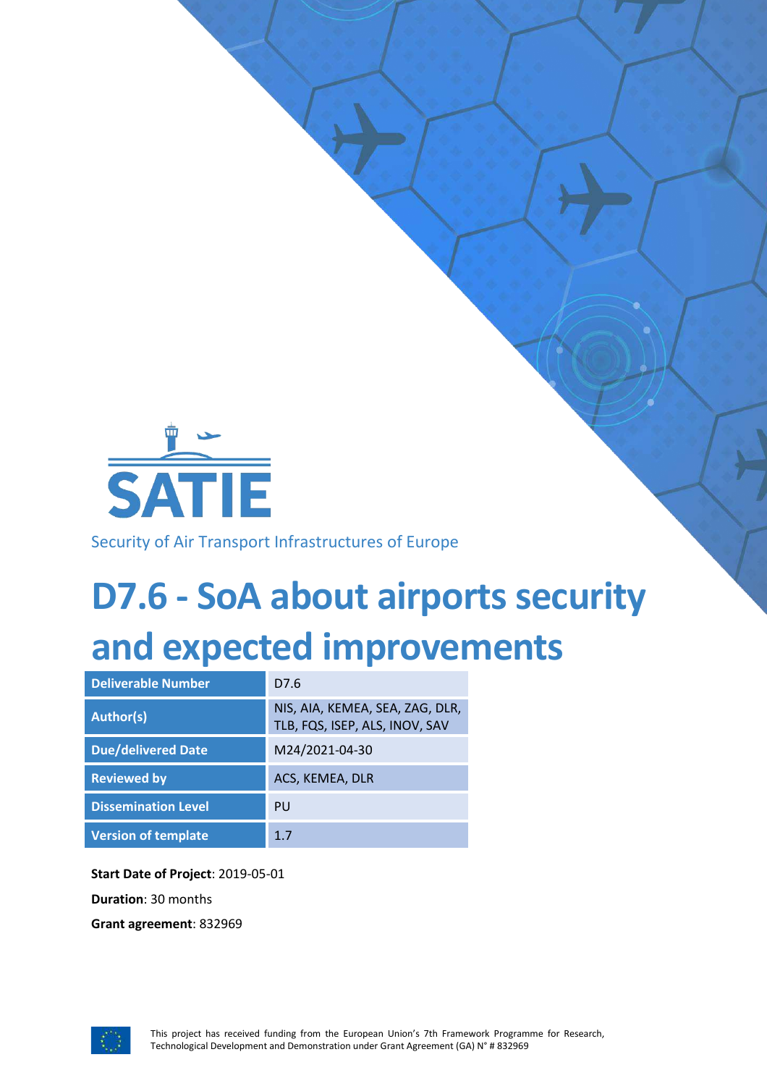

Security of Air Transport Infrastructures of Europe

# **D7.6 - SoA about airports security and expected improvements**

| <b>Deliverable Number</b>  | D7.6                                                              |
|----------------------------|-------------------------------------------------------------------|
| <b>Author(s)</b>           | NIS, AIA, KEMEA, SEA, ZAG, DLR,<br>TLB, FQS, ISEP, ALS, INOV, SAV |
| <b>Due/delivered Date</b>  | M24/2021-04-30                                                    |
| <b>Reviewed by</b>         | ACS, KEMEA, DLR                                                   |
| <b>Dissemination Level</b> | PU                                                                |
| <b>Version of template</b> | 1.7                                                               |

**Start Date of Project**: 2019-05-01

**Duration**: 30 months

**Grant agreement**: 832969

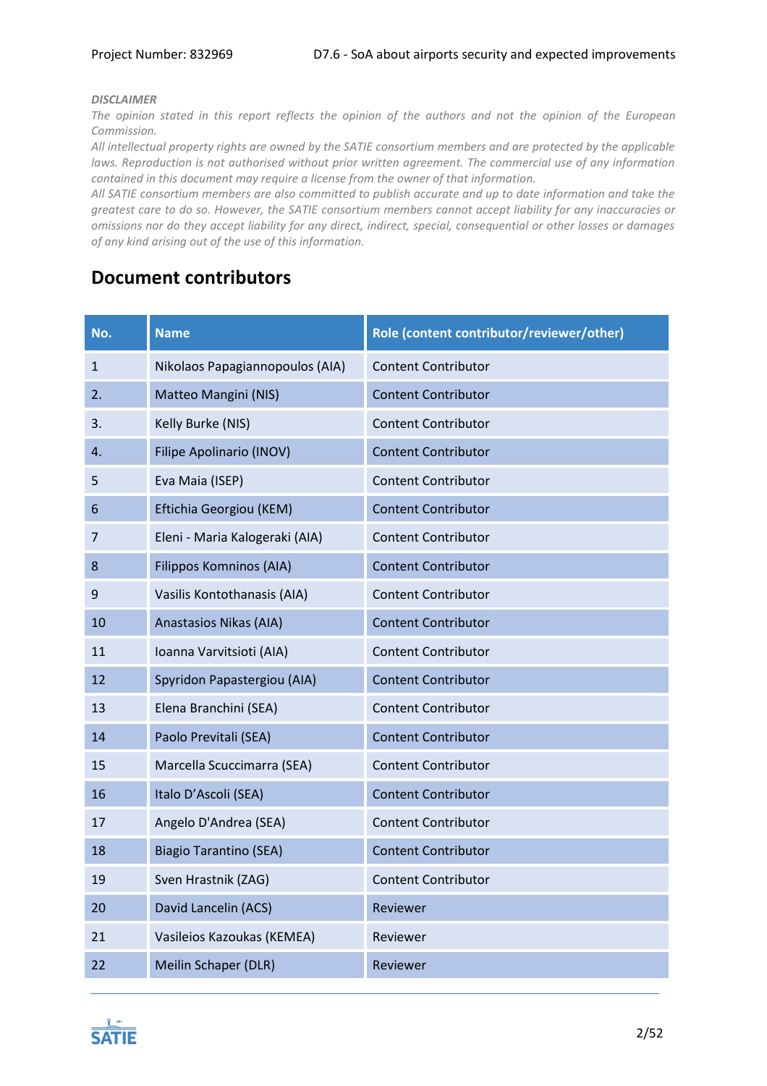#### *DISCLAIMER*

*The opinion stated in this report reflects the opinion of the authors and not the opinion of the European Commission.*

*All intellectual property rights are owned by the SATIE consortium members and are protected by the applicable laws. Reproduction is not authorised without prior written agreement. The commercial use of any information contained in this document may require a license from the owner of that information.* 

*All SATIE consortium members are also committed to publish accurate and up to date information and take the greatest care to do so. However, the SATIE consortium members cannot accept liability for any inaccuracies or omissions nor do they accept liability for any direct, indirect, special, consequential or other losses or damages of any kind arising out of the use of this information.*

# **Document contributors**

| No. | <b>Name</b>                     | Role (content contributor/reviewer/other) |
|-----|---------------------------------|-------------------------------------------|
| 1   | Nikolaos Papagiannopoulos (AIA) | <b>Content Contributor</b>                |
| 2.  | Matteo Mangini (NIS)            | <b>Content Contributor</b>                |
| 3.  | Kelly Burke (NIS)               | <b>Content Contributor</b>                |
| 4.  | <b>Filipe Apolinario (INOV)</b> | <b>Content Contributor</b>                |
| 5   | Eva Maia (ISEP)                 | <b>Content Contributor</b>                |
| 6   | Eftichia Georgiou (KEM)         | <b>Content Contributor</b>                |
| 7   | Eleni - Maria Kalogeraki (AIA)  | <b>Content Contributor</b>                |
| 8   | <b>Filippos Komninos (AIA)</b>  | <b>Content Contributor</b>                |
| 9   | Vasilis Kontothanasis (AIA)     | <b>Content Contributor</b>                |
| 10  | Anastasios Nikas (AIA)          | <b>Content Contributor</b>                |
| 11  | Ioanna Varvitsioti (AIA)        | <b>Content Contributor</b>                |
| 12  | Spyridon Papastergiou (AIA)     | <b>Content Contributor</b>                |
| 13  | Elena Branchini (SEA)           | <b>Content Contributor</b>                |
| 14  | Paolo Previtali (SEA)           | <b>Content Contributor</b>                |
| 15  | Marcella Scuccimarra (SEA)      | <b>Content Contributor</b>                |
| 16  | Italo D'Ascoli (SEA)            | <b>Content Contributor</b>                |
| 17  | Angelo D'Andrea (SEA)           | <b>Content Contributor</b>                |
| 18  | <b>Biagio Tarantino (SEA)</b>   | <b>Content Contributor</b>                |
| 19  | Sven Hrastnik (ZAG)             | <b>Content Contributor</b>                |
| 20  | David Lancelin (ACS)            | Reviewer                                  |
| 21  | Vasileios Kazoukas (KEMEA)      | Reviewer                                  |
| 22  | Meilin Schaper (DLR)            | Reviewer                                  |

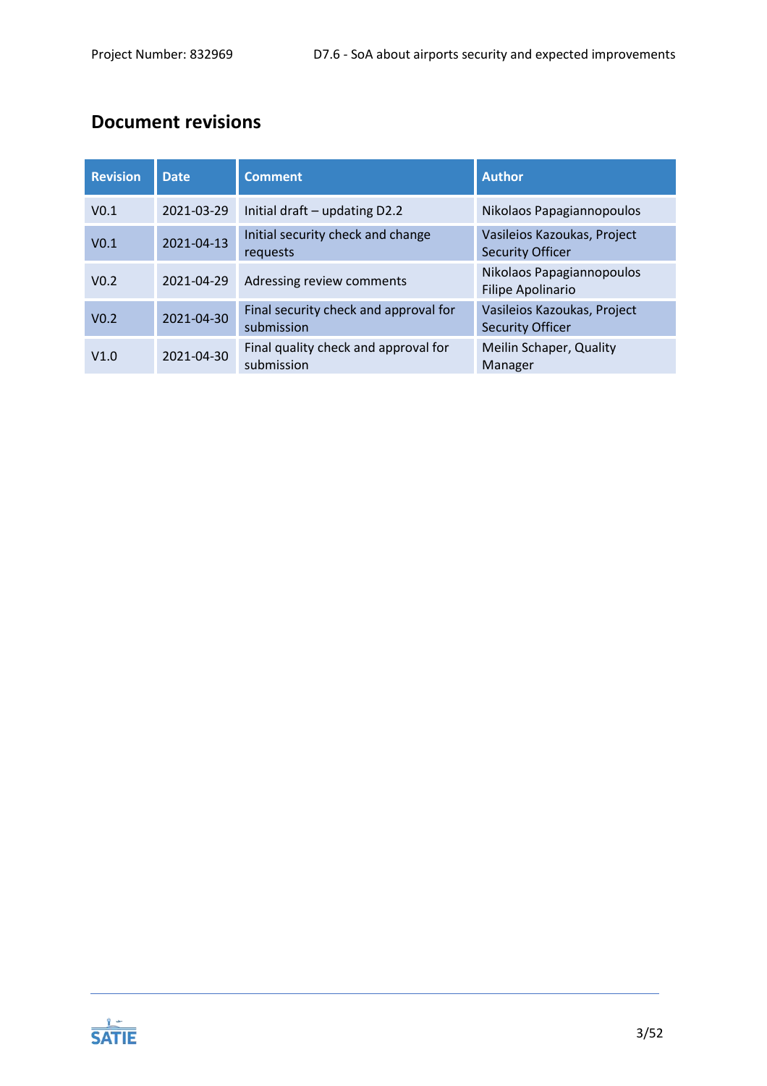# **Document revisions**

| <b>Revision</b>  | <b>Date</b> | <b>Comment</b>                                      | <b>Author</b>                                          |
|------------------|-------------|-----------------------------------------------------|--------------------------------------------------------|
| V <sub>0.1</sub> | 2021-03-29  | Initial draft - updating D2.2                       | Nikolaos Papagiannopoulos                              |
| V <sub>0.1</sub> | 2021-04-13  | Initial security check and change<br>requests       | Vasileios Kazoukas, Project<br><b>Security Officer</b> |
| V <sub>0.2</sub> | 2021-04-29  | Adressing review comments                           | Nikolaos Papagiannopoulos<br><b>Filipe Apolinario</b>  |
| V <sub>0.2</sub> | 2021-04-30  | Final security check and approval for<br>submission | Vasileios Kazoukas, Project<br><b>Security Officer</b> |
| V1.0             | 2021-04-30  | Final quality check and approval for<br>submission  | Meilin Schaper, Quality<br>Manager                     |

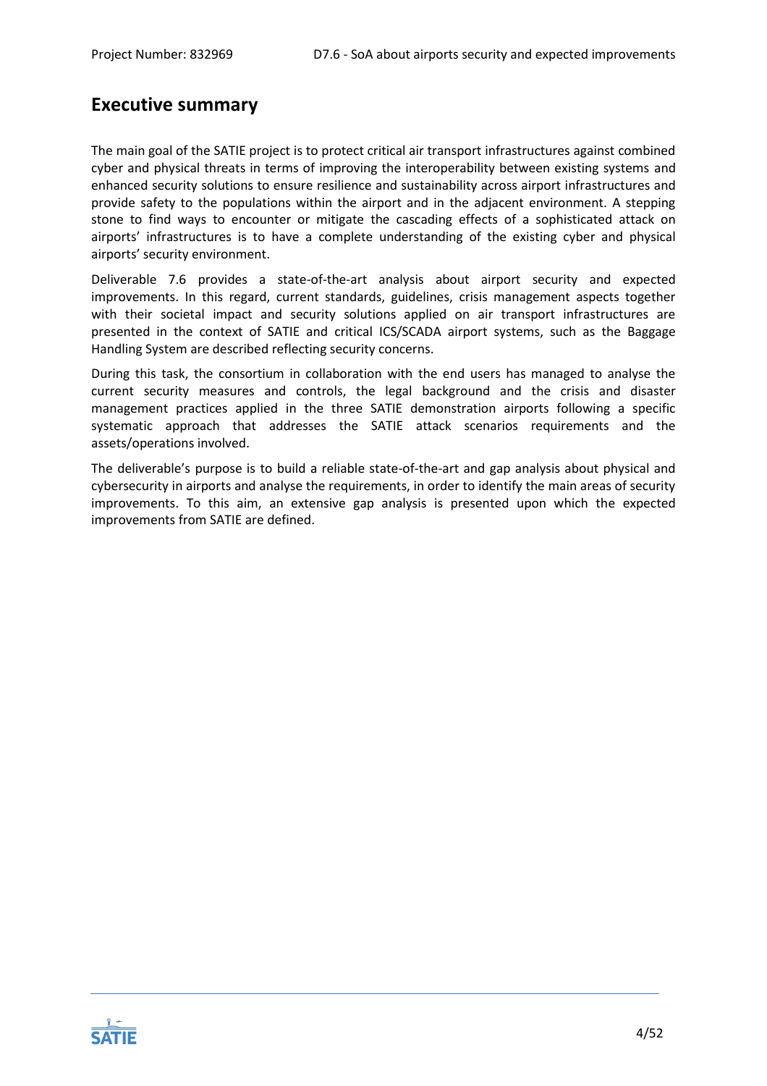# **Executive summary**

The main goal of the SATIE project is to protect critical air transport infrastructures against combined cyber and physical threats in terms of improving the interoperability between existing systems and enhanced security solutions to ensure resilience and sustainability across airport infrastructures and provide safety to the populations within the airport and in the adjacent environment. A stepping stone to find ways to encounter or mitigate the cascading effects of a sophisticated attack on airports' infrastructures is to have a complete understanding of the existing cyber and physical airports' security environment.

Deliverable 7.6 provides a state-of-the-art analysis about airport security and expected improvements. In this regard, current standards, guidelines, crisis management aspects together with their societal impact and security solutions applied on air transport infrastructures are presented in the context of SATIE and critical ICS/SCADA airport systems, such as the Baggage Handling System are described reflecting security concerns.

During this task, the consortium in collaboration with the end users has managed to analyse the current security measures and controls, the legal background and the crisis and disaster management practices applied in the three SATIE demonstration airports following a specific systematic approach that addresses the SATIE attack scenarios requirements and the assets/operations involved.

The deliverable's purpose is to build a reliable state-of-the-art and gap analysis about physical and cybersecurity in airports and analyse the requirements, in order to identify the main areas of security improvements. To this aim, an extensive gap analysis is presented upon which the expected improvements from SATIE are defined.

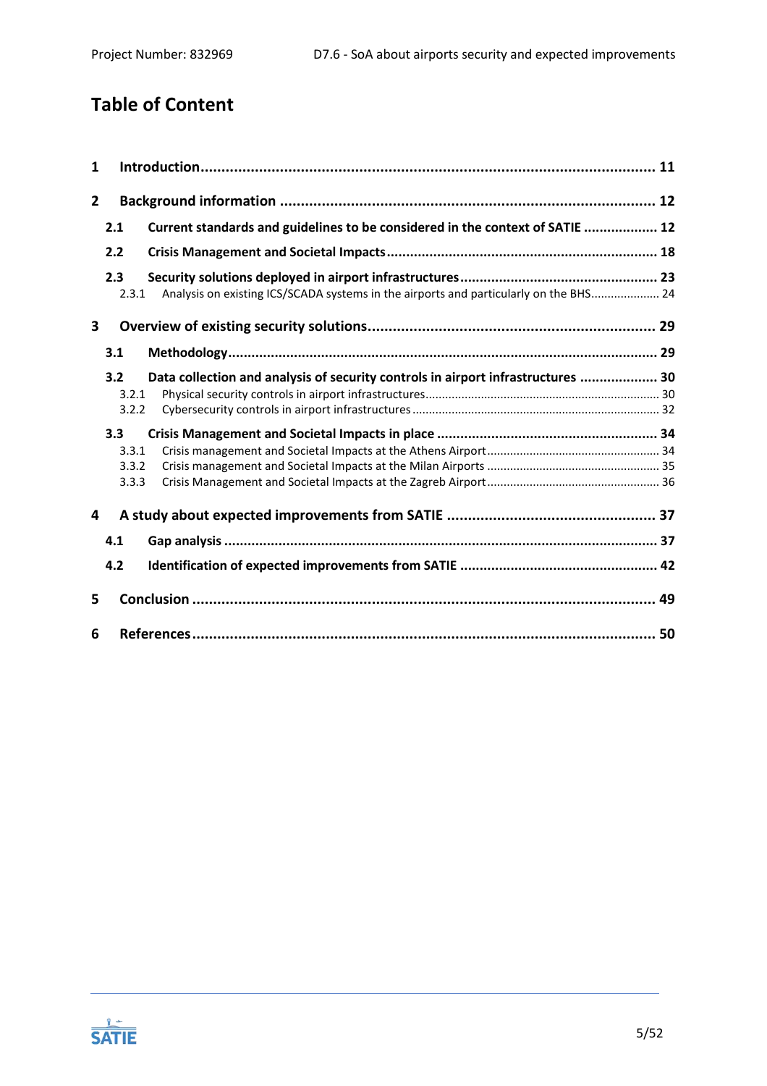# **Table of Content**

| 1              |                                |                                                                                       |    |
|----------------|--------------------------------|---------------------------------------------------------------------------------------|----|
| $\overline{2}$ |                                |                                                                                       |    |
|                | 2.1                            | Current standards and guidelines to be considered in the context of SATIE  12         |    |
|                | 2.2                            |                                                                                       |    |
|                | 2.3<br>2.3.1                   | Analysis on existing ICS/SCADA systems in the airports and particularly on the BHS 24 |    |
| 3              |                                |                                                                                       |    |
|                | 3.1                            |                                                                                       |    |
|                | 3.2<br>3.2.1<br>3.2.2          | Data collection and analysis of security controls in airport infrastructures  30      |    |
|                | 3.3<br>3.3.1<br>3.3.2<br>3.3.3 |                                                                                       |    |
| 4              |                                |                                                                                       |    |
|                | 4.1                            |                                                                                       |    |
|                | 4.2                            |                                                                                       |    |
| 5              |                                |                                                                                       |    |
| 6              |                                |                                                                                       | 50 |

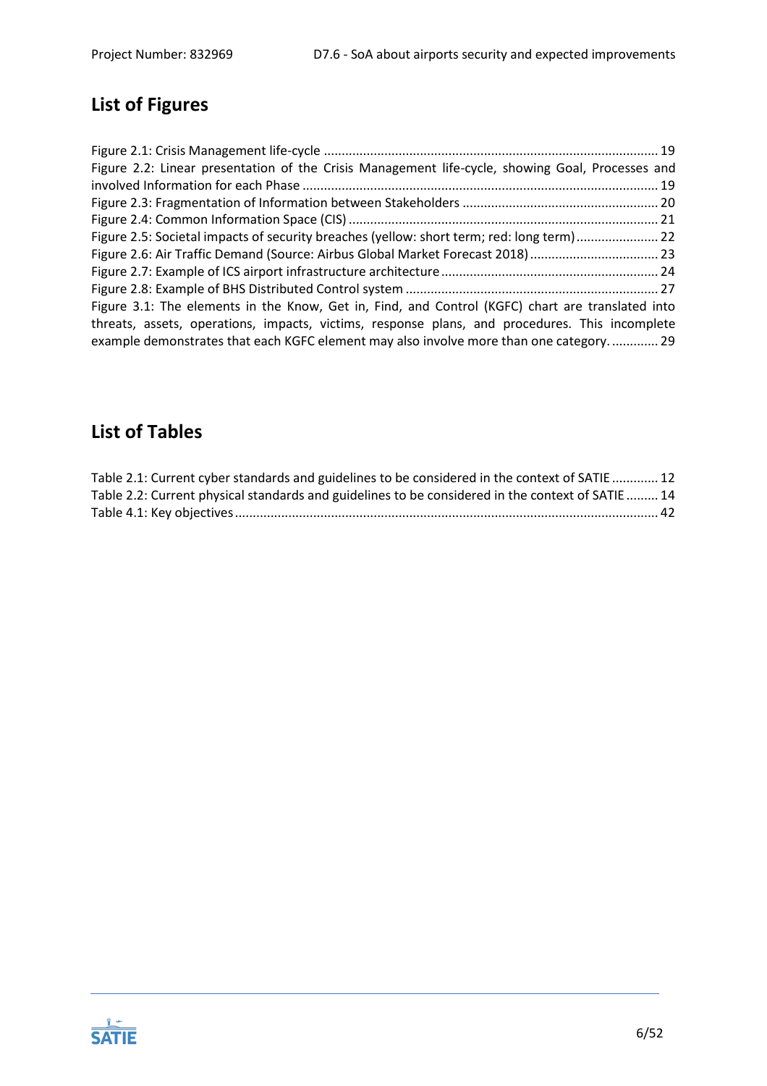# **List of Figures**

| Figure 2.2: Linear presentation of the Crisis Management life-cycle, showing Goal, Processes and                                                                                         |  |
|------------------------------------------------------------------------------------------------------------------------------------------------------------------------------------------|--|
|                                                                                                                                                                                          |  |
|                                                                                                                                                                                          |  |
|                                                                                                                                                                                          |  |
| Figure 2.5: Societal impacts of security breaches (yellow: short term; red: long term) 22                                                                                                |  |
| Figure 2.6: Air Traffic Demand (Source: Airbus Global Market Forecast 2018)  23                                                                                                          |  |
|                                                                                                                                                                                          |  |
|                                                                                                                                                                                          |  |
| Figure 3.1: The elements in the Know, Get in, Find, and Control (KGFC) chart are translated into                                                                                         |  |
| threats, assets, operations, impacts, victims, response plans, and procedures. This incomplete<br>example demonstrates that each KGFC element may also involve more than one category 29 |  |

# **List of Tables**

| Table 2.1: Current cyber standards and guidelines to be considered in the context of SATIE 12    |  |
|--------------------------------------------------------------------------------------------------|--|
| Table 2.2: Current physical standards and guidelines to be considered in the context of SATIE 14 |  |
|                                                                                                  |  |

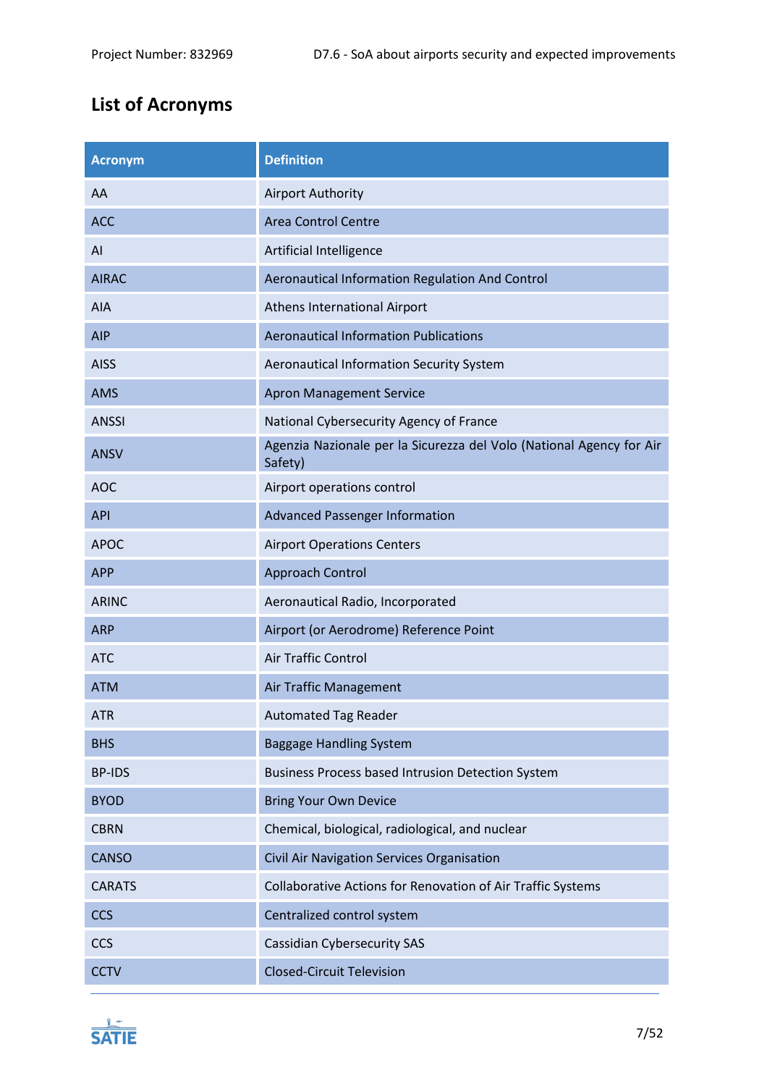# **List of Acronyms**

| <b>Acronym</b> | <b>Definition</b>                                                               |
|----------------|---------------------------------------------------------------------------------|
| AA             | <b>Airport Authority</b>                                                        |
| <b>ACC</b>     | <b>Area Control Centre</b>                                                      |
| AI             | Artificial Intelligence                                                         |
| <b>AIRAC</b>   | Aeronautical Information Regulation And Control                                 |
| AIA            | Athens International Airport                                                    |
| <b>AIP</b>     | <b>Aeronautical Information Publications</b>                                    |
| <b>AISS</b>    | Aeronautical Information Security System                                        |
| <b>AMS</b>     | <b>Apron Management Service</b>                                                 |
| <b>ANSSI</b>   | National Cybersecurity Agency of France                                         |
| <b>ANSV</b>    | Agenzia Nazionale per la Sicurezza del Volo (National Agency for Air<br>Safety) |
| <b>AOC</b>     | Airport operations control                                                      |
| <b>API</b>     | <b>Advanced Passenger Information</b>                                           |
| <b>APOC</b>    | <b>Airport Operations Centers</b>                                               |
| <b>APP</b>     | Approach Control                                                                |
| <b>ARINC</b>   | Aeronautical Radio, Incorporated                                                |
| <b>ARP</b>     | Airport (or Aerodrome) Reference Point                                          |
| <b>ATC</b>     | Air Traffic Control                                                             |
| <b>ATM</b>     | Air Traffic Management                                                          |
| <b>ATR</b>     | <b>Automated Tag Reader</b>                                                     |
| <b>BHS</b>     | <b>Baggage Handling System</b>                                                  |
| <b>BP-IDS</b>  | Business Process based Intrusion Detection System                               |
| <b>BYOD</b>    | <b>Bring Your Own Device</b>                                                    |
| <b>CBRN</b>    | Chemical, biological, radiological, and nuclear                                 |
| <b>CANSO</b>   | Civil Air Navigation Services Organisation                                      |
| <b>CARATS</b>  | Collaborative Actions for Renovation of Air Traffic Systems                     |
| <b>CCS</b>     | Centralized control system                                                      |
| <b>CCS</b>     | <b>Cassidian Cybersecurity SAS</b>                                              |
| <b>CCTV</b>    | <b>Closed-Circuit Television</b>                                                |

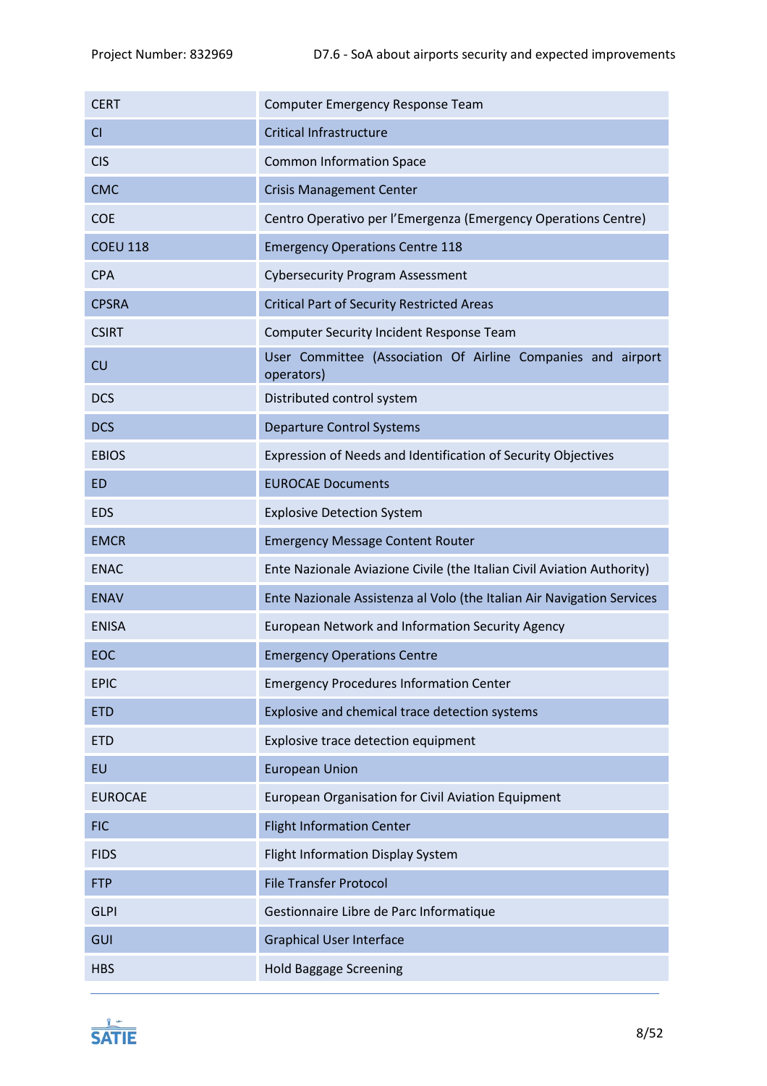| <b>CERT</b>     | Computer Emergency Response Team                                           |
|-----------------|----------------------------------------------------------------------------|
| <b>CI</b>       | <b>Critical Infrastructure</b>                                             |
| <b>CIS</b>      | <b>Common Information Space</b>                                            |
| <b>CMC</b>      | <b>Crisis Management Center</b>                                            |
| <b>COE</b>      | Centro Operativo per l'Emergenza (Emergency Operations Centre)             |
| <b>COEU 118</b> | <b>Emergency Operations Centre 118</b>                                     |
| <b>CPA</b>      | <b>Cybersecurity Program Assessment</b>                                    |
| <b>CPSRA</b>    | <b>Critical Part of Security Restricted Areas</b>                          |
| <b>CSIRT</b>    | Computer Security Incident Response Team                                   |
| CU              | User Committee (Association Of Airline Companies and airport<br>operators) |
| <b>DCS</b>      | Distributed control system                                                 |
| <b>DCS</b>      | <b>Departure Control Systems</b>                                           |
| <b>EBIOS</b>    | Expression of Needs and Identification of Security Objectives              |
| <b>ED</b>       | <b>EUROCAE Documents</b>                                                   |
| <b>EDS</b>      | <b>Explosive Detection System</b>                                          |
| <b>EMCR</b>     | <b>Emergency Message Content Router</b>                                    |
| <b>ENAC</b>     | Ente Nazionale Aviazione Civile (the Italian Civil Aviation Authority)     |
| <b>ENAV</b>     | Ente Nazionale Assistenza al Volo (the Italian Air Navigation Services     |
| <b>ENISA</b>    | European Network and Information Security Agency                           |
| EOC             | <b>Emergency Operations Centre</b>                                         |
| <b>EPIC</b>     | <b>Emergency Procedures Information Center</b>                             |
| <b>ETD</b>      | Explosive and chemical trace detection systems                             |
| <b>ETD</b>      | Explosive trace detection equipment                                        |
| EU              | <b>European Union</b>                                                      |
| <b>EUROCAE</b>  | European Organisation for Civil Aviation Equipment                         |
| <b>FIC</b>      | <b>Flight Information Center</b>                                           |
| <b>FIDS</b>     | Flight Information Display System                                          |
| <b>FTP</b>      | <b>File Transfer Protocol</b>                                              |
| <b>GLPI</b>     | Gestionnaire Libre de Parc Informatique                                    |
| GUI             | <b>Graphical User Interface</b>                                            |
| <b>HBS</b>      | <b>Hold Baggage Screening</b>                                              |

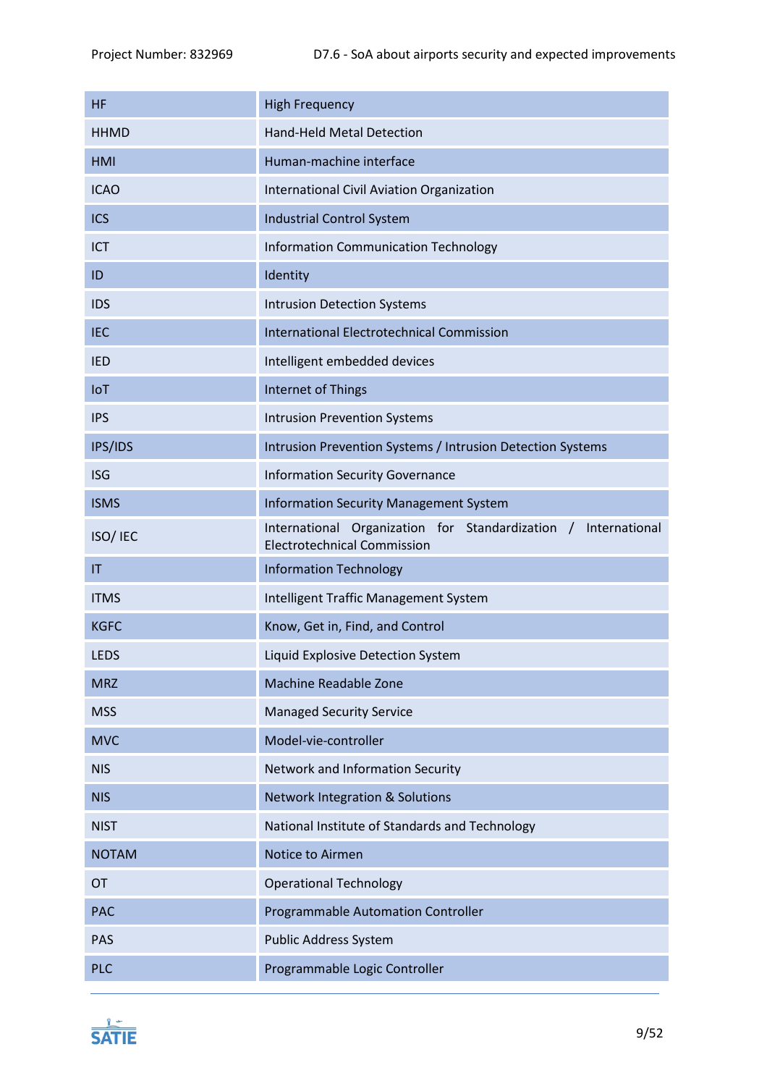| <b>HF</b>              | <b>High Frequency</b>                                                                                      |  |
|------------------------|------------------------------------------------------------------------------------------------------------|--|
| <b>HHMD</b>            | <b>Hand-Held Metal Detection</b>                                                                           |  |
| <b>HMI</b>             | Human-machine interface                                                                                    |  |
| <b>ICAO</b>            | International Civil Aviation Organization                                                                  |  |
| <b>ICS</b>             | <b>Industrial Control System</b>                                                                           |  |
| ICT                    | <b>Information Communication Technology</b>                                                                |  |
| ID                     | Identity                                                                                                   |  |
| <b>IDS</b>             | <b>Intrusion Detection Systems</b>                                                                         |  |
| <b>IEC</b>             | <b>International Electrotechnical Commission</b>                                                           |  |
| <b>IED</b>             | Intelligent embedded devices                                                                               |  |
| IoT                    | Internet of Things                                                                                         |  |
| <b>IPS</b>             | <b>Intrusion Prevention Systems</b>                                                                        |  |
| IPS/IDS                | Intrusion Prevention Systems / Intrusion Detection Systems                                                 |  |
| <b>ISG</b>             | <b>Information Security Governance</b>                                                                     |  |
| <b>ISMS</b>            | <b>Information Security Management System</b>                                                              |  |
| ISO/ IEC               | Organization for Standardization /<br>International<br>International<br><b>Electrotechnical Commission</b> |  |
| $\mathsf{I}\mathsf{T}$ | <b>Information Technology</b>                                                                              |  |
| <b>ITMS</b>            | Intelligent Traffic Management System                                                                      |  |
| <b>KGFC</b>            | Know, Get in, Find, and Control                                                                            |  |
| <b>LEDS</b>            | Liquid Explosive Detection System                                                                          |  |
| <b>MRZ</b>             | <b>Machine Readable Zone</b>                                                                               |  |
| <b>MSS</b>             | <b>Managed Security Service</b>                                                                            |  |
| <b>MVC</b>             | Model-vie-controller                                                                                       |  |
| <b>NIS</b>             | Network and Information Security                                                                           |  |
| <b>NIS</b>             | <b>Network Integration &amp; Solutions</b>                                                                 |  |
| <b>NIST</b>            | National Institute of Standards and Technology                                                             |  |
| <b>NOTAM</b>           | Notice to Airmen                                                                                           |  |
| OT                     | <b>Operational Technology</b>                                                                              |  |
| <b>PAC</b>             | <b>Programmable Automation Controller</b>                                                                  |  |
| PAS                    | Public Address System                                                                                      |  |
| <b>PLC</b>             | Programmable Logic Controller                                                                              |  |

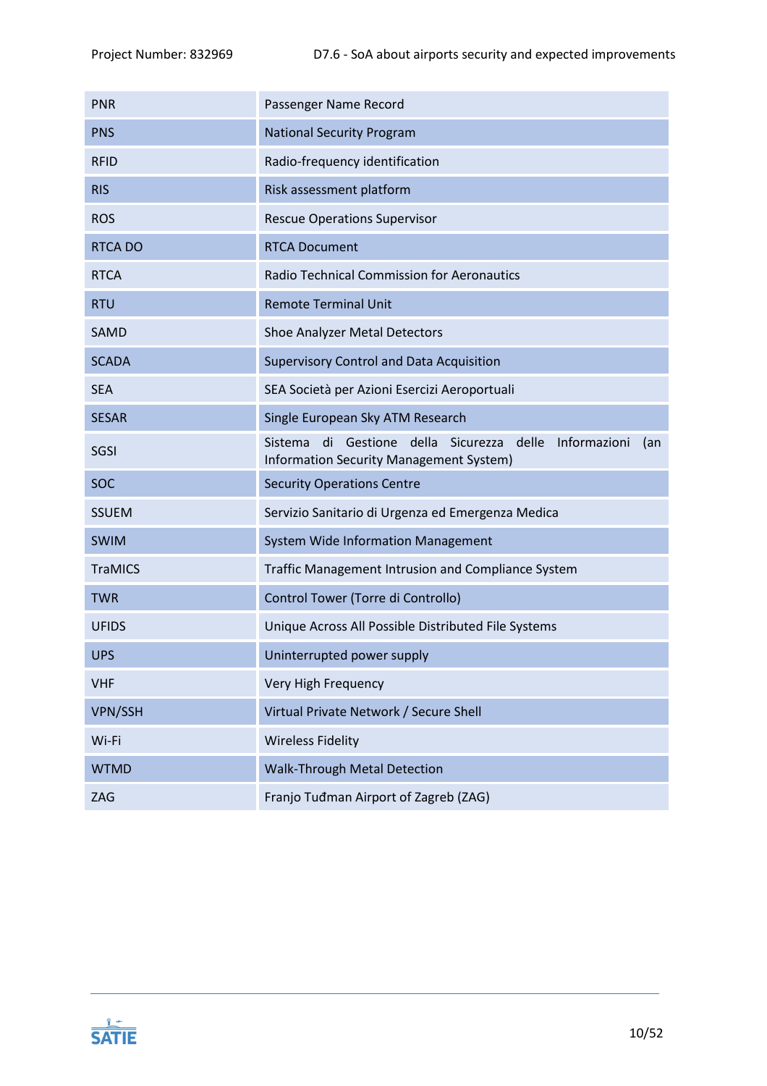| <b>PNR</b>     | Passenger Name Record                                                                                                   |  |
|----------------|-------------------------------------------------------------------------------------------------------------------------|--|
| <b>PNS</b>     | <b>National Security Program</b>                                                                                        |  |
| <b>RFID</b>    | Radio-frequency identification                                                                                          |  |
| <b>RIS</b>     | Risk assessment platform                                                                                                |  |
| <b>ROS</b>     | <b>Rescue Operations Supervisor</b>                                                                                     |  |
| <b>RTCA DO</b> | <b>RTCA Document</b>                                                                                                    |  |
| <b>RTCA</b>    | <b>Radio Technical Commission for Aeronautics</b>                                                                       |  |
| <b>RTU</b>     | <b>Remote Terminal Unit</b>                                                                                             |  |
| <b>SAMD</b>    | Shoe Analyzer Metal Detectors                                                                                           |  |
| <b>SCADA</b>   | <b>Supervisory Control and Data Acquisition</b>                                                                         |  |
| <b>SEA</b>     | SEA Società per Azioni Esercizi Aeroportuali                                                                            |  |
| <b>SESAR</b>   | Single European Sky ATM Research                                                                                        |  |
| SGSI           | di Gestione<br>della<br>delle<br>Informazioni<br>Sistema<br>Sicurezza<br>(an<br>Information Security Management System) |  |
| <b>SOC</b>     | <b>Security Operations Centre</b>                                                                                       |  |
| <b>SSUEM</b>   | Servizio Sanitario di Urgenza ed Emergenza Medica                                                                       |  |
| <b>SWIM</b>    | <b>System Wide Information Management</b>                                                                               |  |
| <b>TraMICS</b> | Traffic Management Intrusion and Compliance System                                                                      |  |
| <b>TWR</b>     | Control Tower (Torre di Controllo)                                                                                      |  |
| <b>UFIDS</b>   | Unique Across All Possible Distributed File Systems                                                                     |  |
| <b>UPS</b>     | Uninterrupted power supply                                                                                              |  |
| <b>VHF</b>     | Very High Frequency                                                                                                     |  |
| <b>VPN/SSH</b> | Virtual Private Network / Secure Shell                                                                                  |  |
| Wi-Fi          | <b>Wireless Fidelity</b>                                                                                                |  |
| <b>WTMD</b>    | <b>Walk-Through Metal Detection</b>                                                                                     |  |
| ZAG            | Franjo Tuđman Airport of Zagreb (ZAG)                                                                                   |  |

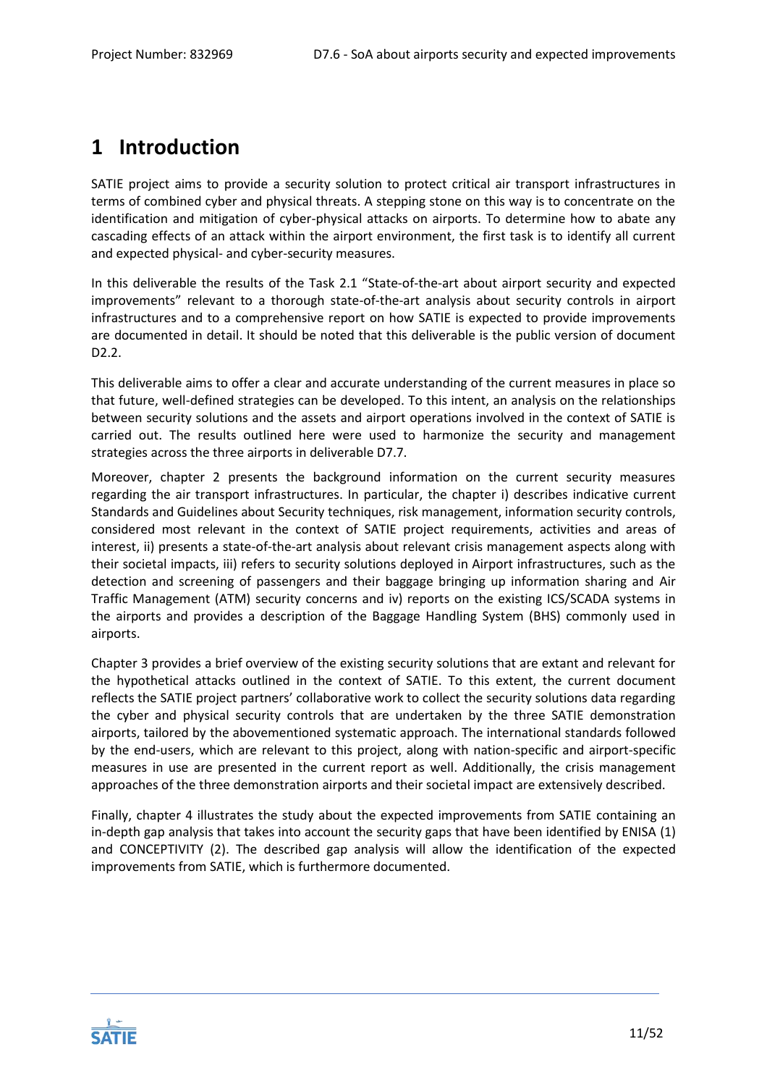# <span id="page-10-0"></span>**1 Introduction**

SATIE project aims to provide a security solution to protect critical air transport infrastructures in terms of combined cyber and physical threats. A stepping stone on this way is to concentrate on the identification and mitigation of cyber-physical attacks on airports. To determine how to abate any cascading effects of an attack within the airport environment, the first task is to identify all current and expected physical- and cyber-security measures.

In this deliverable the results of the Task 2.1 "State-of-the-art about airport security and expected improvements" relevant to a thorough state-of-the-art analysis about security controls in airport infrastructures and to a comprehensive report on how SATIE is expected to provide improvements are documented in detail. It should be noted that this deliverable is the public version of document D2.2.

This deliverable aims to offer a clear and accurate understanding of the current measures in place so that future, well-defined strategies can be developed. To this intent, an analysis on the relationships between security solutions and the assets and airport operations involved in the context of SATIE is carried out. The results outlined here were used to harmonize the security and management strategies across the three airports in deliverable D7.7.

Moreover, chapter 2 presents the background information on the current security measures regarding the air transport infrastructures. In particular, the chapter i) describes indicative current Standards and Guidelines about Security techniques, risk management, information security controls, considered most relevant in the context of SATIE project requirements, activities and areas of interest, ii) presents a state-of-the-art analysis about relevant crisis management aspects along with their societal impacts, iii) refers to security solutions deployed in Airport infrastructures, such as the detection and screening of passengers and their baggage bringing up information sharing and Air Traffic Management (ATM) security concerns and iv) reports on the existing ICS/SCADA systems in the airports and provides a description of the Baggage Handling System (BHS) commonly used in airports.

Chapter 3 provides a brief overview of the existing security solutions that are extant and relevant for the hypothetical attacks outlined in the context of SATIE. To this extent, the current document reflects the SATIE project partners' collaborative work to collect the security solutions data regarding the cyber and physical security controls that are undertaken by the three SATIE demonstration airports, tailored by the abovementioned systematic approach. The international standards followed by the end-users, which are relevant to this project, along with nation-specific and airport-specific measures in use are presented in the current report as well. Additionally, the crisis management approaches of the three demonstration airports and their societal impact are extensively described.

Finally, chapter 4 illustrates the study about the expected improvements from SATIE containing an in-depth gap analysis that takes into account the security gaps that have been identified by ENISA (1) and CONCEPTIVITY (2). The described gap analysis will allow the identification of the expected improvements from SATIE, which is furthermore documented.

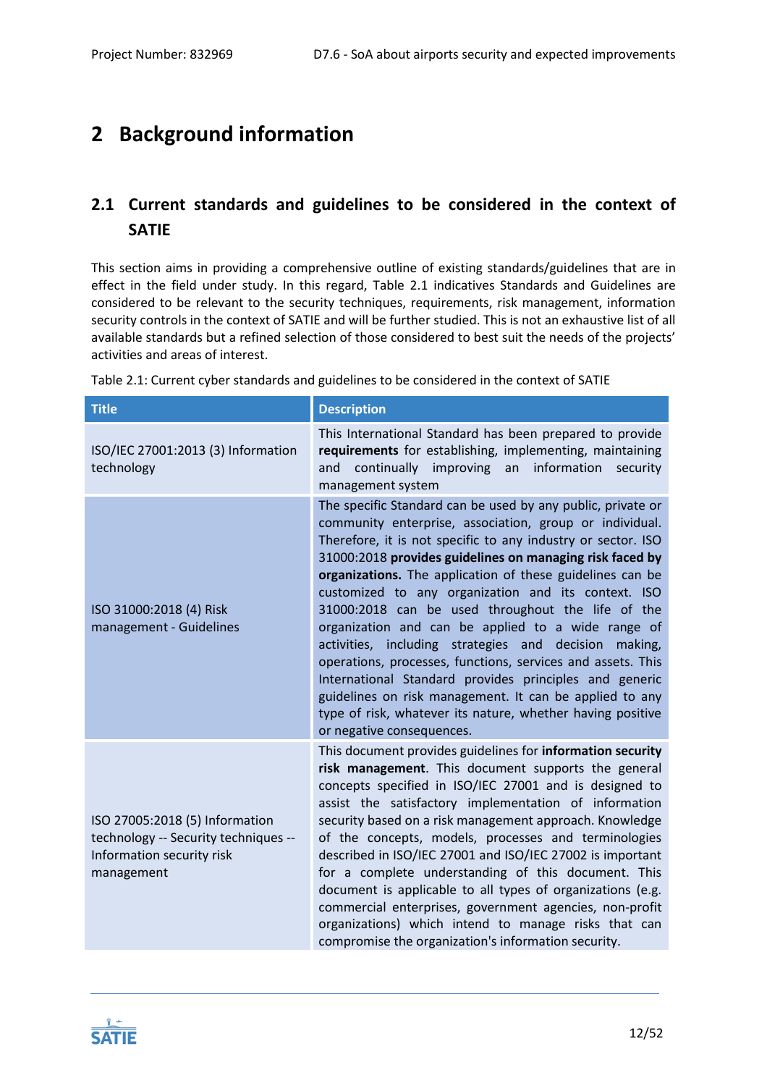# <span id="page-11-0"></span>**2 Background information**

# <span id="page-11-1"></span>**2.1 Current standards and guidelines to be considered in the context of SATIE**

This section aims in providing a comprehensive outline of existing standards/guidelines that are in effect in the field under study. In this regard, [Table 2.1](#page-11-2) indicatives Standards and Guidelines are considered to be relevant to the security techniques, requirements, risk management, information security controls in the context of SATIE and will be further studied. This is not an exhaustive list of all available standards but a refined selection of those considered to best suit the needs of the projects' activities and areas of interest.

| <b>Title</b>                                                                                                      | <b>Description</b>                                                                                                                                                                                                                                                                                                                                                                                                                                                                                                                                                                                                                                                                                                                                                                                                           |
|-------------------------------------------------------------------------------------------------------------------|------------------------------------------------------------------------------------------------------------------------------------------------------------------------------------------------------------------------------------------------------------------------------------------------------------------------------------------------------------------------------------------------------------------------------------------------------------------------------------------------------------------------------------------------------------------------------------------------------------------------------------------------------------------------------------------------------------------------------------------------------------------------------------------------------------------------------|
| ISO/IEC 27001:2013 (3) Information<br>technology                                                                  | This International Standard has been prepared to provide<br>requirements for establishing, implementing, maintaining<br>continually improving<br>an<br>information<br>and<br>security<br>management system                                                                                                                                                                                                                                                                                                                                                                                                                                                                                                                                                                                                                   |
| ISO 31000:2018 (4) Risk<br>management - Guidelines                                                                | The specific Standard can be used by any public, private or<br>community enterprise, association, group or individual.<br>Therefore, it is not specific to any industry or sector. ISO<br>31000:2018 provides guidelines on managing risk faced by<br>organizations. The application of these guidelines can be<br>customized to any organization and its context. ISO<br>31000:2018 can be used throughout the life of the<br>organization and can be applied to a wide range of<br>activities, including strategies and decision<br>making,<br>operations, processes, functions, services and assets. This<br>International Standard provides principles and generic<br>guidelines on risk management. It can be applied to any<br>type of risk, whatever its nature, whether having positive<br>or negative consequences. |
| ISO 27005:2018 (5) Information<br>technology -- Security techniques --<br>Information security risk<br>management | This document provides guidelines for information security<br>risk management. This document supports the general<br>concepts specified in ISO/IEC 27001 and is designed to<br>assist the satisfactory implementation of information<br>security based on a risk management approach. Knowledge<br>of the concepts, models, processes and terminologies<br>described in ISO/IEC 27001 and ISO/IEC 27002 is important<br>for a complete understanding of this document. This<br>document is applicable to all types of organizations (e.g.<br>commercial enterprises, government agencies, non-profit<br>organizations) which intend to manage risks that can<br>compromise the organization's information security.                                                                                                          |

<span id="page-11-2"></span>Table 2.1: Current cyber standards and guidelines to be considered in the context of SATIE

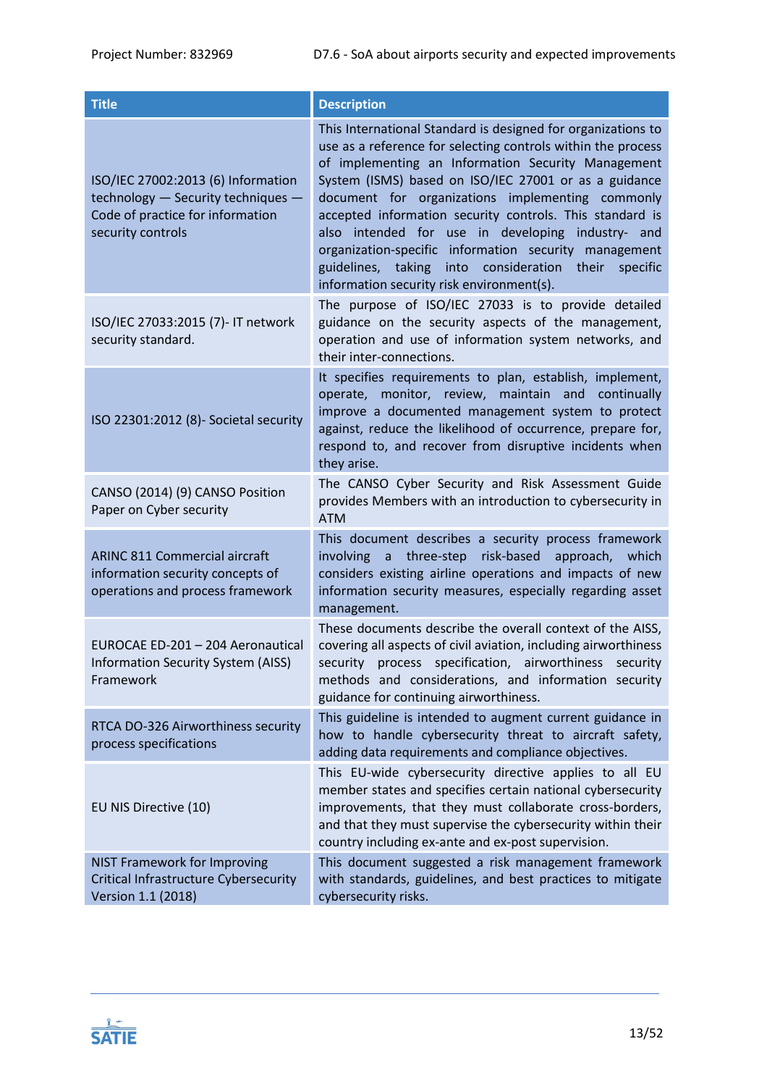| <b>Title</b>                                                                                                                      | <b>Description</b>                                                                                                                                                                                                                                                                                                                                                                                                                                                                                                                                                                      |
|-----------------------------------------------------------------------------------------------------------------------------------|-----------------------------------------------------------------------------------------------------------------------------------------------------------------------------------------------------------------------------------------------------------------------------------------------------------------------------------------------------------------------------------------------------------------------------------------------------------------------------------------------------------------------------------------------------------------------------------------|
| ISO/IEC 27002:2013 (6) Information<br>technology - Security techniques -<br>Code of practice for information<br>security controls | This International Standard is designed for organizations to<br>use as a reference for selecting controls within the process<br>of implementing an Information Security Management<br>System (ISMS) based on ISO/IEC 27001 or as a guidance<br>document for organizations implementing commonly<br>accepted information security controls. This standard is<br>intended for use in developing industry- and<br>also<br>organization-specific information security management<br>consideration their specific<br>guidelines,<br>taking into<br>information security risk environment(s). |
| ISO/IEC 27033:2015 (7)- IT network<br>security standard.                                                                          | The purpose of ISO/IEC 27033 is to provide detailed<br>guidance on the security aspects of the management,<br>operation and use of information system networks, and<br>their inter-connections.                                                                                                                                                                                                                                                                                                                                                                                         |
| ISO 22301:2012 (8)- Societal security                                                                                             | It specifies requirements to plan, establish, implement,<br>operate, monitor, review, maintain and continually<br>improve a documented management system to protect<br>against, reduce the likelihood of occurrence, prepare for,<br>respond to, and recover from disruptive incidents when<br>they arise.                                                                                                                                                                                                                                                                              |
| CANSO (2014) (9) CANSO Position<br>Paper on Cyber security                                                                        | The CANSO Cyber Security and Risk Assessment Guide<br>provides Members with an introduction to cybersecurity in<br><b>ATM</b>                                                                                                                                                                                                                                                                                                                                                                                                                                                           |
| <b>ARINC 811 Commercial aircraft</b><br>information security concepts of<br>operations and process framework                      | This document describes a security process framework<br>risk-based<br>three-step<br>approach,<br>involving<br>$\mathsf{a}$<br>which<br>considers existing airline operations and impacts of new<br>information security measures, especially regarding asset<br>management.                                                                                                                                                                                                                                                                                                             |
| EUROCAE ED-201 - 204 Aeronautical<br><b>Information Security System (AISS)</b><br>Framework                                       | These documents describe the overall context of the AISS,<br>covering all aspects of civil aviation, including airworthiness<br>security process specification, airworthiness security<br>methods and considerations, and information security<br>guidance for continuing airworthiness.                                                                                                                                                                                                                                                                                                |
| RTCA DO-326 Airworthiness security<br>process specifications                                                                      | This guideline is intended to augment current guidance in<br>how to handle cybersecurity threat to aircraft safety,<br>adding data requirements and compliance objectives.                                                                                                                                                                                                                                                                                                                                                                                                              |
| EU NIS Directive (10)                                                                                                             | This EU-wide cybersecurity directive applies to all EU<br>member states and specifies certain national cybersecurity<br>improvements, that they must collaborate cross-borders,<br>and that they must supervise the cybersecurity within their<br>country including ex-ante and ex-post supervision.                                                                                                                                                                                                                                                                                    |
| <b>NIST Framework for Improving</b><br><b>Critical Infrastructure Cybersecurity</b><br>Version 1.1 (2018)                         | This document suggested a risk management framework<br>with standards, guidelines, and best practices to mitigate<br>cybersecurity risks.                                                                                                                                                                                                                                                                                                                                                                                                                                               |

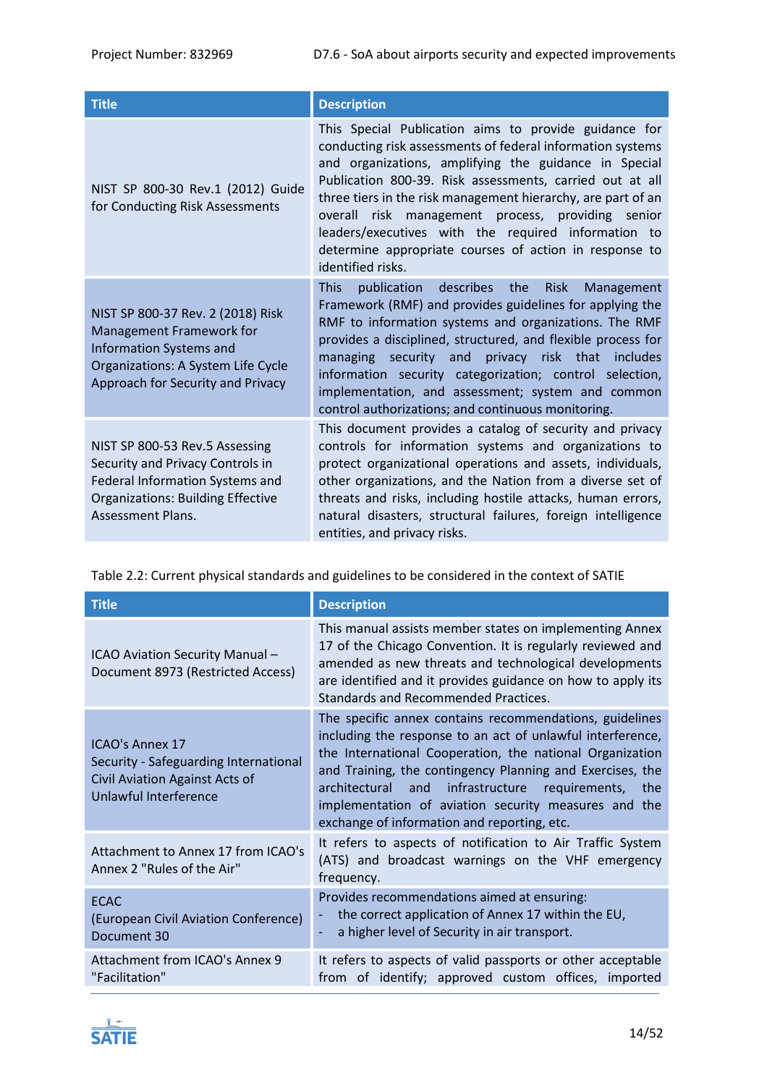| <b>Title</b>                                                                                                                                                               | <b>Description</b>                                                                                                                                                                                                                                                                                                                                                                                                                                                                                     |  |  |
|----------------------------------------------------------------------------------------------------------------------------------------------------------------------------|--------------------------------------------------------------------------------------------------------------------------------------------------------------------------------------------------------------------------------------------------------------------------------------------------------------------------------------------------------------------------------------------------------------------------------------------------------------------------------------------------------|--|--|
| NIST SP 800-30 Rev.1 (2012) Guide<br>for Conducting Risk Assessments                                                                                                       | This Special Publication aims to provide guidance for<br>conducting risk assessments of federal information systems<br>and organizations, amplifying the guidance in Special<br>Publication 800-39. Risk assessments, carried out at all<br>three tiers in the risk management hierarchy, are part of an<br>risk management process, providing senior<br>overall<br>leaders/executives with the required information to<br>determine appropriate courses of action in response to<br>identified risks. |  |  |
| NIST SP 800-37 Rev. 2 (2018) Risk<br>Management Framework for<br><b>Information Systems and</b><br>Organizations: A System Life Cycle<br>Approach for Security and Privacy | <b>This</b><br>publication describes<br><b>Risk</b><br>the<br>Management<br>Framework (RMF) and provides guidelines for applying the<br>RMF to information systems and organizations. The RMF<br>provides a disciplined, structured, and flexible process for<br>managing security and privacy risk that includes<br>information security categorization; control selection,<br>implementation, and assessment; system and common<br>control authorizations; and continuous monitoring.                |  |  |
| NIST SP 800-53 Rev.5 Assessing<br>Security and Privacy Controls in<br>Federal Information Systems and<br><b>Organizations: Building Effective</b><br>Assessment Plans.     | This document provides a catalog of security and privacy<br>controls for information systems and organizations to<br>protect organizational operations and assets, individuals,<br>other organizations, and the Nation from a diverse set of<br>threats and risks, including hostile attacks, human errors,<br>natural disasters, structural failures, foreign intelligence<br>entities, and privacy risks.                                                                                            |  |  |

| <b>Title</b>                                                                                                               | <b>Description</b>                                                                                                                                                                                                                                                                                                                                                                                                                                                                                                                                                                                                                                                                                                                                                                                                                          |  |  |  |
|----------------------------------------------------------------------------------------------------------------------------|---------------------------------------------------------------------------------------------------------------------------------------------------------------------------------------------------------------------------------------------------------------------------------------------------------------------------------------------------------------------------------------------------------------------------------------------------------------------------------------------------------------------------------------------------------------------------------------------------------------------------------------------------------------------------------------------------------------------------------------------------------------------------------------------------------------------------------------------|--|--|--|
| ICAO Aviation Security Manual-<br>Document 8973 (Restricted Access)                                                        | This manual assists member states on implementing Annex<br>17 of the Chicago Convention. It is regularly reviewed and<br>amended as new threats and technological developments<br>are identified and it provides guidance on how to apply its<br>Standards and Recommended Practices.<br>The specific annex contains recommendations, guidelines<br>including the response to an act of unlawful interference,<br>the International Cooperation, the national Organization<br>and Training, the contingency Planning and Exercises, the<br>architectural<br>infrastructure requirements, the<br>and<br>implementation of aviation security measures and the<br>exchange of information and reporting, etc.<br>It refers to aspects of notification to Air Traffic System<br>(ATS) and broadcast warnings on the VHF emergency<br>frequency. |  |  |  |
| <b>ICAO's Annex 17</b><br>Security - Safeguarding International<br>Civil Aviation Against Acts of<br>Unlawful Interference |                                                                                                                                                                                                                                                                                                                                                                                                                                                                                                                                                                                                                                                                                                                                                                                                                                             |  |  |  |
| Attachment to Annex 17 from ICAO's<br>Annex 2 "Rules of the Air"                                                           |                                                                                                                                                                                                                                                                                                                                                                                                                                                                                                                                                                                                                                                                                                                                                                                                                                             |  |  |  |
| <b>ECAC</b><br>(European Civil Aviation Conference)<br>Document 30                                                         | Provides recommendations aimed at ensuring:<br>the correct application of Annex 17 within the EU,<br>a higher level of Security in air transport.<br>٠                                                                                                                                                                                                                                                                                                                                                                                                                                                                                                                                                                                                                                                                                      |  |  |  |
| Attachment from ICAO's Annex 9<br>"Facilitation"                                                                           | It refers to aspects of valid passports or other acceptable<br>from of identify; approved custom offices, imported                                                                                                                                                                                                                                                                                                                                                                                                                                                                                                                                                                                                                                                                                                                          |  |  |  |

<span id="page-13-0"></span>Table 2.2: Current physical standards and guidelines to be considered in the context of SATIE

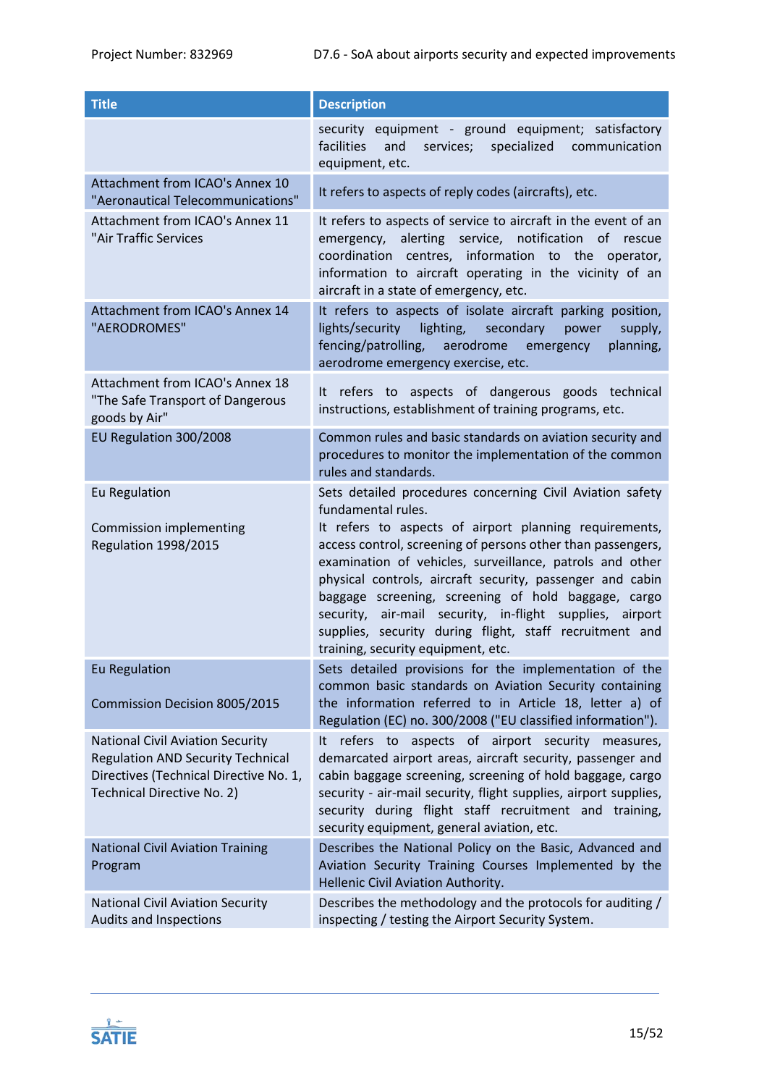| <b>Title</b>                                                                                                                                                       | <b>Description</b>                                                                                                                                                                                                                                                                                                                                                                                                                                                                                                                                    |  |  |  |
|--------------------------------------------------------------------------------------------------------------------------------------------------------------------|-------------------------------------------------------------------------------------------------------------------------------------------------------------------------------------------------------------------------------------------------------------------------------------------------------------------------------------------------------------------------------------------------------------------------------------------------------------------------------------------------------------------------------------------------------|--|--|--|
|                                                                                                                                                                    | security equipment - ground equipment; satisfactory<br>facilities<br>and<br>services;<br>specialized<br>communication<br>equipment, etc.                                                                                                                                                                                                                                                                                                                                                                                                              |  |  |  |
| Attachment from ICAO's Annex 10<br>"Aeronautical Telecommunications"                                                                                               | It refers to aspects of reply codes (aircrafts), etc.                                                                                                                                                                                                                                                                                                                                                                                                                                                                                                 |  |  |  |
| Attachment from ICAO's Annex 11<br>"Air Traffic Services                                                                                                           | It refers to aspects of service to aircraft in the event of an<br>alerting service, notification<br>emergency,<br>of rescue<br>coordination centres, information to the operator,<br>information to aircraft operating in the vicinity of an<br>aircraft in a state of emergency, etc.                                                                                                                                                                                                                                                                |  |  |  |
| Attachment from ICAO's Annex 14<br>"AERODROMES"                                                                                                                    | It refers to aspects of isolate aircraft parking position,<br>lights/security<br>lighting, secondary<br>supply,<br>power<br>fencing/patrolling,<br>aerodrome<br>planning,<br>emergency<br>aerodrome emergency exercise, etc.                                                                                                                                                                                                                                                                                                                          |  |  |  |
| Attachment from ICAO's Annex 18<br>"The Safe Transport of Dangerous<br>goods by Air"                                                                               | It refers to aspects of dangerous goods technical<br>instructions, establishment of training programs, etc.                                                                                                                                                                                                                                                                                                                                                                                                                                           |  |  |  |
| EU Regulation 300/2008                                                                                                                                             | Common rules and basic standards on aviation security and<br>procedures to monitor the implementation of the common<br>rules and standards.                                                                                                                                                                                                                                                                                                                                                                                                           |  |  |  |
| Eu Regulation<br>Commission implementing<br><b>Regulation 1998/2015</b>                                                                                            | Sets detailed procedures concerning Civil Aviation safety<br>fundamental rules.<br>It refers to aspects of airport planning requirements,<br>access control, screening of persons other than passengers,<br>examination of vehicles, surveillance, patrols and other<br>physical controls, aircraft security, passenger and cabin<br>baggage screening, screening of hold baggage, cargo<br>security, air-mail security, in-flight supplies, airport<br>supplies, security during flight, staff recruitment and<br>training, security equipment, etc. |  |  |  |
| <b>Eu Regulation</b>                                                                                                                                               | Sets detailed provisions for the implementation of the                                                                                                                                                                                                                                                                                                                                                                                                                                                                                                |  |  |  |
| <b>Commission Decision 8005/2015</b>                                                                                                                               | common basic standards on Aviation Security containing<br>the information referred to in Article 18, letter a) of<br>Regulation (EC) no. 300/2008 ("EU classified information").                                                                                                                                                                                                                                                                                                                                                                      |  |  |  |
| <b>National Civil Aviation Security</b><br><b>Regulation AND Security Technical</b><br>Directives (Technical Directive No. 1,<br><b>Technical Directive No. 2)</b> | refers to aspects of airport security measures,<br>It<br>demarcated airport areas, aircraft security, passenger and<br>cabin baggage screening, screening of hold baggage, cargo<br>security - air-mail security, flight supplies, airport supplies,<br>security during flight staff recruitment and training,<br>security equipment, general aviation, etc.                                                                                                                                                                                          |  |  |  |
| <b>National Civil Aviation Training</b><br>Program                                                                                                                 | Describes the National Policy on the Basic, Advanced and<br>Aviation Security Training Courses Implemented by the<br>Hellenic Civil Aviation Authority.                                                                                                                                                                                                                                                                                                                                                                                               |  |  |  |
| <b>National Civil Aviation Security</b><br>Audits and Inspections                                                                                                  | Describes the methodology and the protocols for auditing /<br>inspecting / testing the Airport Security System.                                                                                                                                                                                                                                                                                                                                                                                                                                       |  |  |  |

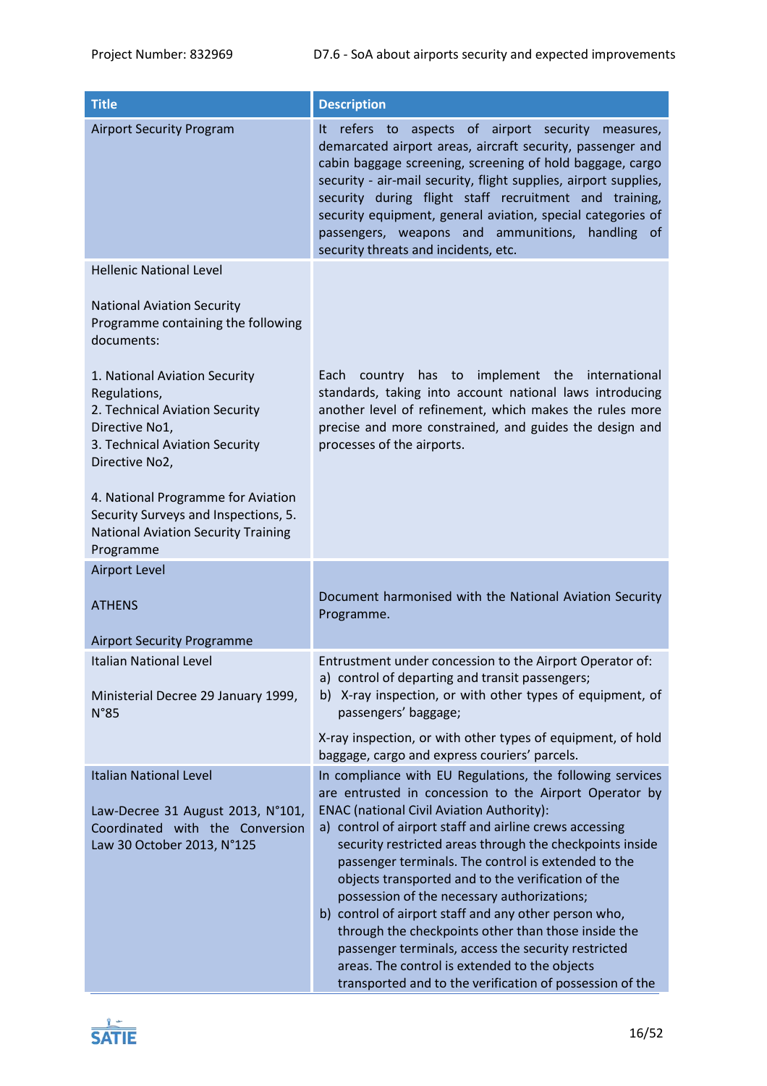| <b>Title</b>                                                                                                                                          | <b>Description</b>                                                                                                                                                                                                                                                                                                                                                                                                                                                                                                                                                                                                                                                                                                                             |  |  |  |
|-------------------------------------------------------------------------------------------------------------------------------------------------------|------------------------------------------------------------------------------------------------------------------------------------------------------------------------------------------------------------------------------------------------------------------------------------------------------------------------------------------------------------------------------------------------------------------------------------------------------------------------------------------------------------------------------------------------------------------------------------------------------------------------------------------------------------------------------------------------------------------------------------------------|--|--|--|
| <b>Airport Security Program</b>                                                                                                                       | refers to aspects of airport security measures,<br>It.<br>demarcated airport areas, aircraft security, passenger and<br>cabin baggage screening, screening of hold baggage, cargo<br>security - air-mail security, flight supplies, airport supplies,<br>security during flight staff recruitment and training,<br>security equipment, general aviation, special categories of<br>passengers, weapons and ammunitions, handling of<br>security threats and incidents, etc.                                                                                                                                                                                                                                                                     |  |  |  |
| <b>Hellenic National Level</b>                                                                                                                        |                                                                                                                                                                                                                                                                                                                                                                                                                                                                                                                                                                                                                                                                                                                                                |  |  |  |
| <b>National Aviation Security</b><br>Programme containing the following<br>documents:                                                                 |                                                                                                                                                                                                                                                                                                                                                                                                                                                                                                                                                                                                                                                                                                                                                |  |  |  |
| 1. National Aviation Security<br>Regulations,<br>2. Technical Aviation Security<br>Directive No1,<br>3. Technical Aviation Security<br>Directive No2, | country has to implement the international<br>Each<br>standards, taking into account national laws introducing<br>another level of refinement, which makes the rules more<br>precise and more constrained, and guides the design and<br>processes of the airports.                                                                                                                                                                                                                                                                                                                                                                                                                                                                             |  |  |  |
| 4. National Programme for Aviation<br>Security Surveys and Inspections, 5.<br><b>National Aviation Security Training</b><br>Programme                 |                                                                                                                                                                                                                                                                                                                                                                                                                                                                                                                                                                                                                                                                                                                                                |  |  |  |
| <b>Airport Level</b>                                                                                                                                  |                                                                                                                                                                                                                                                                                                                                                                                                                                                                                                                                                                                                                                                                                                                                                |  |  |  |
| <b>ATHENS</b>                                                                                                                                         | Document harmonised with the National Aviation Security<br>Programme.                                                                                                                                                                                                                                                                                                                                                                                                                                                                                                                                                                                                                                                                          |  |  |  |
| <b>Airport Security Programme</b>                                                                                                                     |                                                                                                                                                                                                                                                                                                                                                                                                                                                                                                                                                                                                                                                                                                                                                |  |  |  |
| Italian National Level<br>Ministerial Decree 29 January 1999,<br>N°85                                                                                 | Entrustment under concession to the Airport Operator of:<br>a) control of departing and transit passengers;<br>b) X-ray inspection, or with other types of equipment, of<br>passengers' baggage;                                                                                                                                                                                                                                                                                                                                                                                                                                                                                                                                               |  |  |  |
|                                                                                                                                                       | X-ray inspection, or with other types of equipment, of hold<br>baggage, cargo and express couriers' parcels.                                                                                                                                                                                                                                                                                                                                                                                                                                                                                                                                                                                                                                   |  |  |  |
| <b>Italian National Level</b><br>Law-Decree 31 August 2013, N°101,<br>Coordinated with the Conversion<br>Law 30 October 2013, N°125                   | In compliance with EU Regulations, the following services<br>are entrusted in concession to the Airport Operator by<br><b>ENAC (national Civil Aviation Authority):</b><br>a) control of airport staff and airline crews accessing<br>security restricted areas through the checkpoints inside<br>passenger terminals. The control is extended to the<br>objects transported and to the verification of the<br>possession of the necessary authorizations;<br>b) control of airport staff and any other person who,<br>through the checkpoints other than those inside the<br>passenger terminals, access the security restricted<br>areas. The control is extended to the objects<br>transported and to the verification of possession of the |  |  |  |

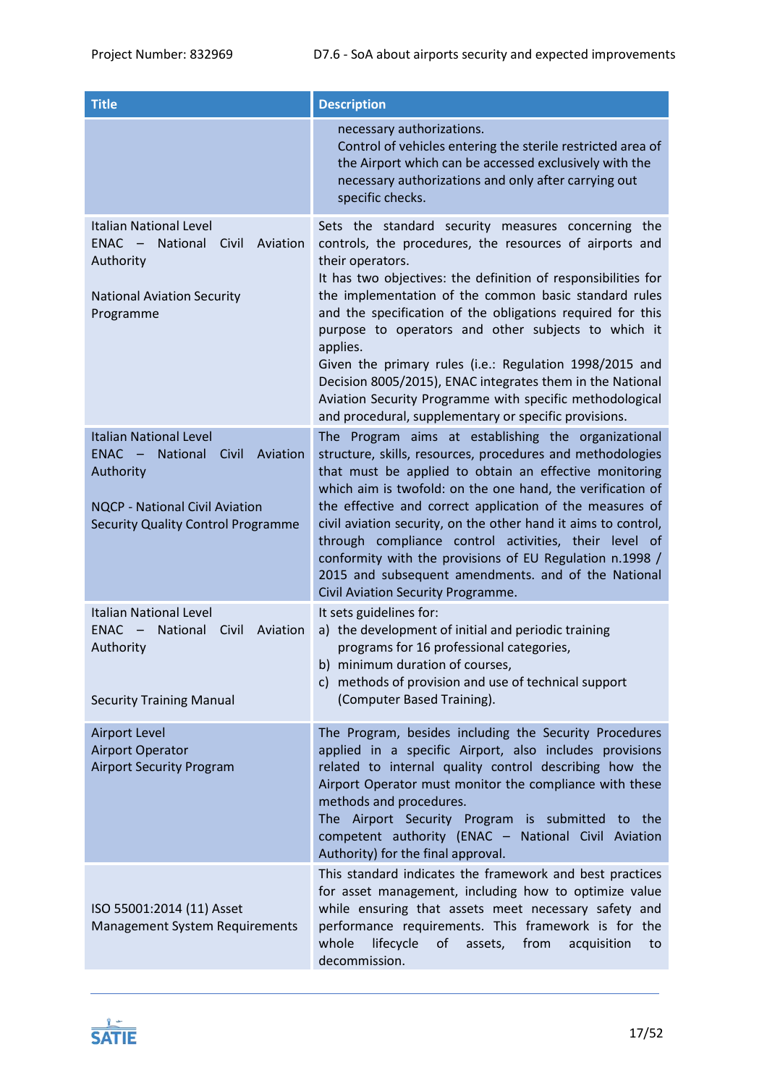| <b>Title</b>                                                                                                                                                                         | <b>Description</b>                                                                                                                                                                                                                                                                                                                                                                                                                                                                                                                                                                                                                        |  |  |  |
|--------------------------------------------------------------------------------------------------------------------------------------------------------------------------------------|-------------------------------------------------------------------------------------------------------------------------------------------------------------------------------------------------------------------------------------------------------------------------------------------------------------------------------------------------------------------------------------------------------------------------------------------------------------------------------------------------------------------------------------------------------------------------------------------------------------------------------------------|--|--|--|
|                                                                                                                                                                                      | necessary authorizations.<br>Control of vehicles entering the sterile restricted area of<br>the Airport which can be accessed exclusively with the<br>necessary authorizations and only after carrying out<br>specific checks.                                                                                                                                                                                                                                                                                                                                                                                                            |  |  |  |
| <b>Italian National Level</b><br>$ENAC -$<br>National<br>Civil<br>Aviation<br>Authority<br><b>National Aviation Security</b><br>Programme                                            | Sets the standard security measures concerning the<br>controls, the procedures, the resources of airports and<br>their operators.<br>It has two objectives: the definition of responsibilities for<br>the implementation of the common basic standard rules<br>and the specification of the obligations required for this<br>purpose to operators and other subjects to which it<br>applies.<br>Given the primary rules (i.e.: Regulation 1998/2015 and<br>Decision 8005/2015), ENAC integrates them in the National<br>Aviation Security Programme with specific methodological<br>and procedural, supplementary or specific provisions. |  |  |  |
| <b>Italian National Level</b><br>$ENAC -$<br><b>National</b><br>Civil<br>Aviation<br>Authority<br><b>NQCP - National Civil Aviation</b><br><b>Security Quality Control Programme</b> | The Program aims at establishing the organizational<br>structure, skills, resources, procedures and methodologies<br>that must be applied to obtain an effective monitoring<br>which aim is twofold: on the one hand, the verification of<br>the effective and correct application of the measures of<br>civil aviation security, on the other hand it aims to control,<br>through compliance control activities, their level of<br>conformity with the provisions of EU Regulation n.1998 /<br>2015 and subsequent amendments. and of the National<br>Civil Aviation Security Programme.                                                 |  |  |  |
| <b>Italian National Level</b><br><b>ENAC</b><br>National<br>Civil<br>Aviation<br>$\sim$ $-$<br>Authority<br><b>Security Training Manual</b>                                          | It sets guidelines for:<br>a) the development of initial and periodic training<br>programs for 16 professional categories,<br>b) minimum duration of courses,<br>c) methods of provision and use of technical support<br>(Computer Based Training).                                                                                                                                                                                                                                                                                                                                                                                       |  |  |  |
| <b>Airport Level</b><br><b>Airport Operator</b><br><b>Airport Security Program</b>                                                                                                   | The Program, besides including the Security Procedures<br>applied in a specific Airport, also includes provisions<br>related to internal quality control describing how the<br>Airport Operator must monitor the compliance with these<br>methods and procedures.<br>The Airport Security Program is submitted to the<br>competent authority (ENAC - National Civil Aviation<br>Authority) for the final approval.                                                                                                                                                                                                                        |  |  |  |
| ISO 55001:2014 (11) Asset<br><b>Management System Requirements</b>                                                                                                                   | This standard indicates the framework and best practices<br>for asset management, including how to optimize value<br>while ensuring that assets meet necessary safety and<br>performance requirements. This framework is for the<br>lifecycle<br>of<br>whole<br>assets,<br>from<br>acquisition<br>to<br>decommission.                                                                                                                                                                                                                                                                                                                     |  |  |  |

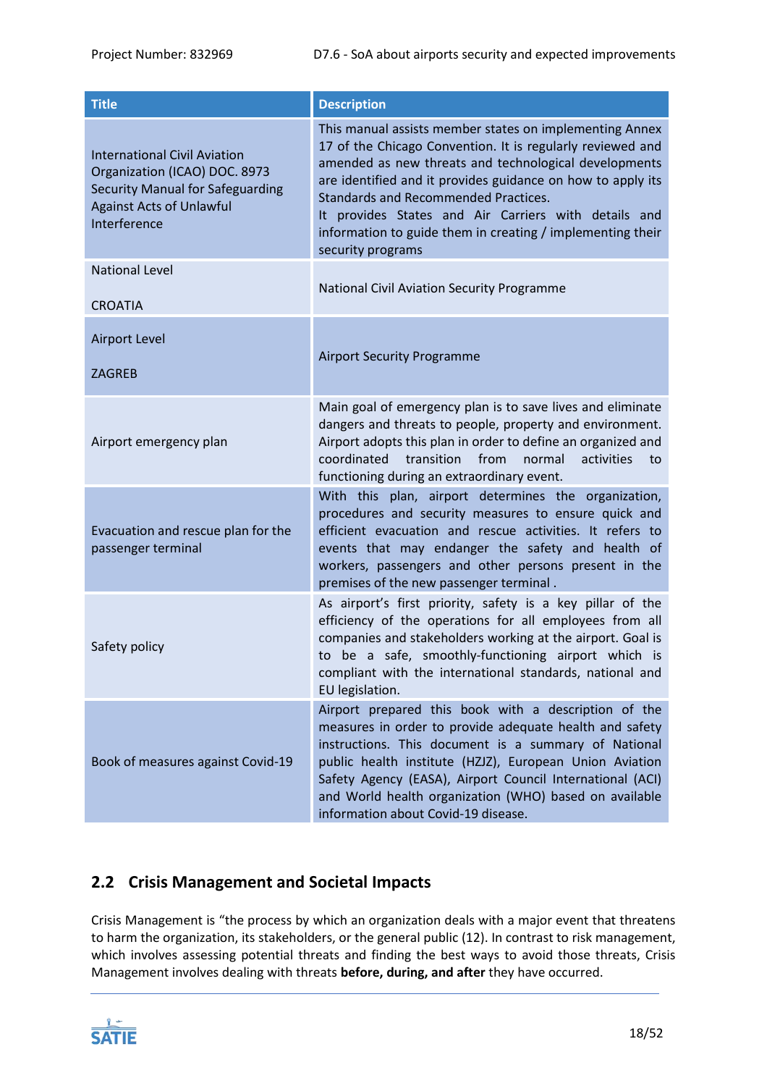| <b>Title</b>                                                                                                                                                       | <b>Description</b>                                                                                                                                                                                                                                                                                                                                                                                                                                                                                                                                                                                                                                                                                                                                                                                                                                                                                                                                                                                                                                                                                                                                                                                                                                                                                                                                                           |  |  |
|--------------------------------------------------------------------------------------------------------------------------------------------------------------------|------------------------------------------------------------------------------------------------------------------------------------------------------------------------------------------------------------------------------------------------------------------------------------------------------------------------------------------------------------------------------------------------------------------------------------------------------------------------------------------------------------------------------------------------------------------------------------------------------------------------------------------------------------------------------------------------------------------------------------------------------------------------------------------------------------------------------------------------------------------------------------------------------------------------------------------------------------------------------------------------------------------------------------------------------------------------------------------------------------------------------------------------------------------------------------------------------------------------------------------------------------------------------------------------------------------------------------------------------------------------------|--|--|
| <b>International Civil Aviation</b><br>Organization (ICAO) DOC. 8973<br><b>Security Manual for Safeguarding</b><br><b>Against Acts of Unlawful</b><br>Interference | This manual assists member states on implementing Annex<br>17 of the Chicago Convention. It is regularly reviewed and<br>amended as new threats and technological developments<br>are identified and it provides guidance on how to apply its<br><b>Standards and Recommended Practices.</b><br>It provides States and Air Carriers with details and<br>information to guide them in creating / implementing their<br>security programs                                                                                                                                                                                                                                                                                                                                                                                                                                                                                                                                                                                                                                                                                                                                                                                                                                                                                                                                      |  |  |
| <b>National Level</b><br><b>CROATIA</b>                                                                                                                            | National Civil Aviation Security Programme                                                                                                                                                                                                                                                                                                                                                                                                                                                                                                                                                                                                                                                                                                                                                                                                                                                                                                                                                                                                                                                                                                                                                                                                                                                                                                                                   |  |  |
| <b>Airport Level</b><br><b>ZAGREB</b>                                                                                                                              | <b>Airport Security Programme</b>                                                                                                                                                                                                                                                                                                                                                                                                                                                                                                                                                                                                                                                                                                                                                                                                                                                                                                                                                                                                                                                                                                                                                                                                                                                                                                                                            |  |  |
| Airport emergency plan                                                                                                                                             | Main goal of emergency plan is to save lives and eliminate<br>dangers and threats to people, property and environment.<br>Airport adopts this plan in order to define an organized and<br>coordinated<br>transition<br>from<br>normal<br>activities<br>to<br>functioning during an extraordinary event.<br>With this plan, airport determines the organization,<br>procedures and security measures to ensure quick and<br>efficient evacuation and rescue activities. It refers to<br>events that may endanger the safety and health of<br>workers, passengers and other persons present in the<br>premises of the new passenger terminal.<br>As airport's first priority, safety is a key pillar of the<br>efficiency of the operations for all employees from all<br>companies and stakeholders working at the airport. Goal is<br>to be a safe, smoothly-functioning airport which is<br>compliant with the international standards, national and<br>EU legislation.<br>Airport prepared this book with a description of the<br>measures in order to provide adequate health and safety<br>instructions. This document is a summary of National<br>public health institute (HZJZ), European Union Aviation<br>Safety Agency (EASA), Airport Council International (ACI)<br>and World health organization (WHO) based on available<br>information about Covid-19 disease. |  |  |
| Evacuation and rescue plan for the<br>passenger terminal                                                                                                           |                                                                                                                                                                                                                                                                                                                                                                                                                                                                                                                                                                                                                                                                                                                                                                                                                                                                                                                                                                                                                                                                                                                                                                                                                                                                                                                                                                              |  |  |
| Safety policy                                                                                                                                                      |                                                                                                                                                                                                                                                                                                                                                                                                                                                                                                                                                                                                                                                                                                                                                                                                                                                                                                                                                                                                                                                                                                                                                                                                                                                                                                                                                                              |  |  |
| Book of measures against Covid-19                                                                                                                                  |                                                                                                                                                                                                                                                                                                                                                                                                                                                                                                                                                                                                                                                                                                                                                                                                                                                                                                                                                                                                                                                                                                                                                                                                                                                                                                                                                                              |  |  |

# <span id="page-17-0"></span>**2.2 Crisis Management and Societal Impacts**

Crisis Management is "the process by which an organization deals with a major event that threatens to harm the organization, its stakeholders, or the general public (12). In contrast to risk management, which involves assessing potential threats and finding the best ways to avoid those threats, Crisis Management involves dealing with threats **before, during, and after** they have occurred.

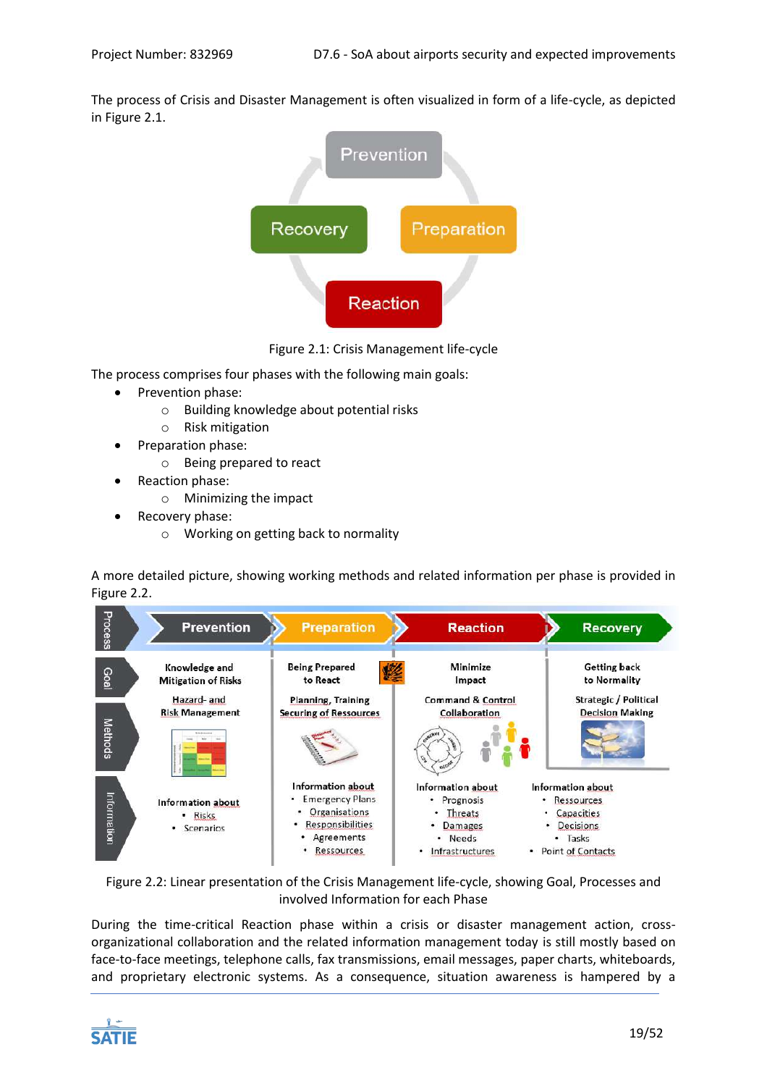The process of Crisis and Disaster Management is often visualized in form of a life-cycle, as depicted i[n Figure 2.1.](#page-18-0)



Figure 2.1: Crisis Management life-cycle

<span id="page-18-0"></span>The process comprises four phases with the following main goals:

- Prevention phase:
	- o Building knowledge about potential risks
	- o Risk mitigation
- Preparation phase:
	- o Being prepared to react
- Reaction phase:
	- o Minimizing the impact
- Recovery phase:
	- o Working on getting back to normality

A more detailed picture, showing working methods and related information per phase is provided in [Figure 2.2.](#page-18-1)



<span id="page-18-1"></span>Figure 2.2: Linear presentation of the Crisis Management life-cycle, showing Goal, Processes and involved Information for each Phase

During the time-critical Reaction phase within a crisis or disaster management action, crossorganizational collaboration and the related information management today is still mostly based on face-to-face meetings, telephone calls, fax transmissions, email messages, paper charts, whiteboards, and proprietary electronic systems. As a consequence, situation awareness is hampered by a

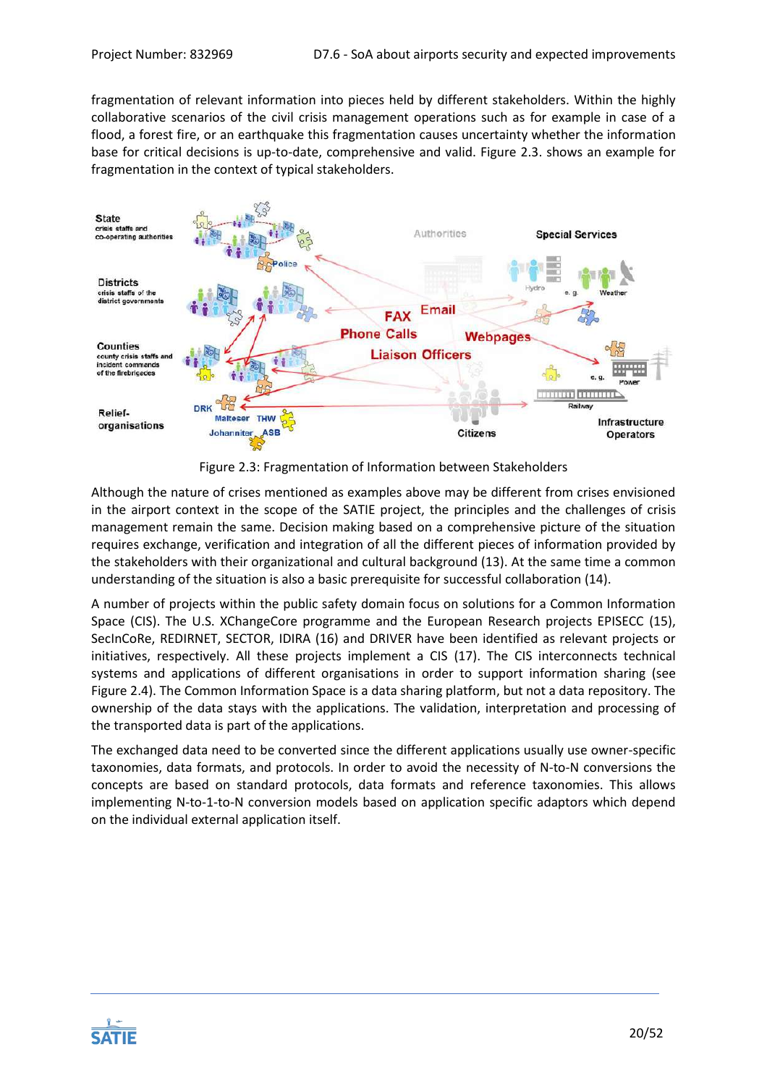fragmentation of relevant information into pieces held by different stakeholders. Within the highly collaborative scenarios of the civil crisis management operations such as for example in case of a flood, a forest fire, or an earthquake this fragmentation causes uncertainty whether the information base for critical decisions is up-to-date, comprehensive and valid. [Figure 2.3.](#page-19-0) shows an example for fragmentation in the context of typical stakeholders.



Figure 2.3: Fragmentation of Information between Stakeholders

<span id="page-19-0"></span>Although the nature of crises mentioned as examples above may be different from crises envisioned in the airport context in the scope of the SATIE project, the principles and the challenges of crisis management remain the same. Decision making based on a comprehensive picture of the situation requires exchange, verification and integration of all the different pieces of information provided by the stakeholders with their organizational and cultural background (13). At the same time a common understanding of the situation is also a basic prerequisite for successful collaboration (14).

A number of projects within the public safety domain focus on solutions for a Common Information Space (CIS). The U.S. XChangeCore programme and the European Research projects EPISECC (15), SecInCoRe, REDIRNET, SECTOR, IDIRA (16) and DRIVER have been identified as relevant projects or initiatives, respectively. All these projects implement a CIS (17). The CIS interconnects technical systems and applications of different organisations in order to support information sharing (see [Figure 2.4\)](#page-20-0). The Common Information Space is a data sharing platform, but not a data repository. The ownership of the data stays with the applications. The validation, interpretation and processing of the transported data is part of the applications.

The exchanged data need to be converted since the different applications usually use owner-specific taxonomies, data formats, and protocols. In order to avoid the necessity of N-to-N conversions the concepts are based on standard protocols, data formats and reference taxonomies. This allows implementing N-to-1-to-N conversion models based on application specific adaptors which depend on the individual external application itself.

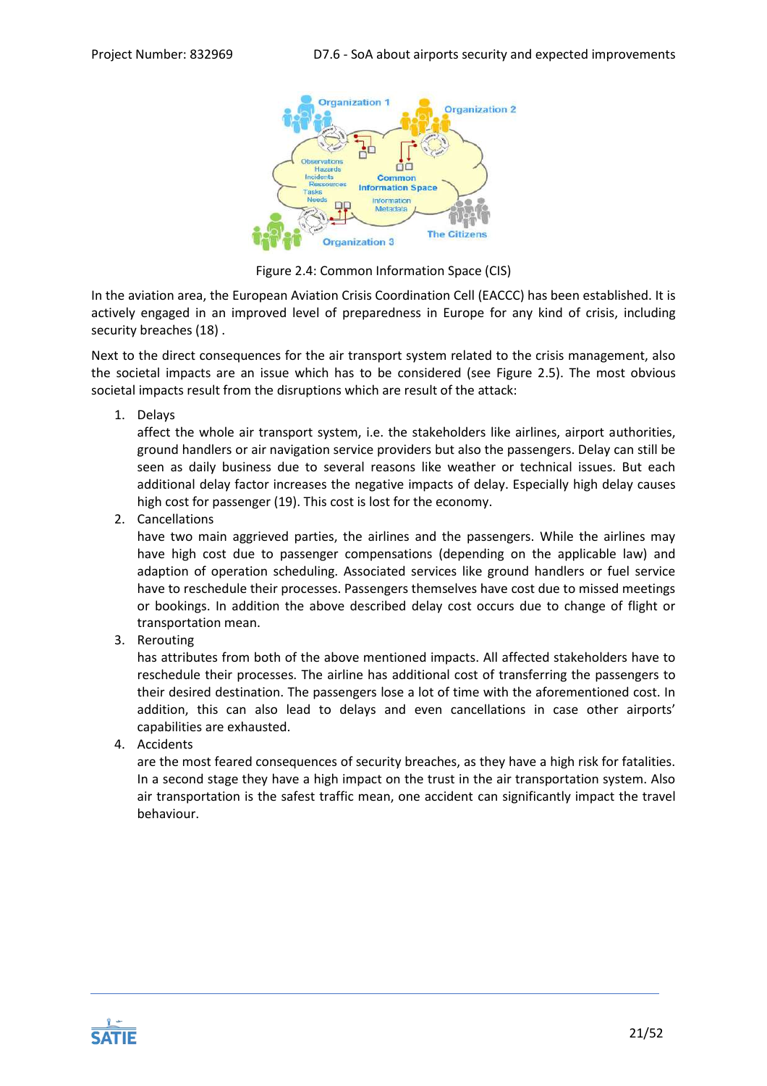

Figure 2.4: Common Information Space (CIS)

<span id="page-20-0"></span>In the aviation area, the European Aviation Crisis Coordination Cell (EACCC) has been established. It is actively engaged in an improved level of preparedness in Europe for any kind of crisis, including security breaches (18) .

Next to the direct consequences for the air transport system related to the crisis management, also the societal impacts are an issue which has to be considered (see [Figure 2.5\)](#page-21-0). The most obvious societal impacts result from the disruptions which are result of the attack:

1. Delays

affect the whole air transport system, i.e. the stakeholders like airlines, airport authorities, ground handlers or air navigation service providers but also the passengers. Delay can still be seen as daily business due to several reasons like weather or technical issues. But each additional delay factor increases the negative impacts of delay. Especially high delay causes high cost for passenger (19). This cost is lost for the economy.

2. Cancellations

have two main aggrieved parties, the airlines and the passengers. While the airlines may have high cost due to passenger compensations (depending on the applicable law) and adaption of operation scheduling. Associated services like ground handlers or fuel service have to reschedule their processes. Passengers themselves have cost due to missed meetings or bookings. In addition the above described delay cost occurs due to change of flight or transportation mean.

3. Rerouting

has attributes from both of the above mentioned impacts. All affected stakeholders have to reschedule their processes. The airline has additional cost of transferring the passengers to their desired destination. The passengers lose a lot of time with the aforementioned cost. In addition, this can also lead to delays and even cancellations in case other airports' capabilities are exhausted.

4. Accidents

are the most feared consequences of security breaches, as they have a high risk for fatalities. In a second stage they have a high impact on the trust in the air transportation system. Also air transportation is the safest traffic mean, one accident can significantly impact the travel behaviour.

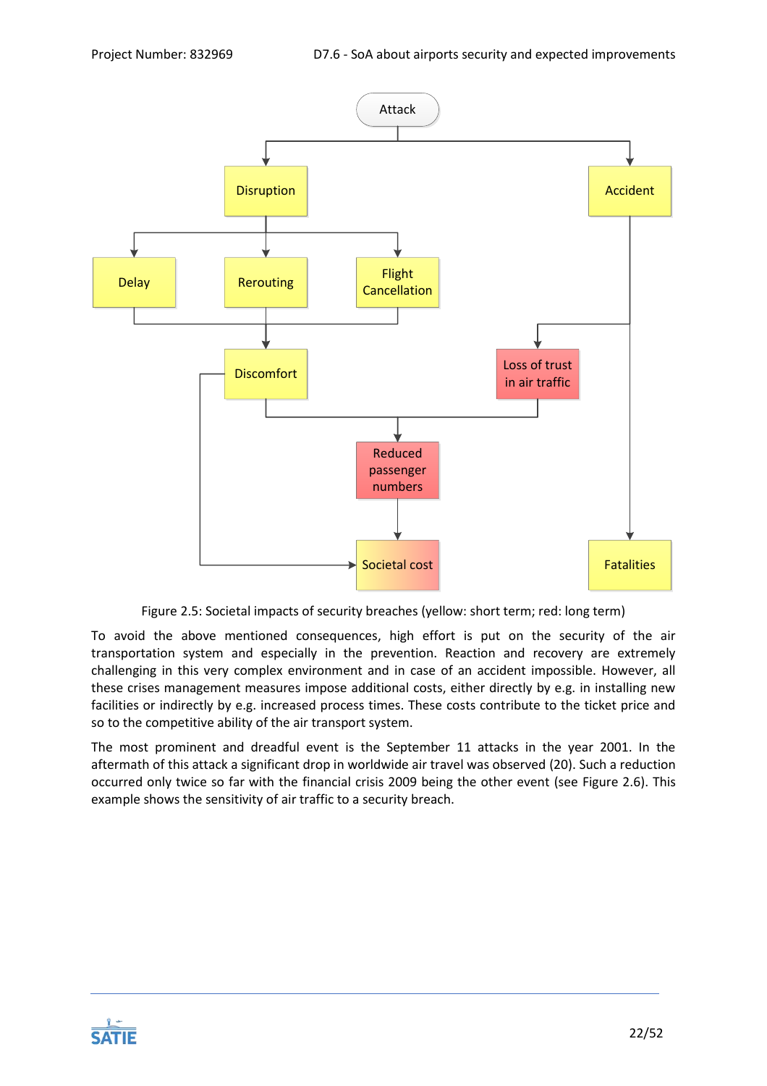

Figure 2.5: Societal impacts of security breaches (yellow: short term; red: long term)

<span id="page-21-0"></span>To avoid the above mentioned consequences, high effort is put on the security of the air transportation system and especially in the prevention. Reaction and recovery are extremely challenging in this very complex environment and in case of an accident impossible. However, all these crises management measures impose additional costs, either directly by e.g. in installing new facilities or indirectly by e.g. increased process times. These costs contribute to the ticket price and so to the competitive ability of the air transport system.

The most prominent and dreadful event is the September 11 attacks in the year 2001. In the aftermath of this attack a significant drop in worldwide air travel was observed (20). Such a reduction occurred only twice so far with the financial crisis 2009 being the other event (see [Figure 2.6\)](#page-22-1). This example shows the sensitivity of air traffic to a security breach.

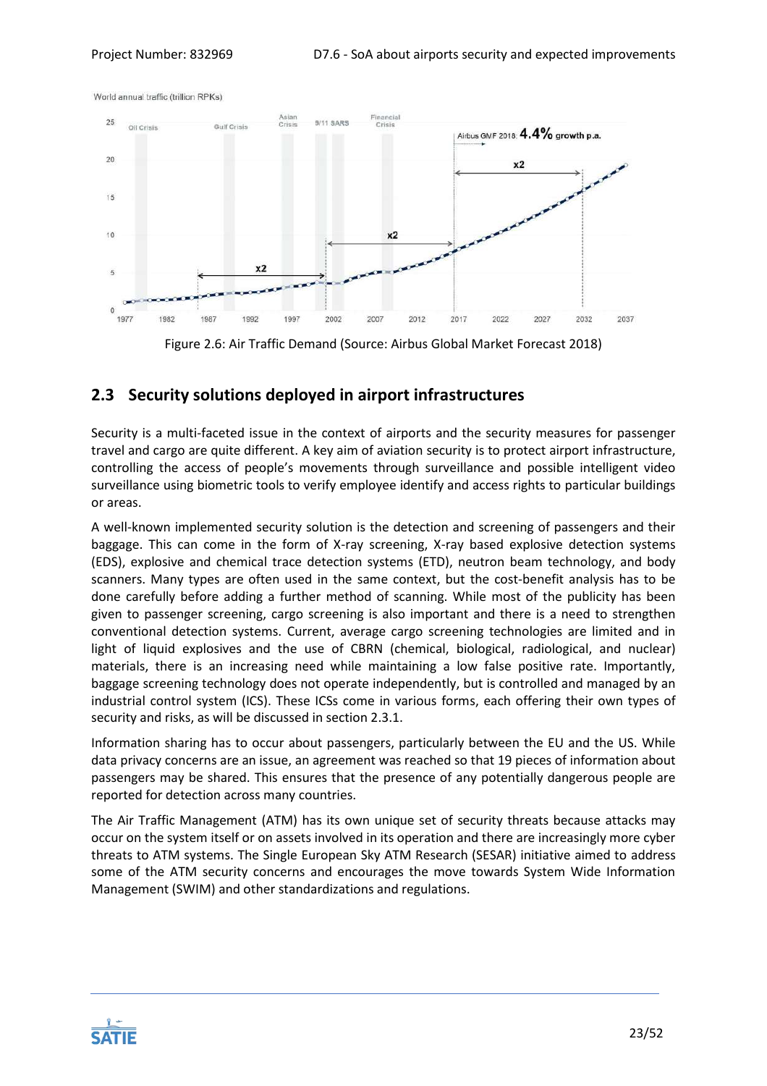World annual traffic (trillion RPKs)



Figure 2.6: Air Traffic Demand (Source: Airbus Global Market Forecast 2018)

# <span id="page-22-1"></span><span id="page-22-0"></span>**2.3 Security solutions deployed in airport infrastructures**

Security is a multi-faceted issue in the context of airports and the security measures for passenger travel and cargo are quite different. A key aim of aviation security is to protect airport infrastructure, controlling the access of people's movements through surveillance and possible intelligent video surveillance using biometric tools to verify employee identify and access rights to particular buildings or areas.

A well-known implemented security solution is the detection and screening of passengers and their baggage. This can come in the form of X-ray screening, X-ray based explosive detection systems (EDS), explosive and chemical trace detection systems (ETD), neutron beam technology, and body scanners. Many types are often used in the same context, but the cost-benefit analysis has to be done carefully before adding a further method of scanning. While most of the publicity has been given to passenger screening, cargo screening is also important and there is a need to strengthen conventional detection systems. Current, average cargo screening technologies are limited and in light of liquid explosives and the use of CBRN (chemical, biological, radiological, and nuclear) materials, there is an increasing need while maintaining a low false positive rate. Importantly, baggage screening technology does not operate independently, but is controlled and managed by an industrial control system (ICS). These ICSs come in various forms, each offering their own types of security and risks, as will be discussed in section [2.3.1.](#page-23-0)

Information sharing has to occur about passengers, particularly between the EU and the US. While data privacy concerns are an issue, an agreement was reached so that 19 pieces of information about passengers may be shared. This ensures that the presence of any potentially dangerous people are reported for detection across many countries.

The Air Traffic Management (ATM) has its own unique set of security threats because attacks may occur on the system itself or on assets involved in its operation and there are increasingly more cyber threats to ATM systems. The Single European Sky ATM Research (SESAR) initiative aimed to address some of the ATM security concerns and encourages the move towards System Wide Information Management (SWIM) and other standardizations and regulations.

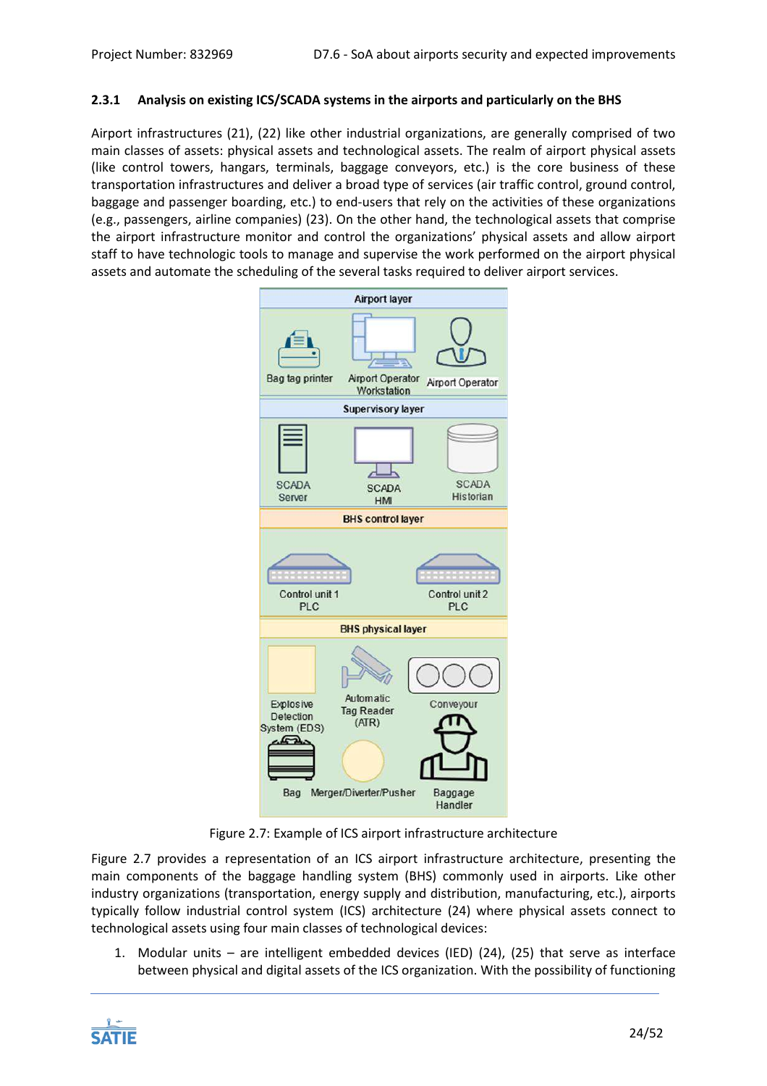# <span id="page-23-0"></span>**2.3.1 Analysis on existing ICS/SCADA systems in the airports and particularly on the BHS**

Airport infrastructures (21), (22) like other industrial organizations, are generally comprised of two main classes of assets: physical assets and technological assets. The realm of airport physical assets (like control towers, hangars, terminals, baggage conveyors, etc.) is the core business of these transportation infrastructures and deliver a broad type of services (air traffic control, ground control, baggage and passenger boarding, etc.) to end-users that rely on the activities of these organizations (e.g., passengers, airline companies) (23). On the other hand, the technological assets that comprise the airport infrastructure monitor and control the organizations' physical assets and allow airport staff to have technologic tools to manage and supervise the work performed on the airport physical assets and automate the scheduling of the several tasks required to deliver airport services.



Figure 2.7: Example of ICS airport infrastructure architecture

<span id="page-23-1"></span>[Figure 2.7](#page-23-1) provides a representation of an ICS airport infrastructure architecture, presenting the main components of the baggage handling system (BHS) commonly used in airports. Like other industry organizations (transportation, energy supply and distribution, manufacturing, etc.), airports typically follow industrial control system (ICS) architecture (24) where physical assets connect to technological assets using four main classes of technological devices:

1. Modular units – are intelligent embedded devices (IED) (24), (25) that serve as interface between physical and digital assets of the ICS organization. With the possibility of functioning

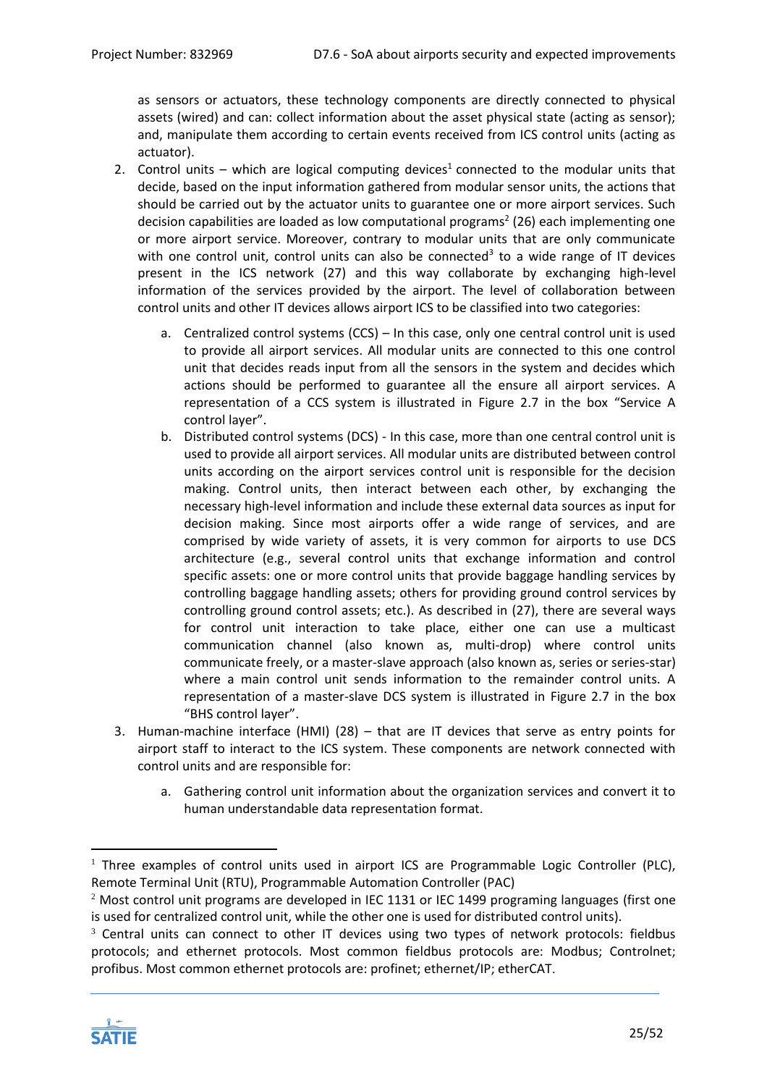as sensors or actuators, these technology components are directly connected to physical assets (wired) and can: collect information about the asset physical state (acting as sensor); and, manipulate them according to certain events received from ICS control units (acting as actuator).

- 2. Control units which are logical computing devices<sup>1</sup> connected to the modular units that decide, based on the input information gathered from modular sensor units, the actions that should be carried out by the actuator units to guarantee one or more airport services. Such decision capabilities are loaded as low computational programs<sup>2</sup> (26) each implementing one or more airport service. Moreover, contrary to modular units that are only communicate with one control unit, control units can also be connected<sup>3</sup> to a wide range of IT devices present in the ICS network (27) and this way collaborate by exchanging high-level information of the services provided by the airport. The level of collaboration between control units and other IT devices allows airport ICS to be classified into two categories:
	- a. Centralized control systems (CCS) In this case, only one central control unit is used to provide all airport services. All modular units are connected to this one control unit that decides reads input from all the sensors in the system and decides which actions should be performed to guarantee all the ensure all airport services. A representation of a CCS system is illustrated in [Figure 2.7](#page-23-1) in the box "Service A control layer".
	- b. Distributed control systems (DCS) In this case, more than one central control unit is used to provide all airport services. All modular units are distributed between control units according on the airport services control unit is responsible for the decision making. Control units, then interact between each other, by exchanging the necessary high-level information and include these external data sources as input for decision making. Since most airports offer a wide range of services, and are comprised by wide variety of assets, it is very common for airports to use DCS architecture (e.g., several control units that exchange information and control specific assets: one or more control units that provide baggage handling services by controlling baggage handling assets; others for providing ground control services by controlling ground control assets; etc.). As described in (27), there are several ways for control unit interaction to take place, either one can use a multicast communication channel (also known as, multi-drop) where control units communicate freely, or a master-slave approach (also known as, series or series-star) where a main control unit sends information to the remainder control units. A representation of a master-slave DCS system is illustrated in [Figure 2.7](#page-23-1) in the box "BHS control layer".
- 3. Human-machine interface (HMI) (28) that are IT devices that serve as entry points for airport staff to interact to the ICS system. These components are network connected with control units and are responsible for:
	- a. Gathering control unit information about the organization services and convert it to human understandable data representation format.

<sup>&</sup>lt;sup>3</sup> Central units can connect to other IT devices using two types of network protocols: fieldbus protocols; and ethernet protocols. Most common fieldbus protocols are: Modbus; Controlnet; profibus. Most common ethernet protocols are: profinet; ethernet/IP; etherCAT.



1

<sup>&</sup>lt;sup>1</sup> Three examples of control units used in airport ICS are Programmable Logic Controller (PLC), Remote Terminal Unit (RTU), Programmable Automation Controller (PAC)

<sup>&</sup>lt;sup>2</sup> Most control unit programs are developed in IEC 1131 or IEC 1499 programing languages (first one is used for centralized control unit, while the other one is used for distributed control units).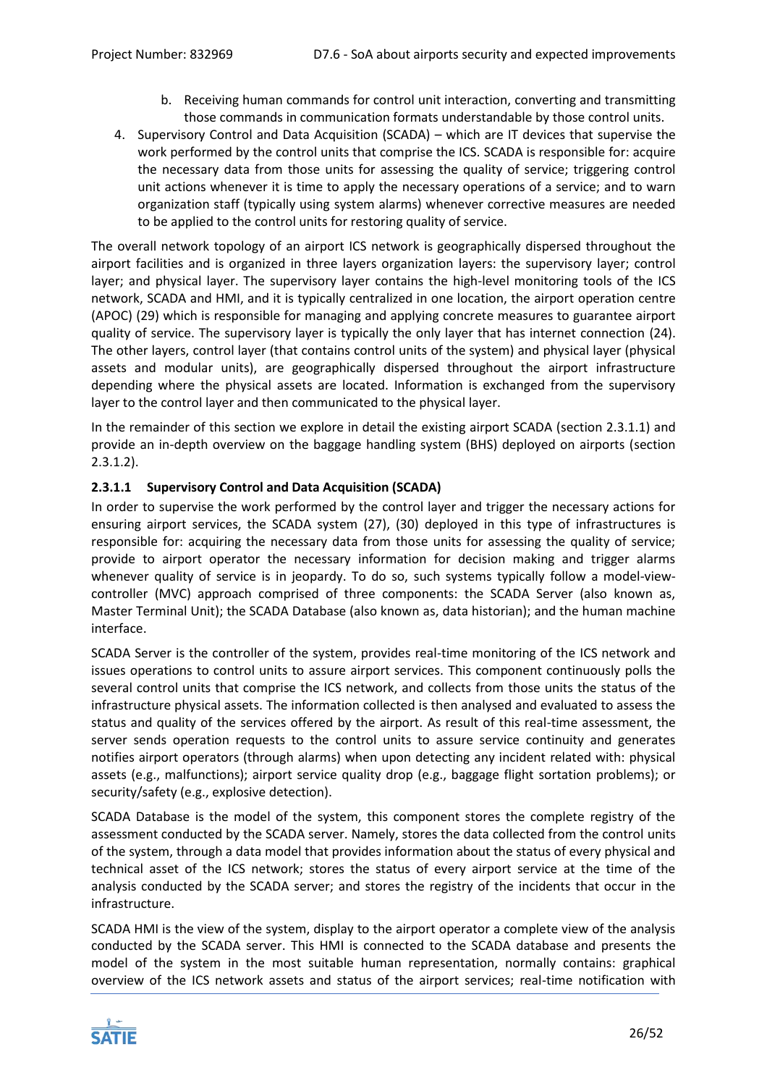- b. Receiving human commands for control unit interaction, converting and transmitting those commands in communication formats understandable by those control units.
- 4. Supervisory Control and Data Acquisition (SCADA) which are IT devices that supervise the work performed by the control units that comprise the ICS. SCADA is responsible for: acquire the necessary data from those units for assessing the quality of service; triggering control unit actions whenever it is time to apply the necessary operations of a service; and to warn organization staff (typically using system alarms) whenever corrective measures are needed to be applied to the control units for restoring quality of service.

The overall network topology of an airport ICS network is geographically dispersed throughout the airport facilities and is organized in three layers organization layers: the supervisory layer; control layer; and physical layer. The supervisory layer contains the high-level monitoring tools of the ICS network, SCADA and HMI, and it is typically centralized in one location, the airport operation centre (APOC) (29) which is responsible for managing and applying concrete measures to guarantee airport quality of service. The supervisory layer is typically the only layer that has internet connection (24). The other layers, control layer (that contains control units of the system) and physical layer (physical assets and modular units), are geographically dispersed throughout the airport infrastructure depending where the physical assets are located. Information is exchanged from the supervisory layer to the control layer and then communicated to the physical layer.

In the remainder of this section we explore in detail the existing airport SCADA (section [2.3.1.1\)](#page-25-0) and provide an in-depth overview on the baggage handling system (BHS) deployed on airports (section [2.3.1.2\)](#page-26-1).

# <span id="page-25-0"></span>**2.3.1.1 Supervisory Control and Data Acquisition (SCADA)**

In order to supervise the work performed by the control layer and trigger the necessary actions for ensuring airport services, the SCADA system (27), (30) deployed in this type of infrastructures is responsible for: acquiring the necessary data from those units for assessing the quality of service; provide to airport operator the necessary information for decision making and trigger alarms whenever quality of service is in jeopardy. To do so, such systems typically follow a model-viewcontroller (MVC) approach comprised of three components: the SCADA Server (also known as, Master Terminal Unit); the SCADA Database (also known as, data historian); and the human machine interface.

SCADA Server is the controller of the system, provides real-time monitoring of the ICS network and issues operations to control units to assure airport services. This component continuously polls the several control units that comprise the ICS network, and collects from those units the status of the infrastructure physical assets. The information collected is then analysed and evaluated to assess the status and quality of the services offered by the airport. As result of this real-time assessment, the server sends operation requests to the control units to assure service continuity and generates notifies airport operators (through alarms) when upon detecting any incident related with: physical assets (e.g., malfunctions); airport service quality drop (e.g., baggage flight sortation problems); or security/safety (e.g., explosive detection).

SCADA Database is the model of the system, this component stores the complete registry of the assessment conducted by the SCADA server. Namely, stores the data collected from the control units of the system, through a data model that provides information about the status of every physical and technical asset of the ICS network; stores the status of every airport service at the time of the analysis conducted by the SCADA server; and stores the registry of the incidents that occur in the infrastructure.

SCADA HMI is the view of the system, display to the airport operator a complete view of the analysis conducted by the SCADA server. This HMI is connected to the SCADA database and presents the model of the system in the most suitable human representation, normally contains: graphical overview of the ICS network assets and status of the airport services; real-time notification with

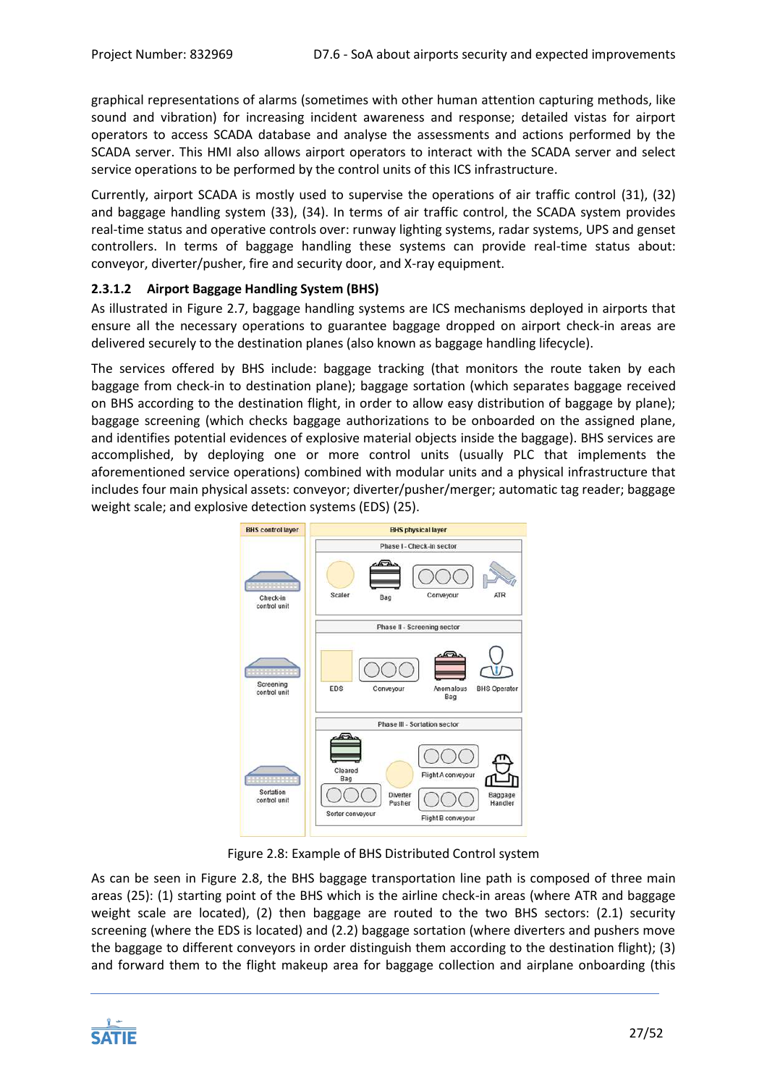graphical representations of alarms (sometimes with other human attention capturing methods, like sound and vibration) for increasing incident awareness and response; detailed vistas for airport operators to access SCADA database and analyse the assessments and actions performed by the SCADA server. This HMI also allows airport operators to interact with the SCADA server and select service operations to be performed by the control units of this ICS infrastructure.

Currently, airport SCADA is mostly used to supervise the operations of air traffic control (31), (32) and baggage handling system (33), (34). In terms of air traffic control, the SCADA system provides real-time status and operative controls over: runway lighting systems, radar systems, UPS and genset controllers. In terms of baggage handling these systems can provide real-time status about: conveyor, diverter/pusher, fire and security door, and X-ray equipment.

# <span id="page-26-1"></span>**2.3.1.2 Airport Baggage Handling System (BHS)**

As illustrated in [Figure 2.7,](#page-23-1) baggage handling systems are ICS mechanisms deployed in airports that ensure all the necessary operations to guarantee baggage dropped on airport check-in areas are delivered securely to the destination planes (also known as baggage handling lifecycle).

The services offered by BHS include: baggage tracking (that monitors the route taken by each baggage from check-in to destination plane); baggage sortation (which separates baggage received on BHS according to the destination flight, in order to allow easy distribution of baggage by plane); baggage screening (which checks baggage authorizations to be onboarded on the assigned plane, and identifies potential evidences of explosive material objects inside the baggage). BHS services are accomplished, by deploying one or more control units (usually PLC that implements the aforementioned service operations) combined with modular units and a physical infrastructure that includes four main physical assets: conveyor; diverter/pusher/merger; automatic tag reader; baggage weight scale; and explosive detection systems (EDS) (25).



Figure 2.8: Example of BHS Distributed Control system

<span id="page-26-0"></span>As can be seen in [Figure 2.8,](#page-26-0) the BHS baggage transportation line path is composed of three main areas (25): (1) starting point of the BHS which is the airline check-in areas (where ATR and baggage weight scale are located), (2) then baggage are routed to the two BHS sectors: (2.1) security screening (where the EDS is located) and (2.2) baggage sortation (where diverters and pushers move the baggage to different conveyors in order distinguish them according to the destination flight); (3) and forward them to the flight makeup area for baggage collection and airplane onboarding (this

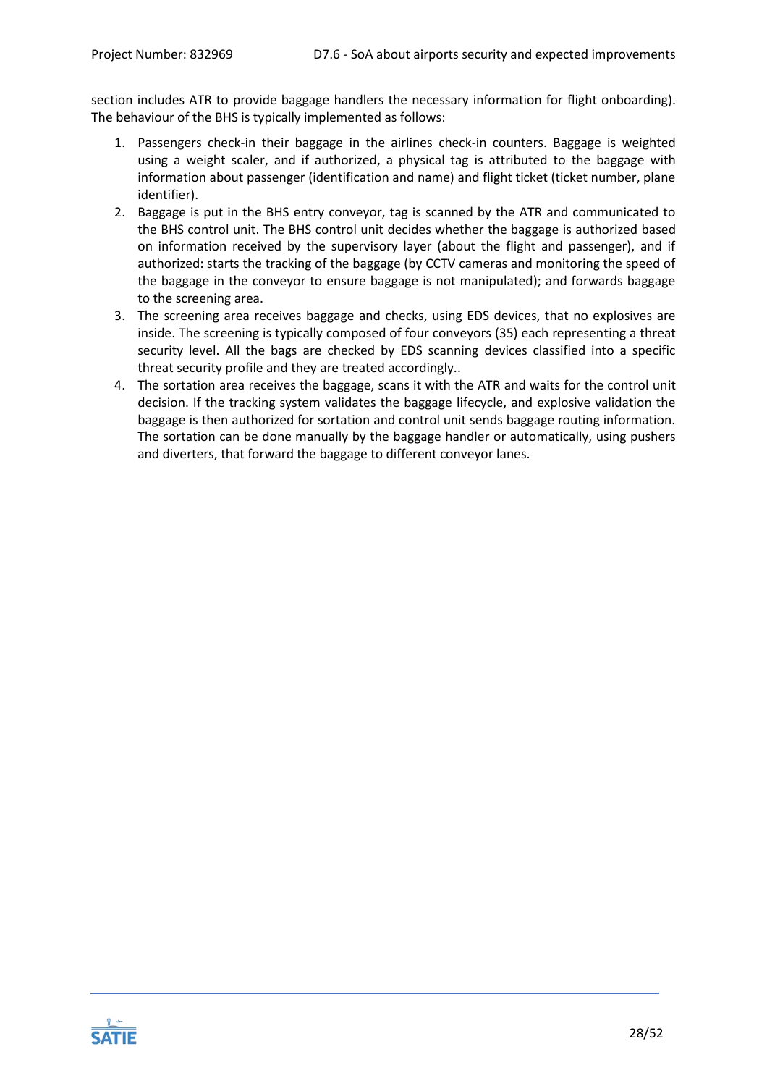section includes ATR to provide baggage handlers the necessary information for flight onboarding). The behaviour of the BHS is typically implemented as follows:

- 1. Passengers check-in their baggage in the airlines check-in counters. Baggage is weighted using a weight scaler, and if authorized, a physical tag is attributed to the baggage with information about passenger (identification and name) and flight ticket (ticket number, plane identifier).
- 2. Baggage is put in the BHS entry conveyor, tag is scanned by the ATR and communicated to the BHS control unit. The BHS control unit decides whether the baggage is authorized based on information received by the supervisory layer (about the flight and passenger), and if authorized: starts the tracking of the baggage (by CCTV cameras and monitoring the speed of the baggage in the conveyor to ensure baggage is not manipulated); and forwards baggage to the screening area.
- 3. The screening area receives baggage and checks, using EDS devices, that no explosives are inside. The screening is typically composed of four conveyors (35) each representing a threat security level. All the bags are checked by EDS scanning devices classified into a specific threat security profile and they are treated accordingly..
- 4. The sortation area receives the baggage, scans it with the ATR and waits for the control unit decision. If the tracking system validates the baggage lifecycle, and explosive validation the baggage is then authorized for sortation and control unit sends baggage routing information. The sortation can be done manually by the baggage handler or automatically, using pushers and diverters, that forward the baggage to different conveyor lanes.

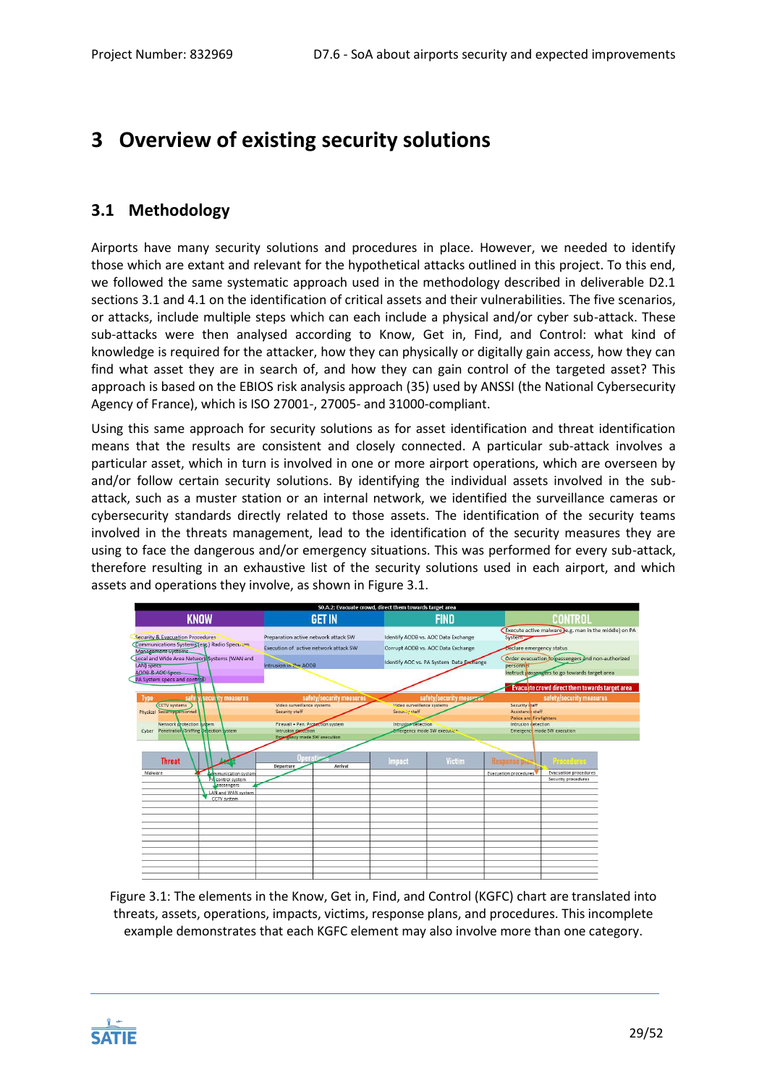# <span id="page-28-0"></span>**3 Overview of existing security solutions**

# <span id="page-28-1"></span>**3.1 Methodology**

Airports have many security solutions and procedures in place. However, we needed to identify those which are extant and relevant for the hypothetical attacks outlined in this project. To this end, we followed the same systematic approach used in the methodology described in deliverable D2.1 sections 3.1 and 4.1 on the identification of critical assets and their vulnerabilities. The five scenarios, or attacks, include multiple steps which can each include a physical and/or cyber sub-attack. These sub-attacks were then analysed according to Know, Get in, Find, and Control: what kind of knowledge is required for the attacker, how they can physically or digitally gain access, how they can find what asset they are in search of, and how they can gain control of the targeted asset? This approach is based on the EBIOS risk analysis approach (35) used by ANSSI (the National Cybersecurity Agency of France), which is ISO 27001-, 27005- and 31000-compliant.

Using this same approach for security solutions as for asset identification and threat identification means that the results are consistent and closely connected. A particular sub-attack involves a particular asset, which in turn is involved in one or more airport operations, which are overseen by and/or follow certain security solutions. By identifying the individual assets involved in the subattack, such as a muster station or an internal network, we identified the surveillance cameras or cybersecurity standards directly related to those assets. The identification of the security teams involved in the threats management, lead to the identification of the security measures they are using to face the dangerous and/or emergency situations. This was performed for every sub-attack, therefore resulting in an exhaustive list of the security solutions used in each airport, and which assets and operations they involve, as shown in [Figure 3.1.](#page-28-2)



<span id="page-28-2"></span>Figure 3.1: The elements in the Know, Get in, Find, and Control (KGFC) chart are translated into threats, assets, operations, impacts, victims, response plans, and procedures. This incomplete example demonstrates that each KGFC element may also involve more than one category.

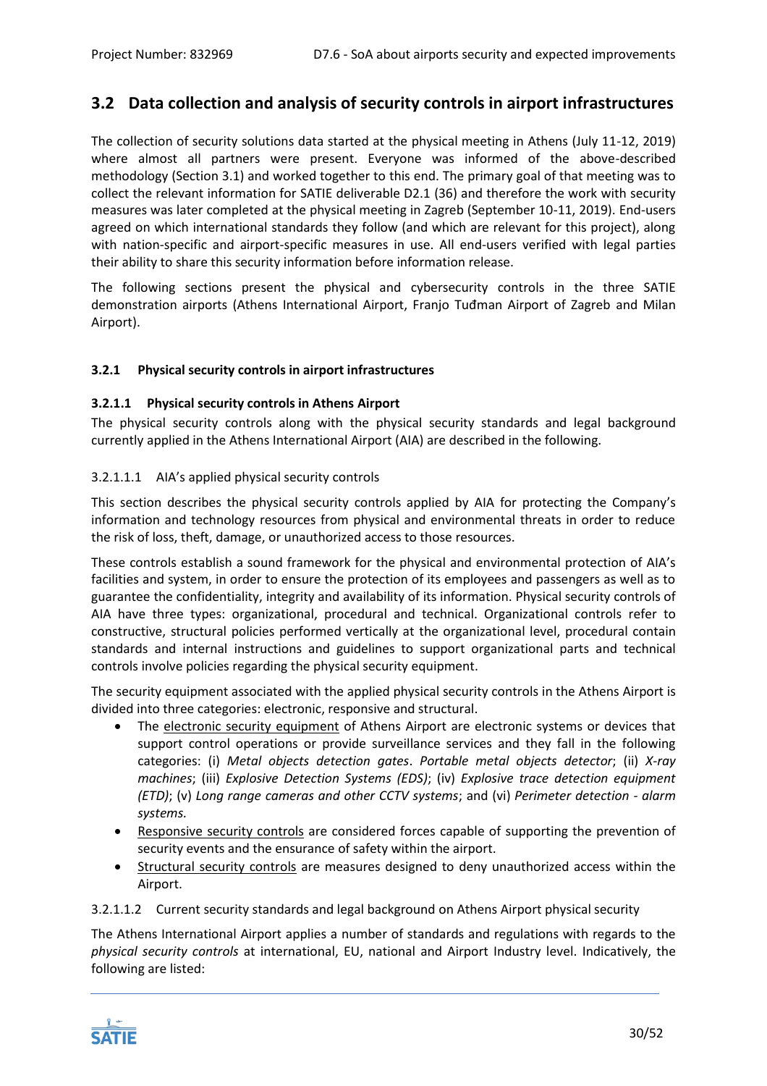# <span id="page-29-0"></span>**3.2 Data collection and analysis of security controls in airport infrastructures**

The collection of security solutions data started at the physical meeting in Athens (July 11-12, 2019) where almost all partners were present. Everyone was informed of the above-described methodology (Section [3.1\)](#page-28-1) and worked together to this end. The primary goal of that meeting was to collect the relevant information for SATIE deliverable D2.1 (36) and therefore the work with security measures was later completed at the physical meeting in Zagreb (September 10-11, 2019). End-users agreed on which international standards they follow (and which are relevant for this project), along with nation-specific and airport-specific measures in use. All end-users verified with legal parties their ability to share this security information before information release.

The following sections present the physical and cybersecurity controls in the three SATIE demonstration airports (Athens International Airport, Franjo Tuđman Airport of Zagreb and Milan Airport).

# <span id="page-29-1"></span>**3.2.1 Physical security controls in airport infrastructures**

## **3.2.1.1 Physical security controls in Athens Airport**

The physical security controls along with the physical security standards and legal background currently applied in the Athens International Airport (AIA) are described in the following.

## 3.2.1.1.1 AIA's applied physical security controls

This section describes the physical security controls applied by AIA for protecting the Company's information and technology resources from physical and environmental threats in order to reduce the risk of loss, theft, damage, or unauthorized access to those resources.

These controls establish a sound framework for the physical and environmental protection of AIA's facilities and system, in order to ensure the protection of its employees and passengers as well as to guarantee the confidentiality, integrity and availability of its information. Physical security controls of AIA have three types: organizational, procedural and technical. Organizational controls refer to constructive, structural policies performed vertically at the organizational level, procedural contain standards and internal instructions and guidelines to support organizational parts and technical controls involve policies regarding the physical security equipment.

The security equipment associated with the applied physical security controls in the Athens Airport is divided into three categories: electronic, responsive and structural.

- The electronic security equipment of Athens Airport are electronic systems or devices that support control operations or provide surveillance services and they fall in the following categories: (i) *Metal objects detection gates*. *Portable metal objects detector*; (ii) *X-ray machines*; (iii) *Explosive Detection Systems (EDS)*; (iv) *Explosive trace detection equipment (ETD)*; (v) *Long range cameras and other CCTV systems*; and (vi) *Perimeter detection - alarm systems.*
- Responsive security controls are considered forces capable of supporting the prevention of security events and the ensurance of safety within the airport.
- Structural security controls are measures designed to deny unauthorized access within the Airport.

# 3.2.1.1.2 Current security standards and legal background on Athens Airport physical security

The Athens International Airport applies a number of standards and regulations with regards to the *physical security controls* at international, EU, national and Airport Industry level. Indicatively, the following are listed:

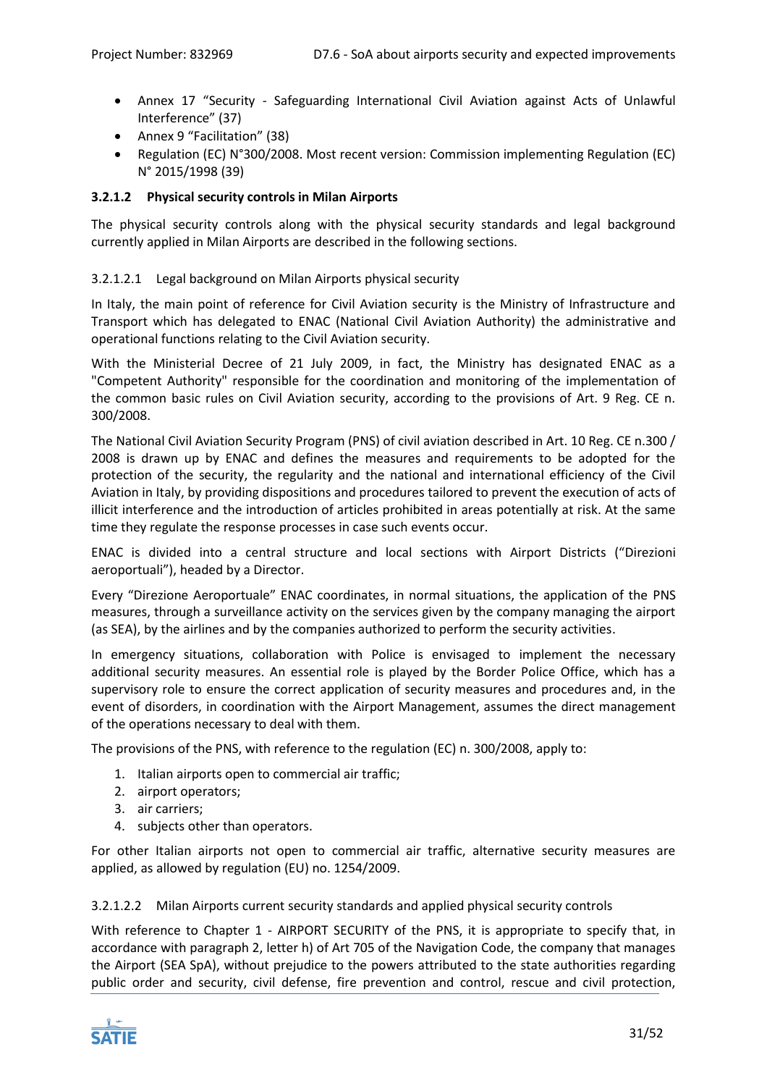- Annex 17 "Security Safeguarding International Civil Aviation against Acts of Unlawful Interference" (37)
- Annex 9 "Facilitation" (38)
- [Regulation \(EC\) N°300/2008.](https://ec.europa.eu/transport/modes/air/security/legislation_en) Most recent version: [Commission implementing Regulation \(EC\)](https://ec.europa.eu/transport/modes/air/security/legislation_en)  [N° 2015/1998](https://ec.europa.eu/transport/modes/air/security/legislation_en) (39)

# **3.2.1.2 Physical security controls in Milan Airports**

The physical security controls along with the physical security standards and legal background currently applied in Milan Airports are described in the following sections.

# 3.2.1.2.1 Legal background on Milan Airports physical security

In Italy, the main point of reference for Civil Aviation security is the Ministry of Infrastructure and Transport which has delegated to ENAC (National Civil Aviation Authority) the administrative and operational functions relating to the Civil Aviation security.

With the Ministerial Decree of 21 July 2009, in fact, the Ministry has designated ENAC as a "Competent Authority" responsible for the coordination and monitoring of the implementation of the common basic rules on Civil Aviation security, according to the provisions of Art. 9 Reg. CE n. 300/2008.

The National Civil Aviation Security Program (PNS) of civil aviation described in Art. 10 Reg. CE n.300 / 2008 is drawn up by ENAC and defines the measures and requirements to be adopted for the protection of the security, the regularity and the national and international efficiency of the Civil Aviation in Italy, by providing dispositions and procedures tailored to prevent the execution of acts of illicit interference and the introduction of articles prohibited in areas potentially at risk. At the same time they regulate the response processes in case such events occur.

ENAC is divided into a central structure and local sections with Airport Districts ("Direzioni aeroportuali"), headed by a Director.

Every "Direzione Aeroportuale" ENAC coordinates, in normal situations, the application of the PNS measures, through a surveillance activity on the services given by the company managing the airport (as SEA), by the airlines and by the companies authorized to perform the security activities.

In emergency situations, collaboration with Police is envisaged to implement the necessary additional security measures. An essential role is played by the Border Police Office, which has a supervisory role to ensure the correct application of security measures and procedures and, in the event of disorders, in coordination with the Airport Management, assumes the direct management of the operations necessary to deal with them.

The provisions of the PNS, with reference to the regulation (EC) n. 300/2008, apply to:

- 1. Italian airports open to commercial air traffic;
- 2. airport operators;
- 3. air carriers;
- 4. subjects other than operators.

For other Italian airports not open to commercial air traffic, alternative security measures are applied, as allowed by regulation (EU) no. 1254/2009.

# 3.2.1.2.2 Milan Airports current security standards and applied physical security controls

With reference to Chapter 1 - AIRPORT SECURITY of the PNS, it is appropriate to specify that, in accordance with paragraph 2, letter h) of Art 705 of the Navigation Code, the company that manages the Airport (SEA SpA), without prejudice to the powers attributed to the state authorities regarding public order and security, civil defense, fire prevention and control, rescue and civil protection,

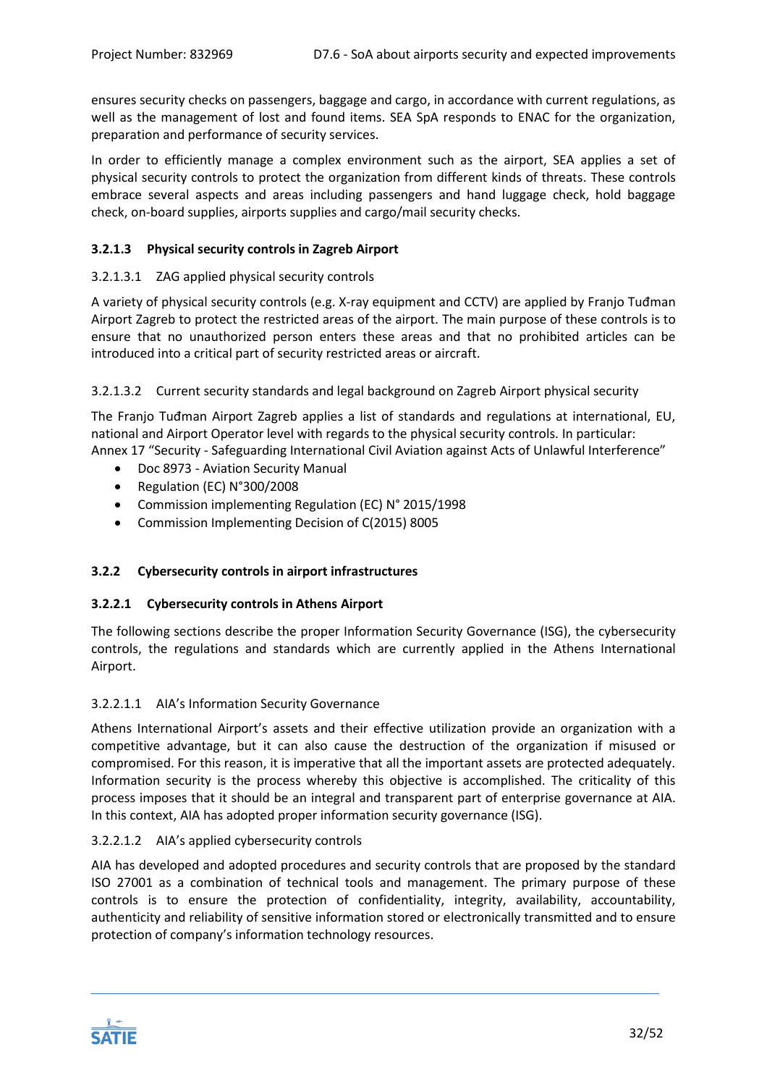ensures security checks on passengers, baggage and cargo, in accordance with current regulations, as well as the management of lost and found items. SEA SpA responds to ENAC for the organization, preparation and performance of security services.

In order to efficiently manage a complex environment such as the airport, SEA applies a set of physical security controls to protect the organization from different kinds of threats. These controls embrace several aspects and areas including passengers and hand luggage check, hold baggage check, on-board supplies, airports supplies and cargo/mail security checks.

# **3.2.1.3 Physical security controls in Zagreb Airport**

# 3.2.1.3.1 ZAG applied physical security controls

A variety of physical security controls (e.g. X-ray equipment and CCTV) are applied by Franjo Tuđman Airport Zagreb to protect the restricted areas of the airport. The main purpose of these controls is to ensure that no unauthorized person enters these areas and that no prohibited articles can be introduced into a critical part of security restricted areas or aircraft.

## 3.2.1.3.2 Current security standards and legal background on Zagreb Airport physical security

The Franjo Tuđman Airport Zagreb applies a list of standards and regulations at international, EU, national and Airport Operator level with regards to the physical security controls. In particular: Annex 17 "Security - Safeguarding International Civil Aviation against Acts of Unlawful Interference"

- 
- Doc 8973 Aviation Security Manual
- [Regulation \(EC\) N°300/2008](https://ec.europa.eu/transport/modes/air/security/legislation_en)
- [Commission implementing Regulation \(EC\) N° 2015/1998](https://ec.europa.eu/transport/modes/air/security/legislation_en)
- Commission Implementing Decision of C(2015) 8005

# <span id="page-31-0"></span>**3.2.2 Cybersecurity controls in airport infrastructures**

# **3.2.2.1 Cybersecurity controls in Athens Airport**

The following sections describe the proper Information Security Governance (ISG), the cybersecurity controls, the regulations and standards which are currently applied in the Athens International Airport.

# 3.2.2.1.1 AIA's Information Security Governance

Athens International Airport's assets and their effective utilization provide an organization with a competitive advantage, but it can also cause the destruction of the organization if misused or compromised. For this reason, it is imperative that all the important assets are protected adequately. Information security is the process whereby this objective is accomplished. The criticality of this process imposes that it should be an integral and transparent part of enterprise governance at AIA. In this context, AIA has adopted proper information security governance (ISG).

# 3.2.2.1.2 AIA's applied cybersecurity controls

AIA has developed and adopted procedures and security controls that are proposed by the standard ISO 27001 as a combination of technical tools and management. The primary purpose of these controls is to ensure the protection of confidentiality, integrity, availability, accountability, authenticity and reliability of sensitive information stored or electronically transmitted and to ensure protection of company's information technology resources.

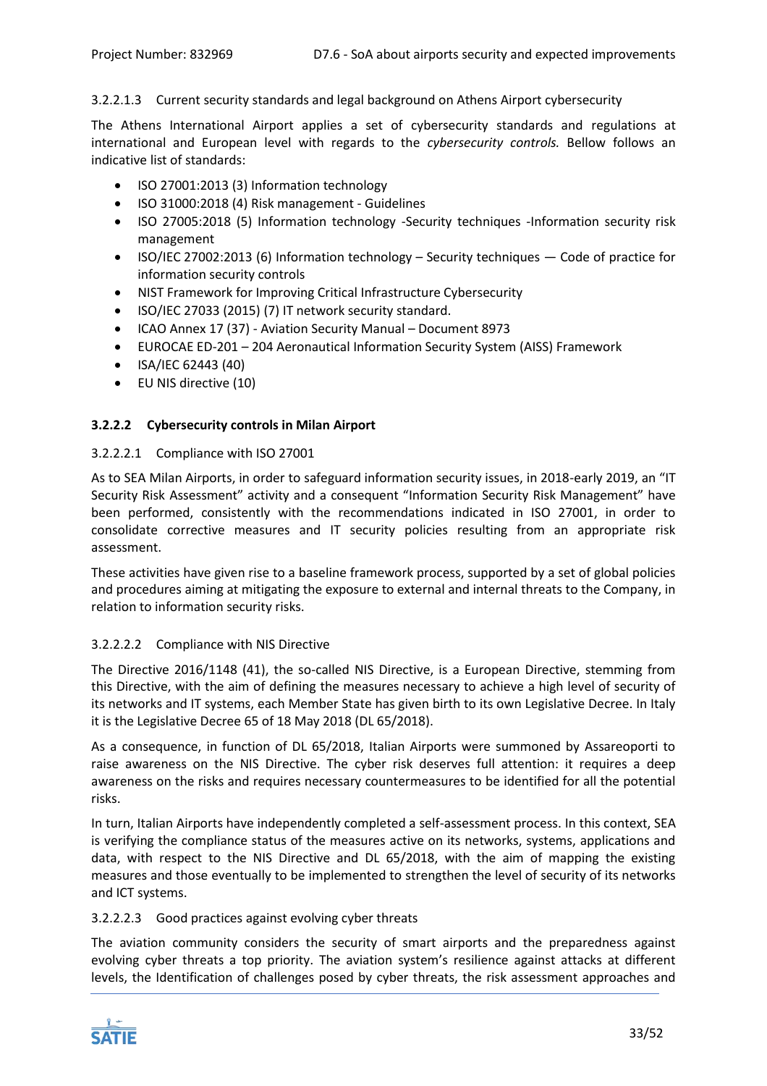# 3.2.2.1.3 Current security standards and legal background on Athens Airport cybersecurity

The Athens International Airport applies a set of cybersecurity standards and regulations at international and European level with regards to the *cybersecurity controls.* Bellow follows an indicative list of standards:

- ISO 27001:2013 (3) Information technology
- ISO 31000:2018 (4) Risk management Guidelines
- ISO 27005:2018 (5) Information technology -Security techniques -Information security risk management
- ISO/IEC 27002:2013 (6) Information technology Security techniques Code of practice for information security controls
- NIST Framework for Improving Critical Infrastructure Cybersecurity
- ISO/IEC 27033 (2015) (7) IT network security standard.
- ICAO Annex 17 (37) Aviation Security Manual Document 8973
- EUROCAE ED-201 204 Aeronautical Information Security System (AISS) Framework
- ISA/IEC 62443 (40)
- EU NIS directive (10)

# **3.2.2.2 Cybersecurity controls in Milan Airport**

## 3.2.2.2.1 Compliance with ISO 27001

As to SEA Milan Airports, in order to safeguard information security issues, in 2018-early 2019, an "IT Security Risk Assessment" activity and a consequent "Information Security Risk Management" have been performed, consistently with the recommendations indicated in ISO 27001, in order to consolidate corrective measures and IT security policies resulting from an appropriate risk assessment.

These activities have given rise to a baseline framework process, supported by a set of global policies and procedures aiming at mitigating the exposure to external and internal threats to the Company, in relation to information security risks.

# 3.2.2.2.2 Compliance with NIS Directive

The Directive 2016/1148 (41), the so-called NIS Directive, is a European Directive, stemming from this Directive, with the aim of defining the measures necessary to achieve a high level of security of its networks and IT systems, each Member State has given birth to its own Legislative Decree. In Italy it is the Legislative Decree 65 of 18 May 2018 (DL 65/2018).

As a consequence, in function of DL 65/2018, Italian Airports were summoned by Assareoporti to raise awareness on the NIS Directive. The cyber risk deserves full attention: it requires a deep awareness on the risks and requires necessary countermeasures to be identified for all the potential risks.

In turn, Italian Airports have independently completed a self-assessment process. In this context, SEA is verifying the compliance status of the measures active on its networks, systems, applications and data, with respect to the NIS Directive and DL 65/2018, with the aim of mapping the existing measures and those eventually to be implemented to strengthen the level of security of its networks and ICT systems.

#### 3.2.2.2.3 Good practices against evolving cyber threats

The aviation community considers the security of smart airports and the preparedness against evolving cyber threats a top priority. The aviation system's resilience against attacks at different levels, the Identification of challenges posed by cyber threats, the risk assessment approaches and

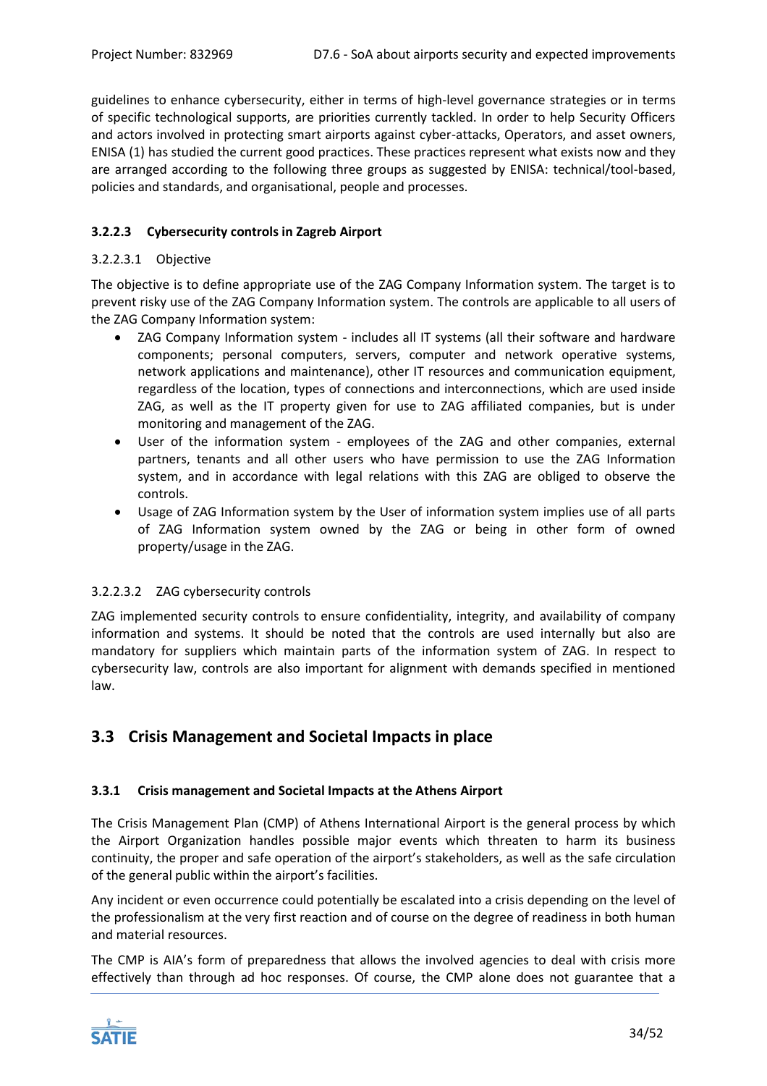guidelines to enhance cybersecurity, either in terms of high-level governance strategies or in terms of specific technological supports, are priorities currently tackled. In order to help Security Officers and actors involved in protecting smart airports against cyber-attacks, Operators, and asset owners, ENISA (1) has studied the current good practices. These practices represent what exists now and they are arranged according to the following three groups as suggested by ENISA: technical/tool-based, policies and standards, and organisational, people and processes.

# **3.2.2.3 Cybersecurity controls in Zagreb Airport**

# 3.2.2.3.1 Objective

The objective is to define appropriate use of the ZAG Company Information system. The target is to prevent risky use of the ZAG Company Information system. The controls are applicable to all users of the ZAG Company Information system:

- ZAG Company Information system includes all IT systems (all their software and hardware components; personal computers, servers, computer and network operative systems, network applications and maintenance), other IT resources and communication equipment, regardless of the location, types of connections and interconnections, which are used inside ZAG, as well as the IT property given for use to ZAG affiliated companies, but is under monitoring and management of the ZAG.
- User of the information system employees of the ZAG and other companies, external partners, tenants and all other users who have permission to use the ZAG Information system, and in accordance with legal relations with this ZAG are obliged to observe the controls.
- Usage of ZAG Information system by the User of information system implies use of all parts of ZAG Information system owned by the ZAG or being in other form of owned property/usage in the ZAG.

# 3.2.2.3.2 ZAG cybersecurity controls

ZAG implemented security controls to ensure confidentiality, integrity, and availability of company information and systems. It should be noted that the controls are used internally but also are mandatory for suppliers which maintain parts of the information system of ZAG. In respect to cybersecurity law, controls are also important for alignment with demands specified in mentioned law.

# <span id="page-33-0"></span>**3.3 Crisis Management and Societal Impacts in place**

# <span id="page-33-1"></span>**3.3.1 Crisis management and Societal Impacts at the Athens Airport**

The Crisis Management Plan (CMP) of Athens International Airport is the general process by which the Airport Organization handles possible major events which threaten to harm its business continuity, the proper and safe operation of the airport's stakeholders, as well as the safe circulation of the general public within the airport's facilities.

Any incident or even occurrence could potentially be escalated into a crisis depending on the level of the professionalism at the very first reaction and of course on the degree of readiness in both human and material resources.

The CMP is AIA's form of preparedness that allows the involved agencies to deal with crisis more effectively than through ad hoc responses. Of course, the CMP alone does not guarantee that a

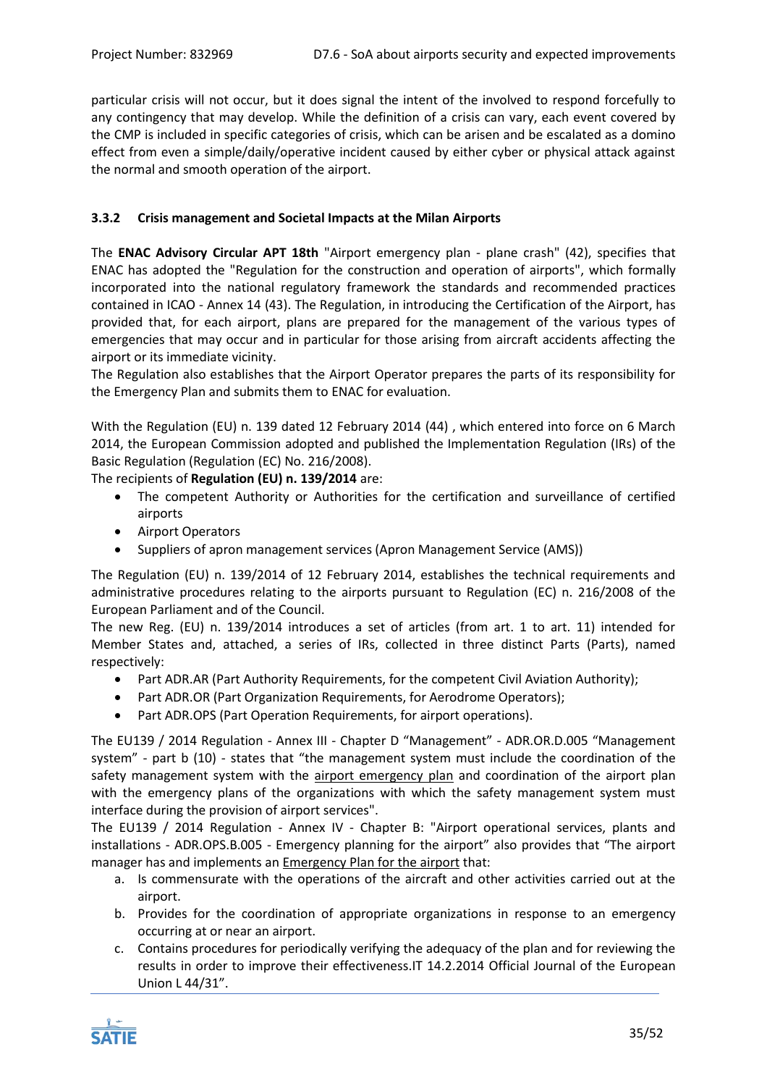particular crisis will not occur, but it does signal the intent of the involved to respond forcefully to any contingency that may develop. While the definition of a crisis can vary, each event covered by the CMP is included in specific categories of crisis, which can be arisen and be escalated as a domino effect from even a simple/daily/operative incident caused by either cyber or physical attack against the normal and smooth operation of the airport.

# <span id="page-34-0"></span>**3.3.2 Crisis management and Societal Impacts at the Milan Airports**

The **ENAC Advisory Circular APT 18th** "Airport emergency plan - plane crash" (42), specifies that ENAC has adopted the "Regulation for the construction and operation of airports", which formally incorporated into the national regulatory framework the standards and recommended practices contained in ICAO - Annex 14 (43). The Regulation, in introducing the Certification of the Airport, has provided that, for each airport, plans are prepared for the management of the various types of emergencies that may occur and in particular for those arising from aircraft accidents affecting the airport or its immediate vicinity.

The Regulation also establishes that the Airport Operator prepares the parts of its responsibility for the Emergency Plan and submits them to ENAC for evaluation.

With the Regulation (EU) n. 139 dated 12 February 2014 (44) , which entered into force on 6 March 2014, the European Commission adopted and published the Implementation Regulation (IRs) of the Basic Regulation (Regulation (EC) No. 216/2008).

The recipients of **Regulation (EU) n. 139/2014** are:

- The competent Authority or Authorities for the certification and surveillance of certified airports
- Airport Operators
- Suppliers of apron management services (Apron Management Service (AMS))

The Regulation (EU) n. 139/2014 of 12 February 2014, establishes the technical requirements and administrative procedures relating to the airports pursuant to Regulation (EC) n. 216/2008 of the European Parliament and of the Council.

The new Reg. (EU) n. 139/2014 introduces a set of articles (from art. 1 to art. 11) intended for Member States and, attached, a series of IRs, collected in three distinct Parts (Parts), named respectively:

- Part ADR.AR (Part Authority Requirements, for the competent Civil Aviation Authority);
- Part ADR.OR (Part Organization Requirements, for Aerodrome Operators);
- Part ADR.OPS (Part Operation Requirements, for airport operations).

The EU139 / 2014 Regulation - Annex III - Chapter D "Management" - ADR.OR.D.005 "Management system" - part b (10) - states that "the management system must include the coordination of the safety management system with the airport emergency plan and coordination of the airport plan with the emergency plans of the organizations with which the safety management system must interface during the provision of airport services".

The EU139 / 2014 Regulation - Annex IV - Chapter B: "Airport operational services, plants and installations - ADR.OPS.B.005 - Emergency planning for the airport" also provides that "The airport manager has and implements an Emergency Plan for the airport that:

- a. Is commensurate with the operations of the aircraft and other activities carried out at the airport.
- b. Provides for the coordination of appropriate organizations in response to an emergency occurring at or near an airport.
- c. Contains procedures for periodically verifying the adequacy of the plan and for reviewing the results in order to improve their effectiveness.IT 14.2.2014 Official Journal of the European Union L 44/31".

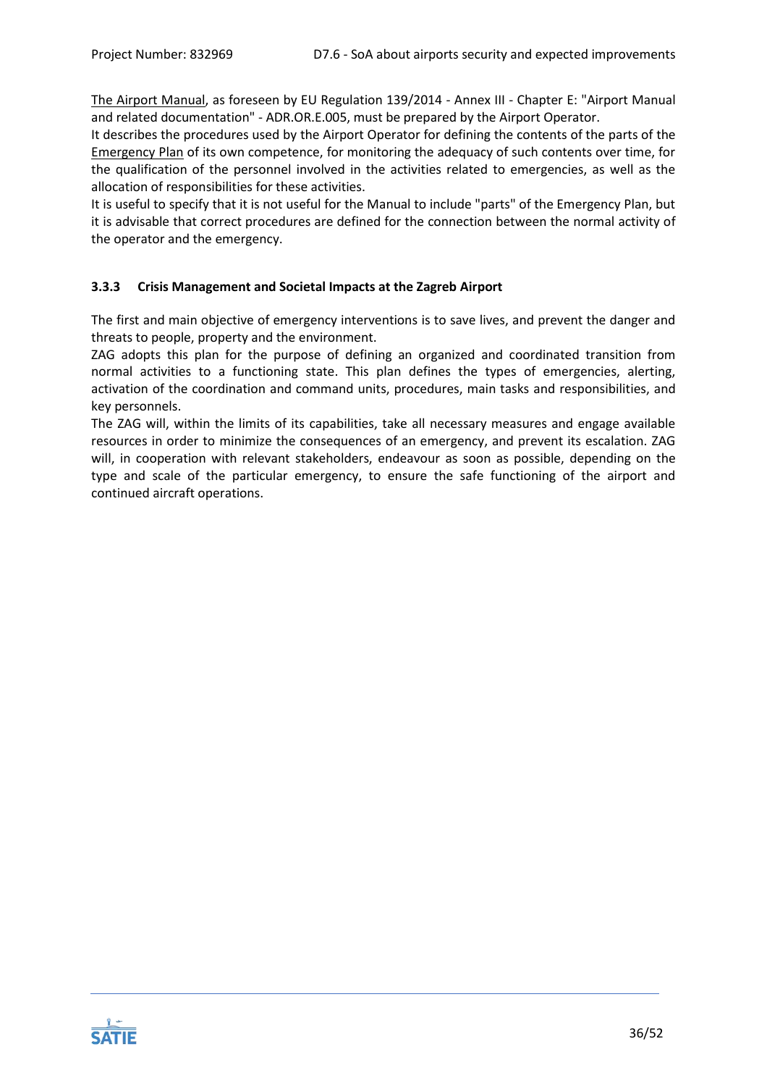The Airport Manual, as foreseen by EU Regulation 139/2014 - Annex III - Chapter E: "Airport Manual and related documentation" - ADR.OR.E.005, must be prepared by the Airport Operator.

It describes the procedures used by the Airport Operator for defining the contents of the parts of the Emergency Plan of its own competence, for monitoring the adequacy of such contents over time, for the qualification of the personnel involved in the activities related to emergencies, as well as the allocation of responsibilities for these activities.

It is useful to specify that it is not useful for the Manual to include "parts" of the Emergency Plan, but it is advisable that correct procedures are defined for the connection between the normal activity of the operator and the emergency.

# <span id="page-35-0"></span>**3.3.3 Crisis Management and Societal Impacts at the Zagreb Airport**

The first and main objective of emergency interventions is to save lives, and prevent the danger and threats to people, property and the environment.

ZAG adopts this plan for the purpose of defining an organized and coordinated transition from normal activities to a functioning state. This plan defines the types of emergencies, alerting, activation of the coordination and command units, procedures, main tasks and responsibilities, and key personnels.

The ZAG will, within the limits of its capabilities, take all necessary measures and engage available resources in order to minimize the consequences of an emergency, and prevent its escalation. ZAG will, in cooperation with relevant stakeholders, endeavour as soon as possible, depending on the type and scale of the particular emergency, to ensure the safe functioning of the airport and continued aircraft operations.

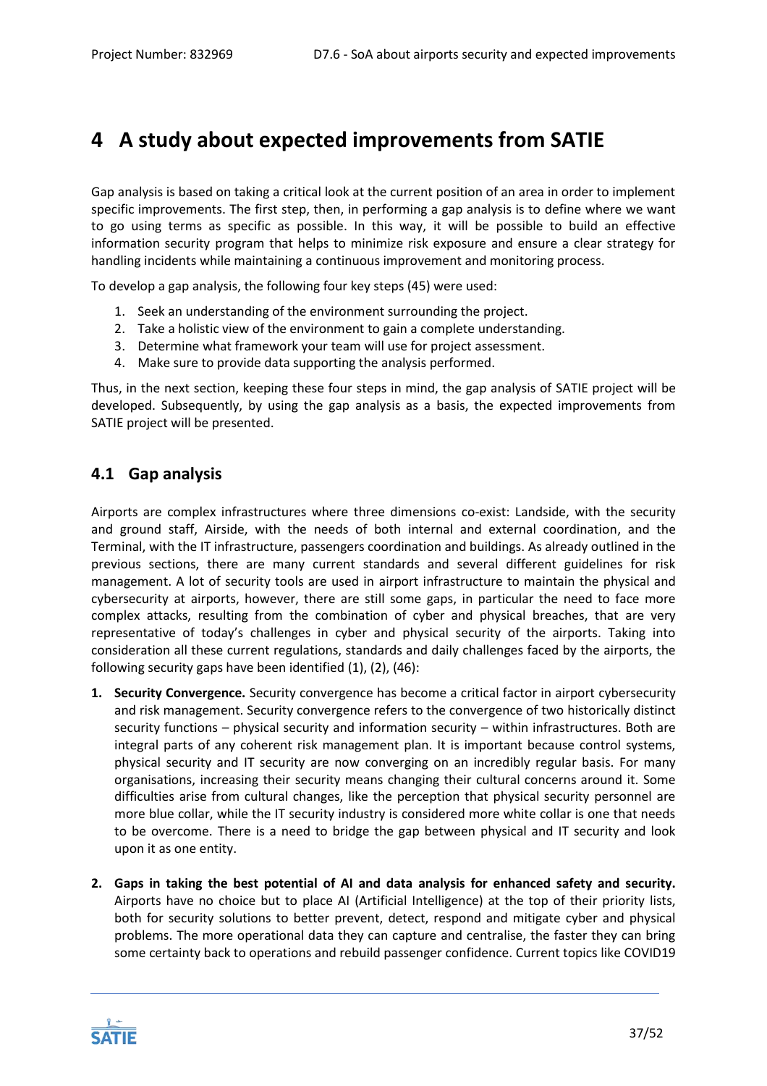# <span id="page-36-0"></span>**4 A study about expected improvements from SATIE**

Gap analysis is based on taking a critical look at the current position of an area in order to implement specific improvements. The first step, then, in performing a gap analysis is to define where we want to go using terms as specific as possible. In this way, it will be possible to build an effective information security program that helps to minimize risk exposure and ensure a clear strategy for handling incidents while maintaining a continuous improvement and monitoring process.

To develop a gap analysis, the following four key steps (45) were used:

- 1. Seek an understanding of the environment surrounding the project.
- 2. Take a holistic view of the environment to gain a complete understanding.
- 3. Determine what framework your team will use for project assessment.
- 4. Make sure to provide data supporting the analysis performed.

Thus, in the next section, keeping these four steps in mind, the gap analysis of SATIE project will be developed. Subsequently, by using the gap analysis as a basis, the expected improvements from SATIE project will be presented.

# <span id="page-36-1"></span>**4.1 Gap analysis**

Airports are complex infrastructures where three dimensions co-exist: Landside, with the security and ground staff, Airside, with the needs of both internal and external coordination, and the Terminal, with the IT infrastructure, passengers coordination and buildings. As already outlined in the previous sections, there are many current standards and several different guidelines for risk management. A lot of security tools are used in airport infrastructure to maintain the physical and cybersecurity at airports, however, there are still some gaps, in particular the need to face more complex attacks, resulting from the combination of cyber and physical breaches, that are very representative of today's challenges in cyber and physical security of the airports. Taking into consideration all these current regulations, standards and daily challenges faced by the airports, the following security gaps have been identified (1), (2), (46):

- **1. Security Convergence.** Security convergence has become a critical factor in airport cybersecurity and risk management. Security convergence refers to the convergence of two historically distinct security functions – physical security and information security – within infrastructures. Both are integral parts of any coherent risk management plan. It is important because control systems, physical security and IT security are now converging on an incredibly regular basis. For many organisations, increasing their security means changing their cultural concerns around it. Some difficulties arise from cultural changes, like the perception that physical security personnel are more blue collar, while the IT security industry is considered more white collar is one that needs to be overcome. There is a need to bridge the gap between physical and IT security and look upon it as one entity.
- **2. Gaps in taking the best potential of AI and data analysis for enhanced safety and security.** Airports have no choice but to place AI (Artificial Intelligence) at the top of their priority lists, both for security solutions to better prevent, detect, respond and mitigate cyber and physical problems. The more operational data they can capture and centralise, the faster they can bring some certainty back to operations and rebuild passenger confidence. Current topics like COVID19

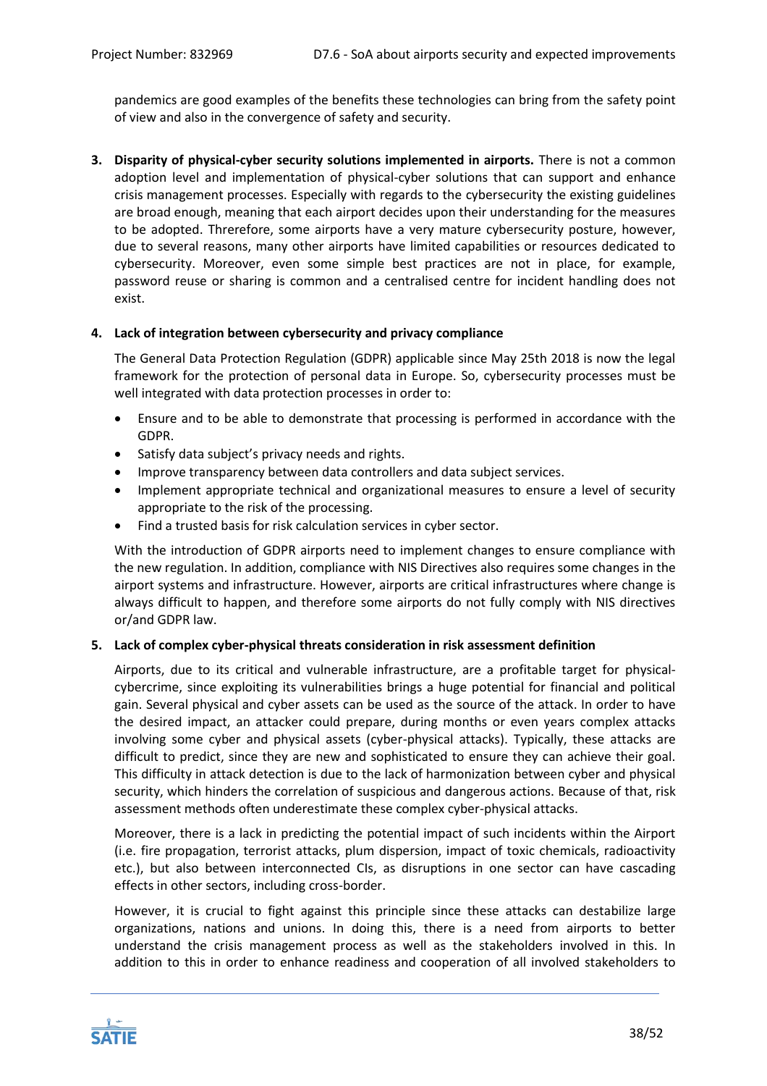pandemics are good examples of the benefits these technologies can bring from the safety point of view and also in the convergence of safety and security.

**3. Disparity of physical-cyber security solutions implemented in airports.** There is not a common adoption level and implementation of physical-cyber solutions that can support and enhance crisis management processes. Especially with regards to the cybersecurity the existing guidelines are broad enough, meaning that each airport decides upon their understanding for the measures to be adopted. Threrefore, some airports have a very mature cybersecurity posture, however, due to several reasons, many other airports have limited capabilities or resources dedicated to cybersecurity. Moreover, even some simple best practices are not in place, for example, password reuse or sharing is common and a centralised centre for incident handling does not exist.

# **4. Lack of integration between cybersecurity and privacy compliance**

The General Data Protection Regulation (GDPR) applicable since May 25th 2018 is now the legal framework for the protection of personal data in Europe. So, cybersecurity processes must be well integrated with data protection processes in order to:

- Ensure and to be able to demonstrate that processing is performed in accordance with the GDPR.
- Satisfy data subject's privacy needs and rights.
- Improve transparency between data controllers and data subject services.
- Implement appropriate technical and organizational measures to ensure a level of security appropriate to the risk of the processing.
- Find a trusted basis for risk calculation services in cyber sector.

With the introduction of GDPR airports need to implement changes to ensure compliance with the new regulation. In addition, compliance with NIS Directives also requires some changes in the airport systems and infrastructure. However, airports are critical infrastructures where change is always difficult to happen, and therefore some airports do not fully comply with NIS directives or/and GDPR law.

# **5. Lack of complex cyber-physical threats consideration in risk assessment definition**

Airports, due to its critical and vulnerable infrastructure, are a profitable target for physicalcybercrime, since exploiting its vulnerabilities brings a huge potential for financial and political gain. Several physical and cyber assets can be used as the source of the attack. In order to have the desired impact, an attacker could prepare, during months or even years complex attacks involving some cyber and physical assets (cyber-physical attacks). Typically, these attacks are difficult to predict, since they are new and sophisticated to ensure they can achieve their goal. This difficulty in attack detection is due to the lack of harmonization between cyber and physical security, which hinders the correlation of suspicious and dangerous actions. Because of that, risk assessment methods often underestimate these complex cyber-physical attacks.

Moreover, there is a lack in predicting the potential impact of such incidents within the Airport (i.e. fire propagation, terrorist attacks, plum dispersion, impact of toxic chemicals, radioactivity etc.), but also between interconnected CIs, as disruptions in one sector can have cascading effects in other sectors, including cross-border.

However, it is crucial to fight against this principle since these attacks can destabilize large organizations, nations and unions. In doing this, there is a need from airports to better understand the crisis management process as well as the stakeholders involved in this. In addition to this in order to enhance readiness and cooperation of all involved stakeholders to

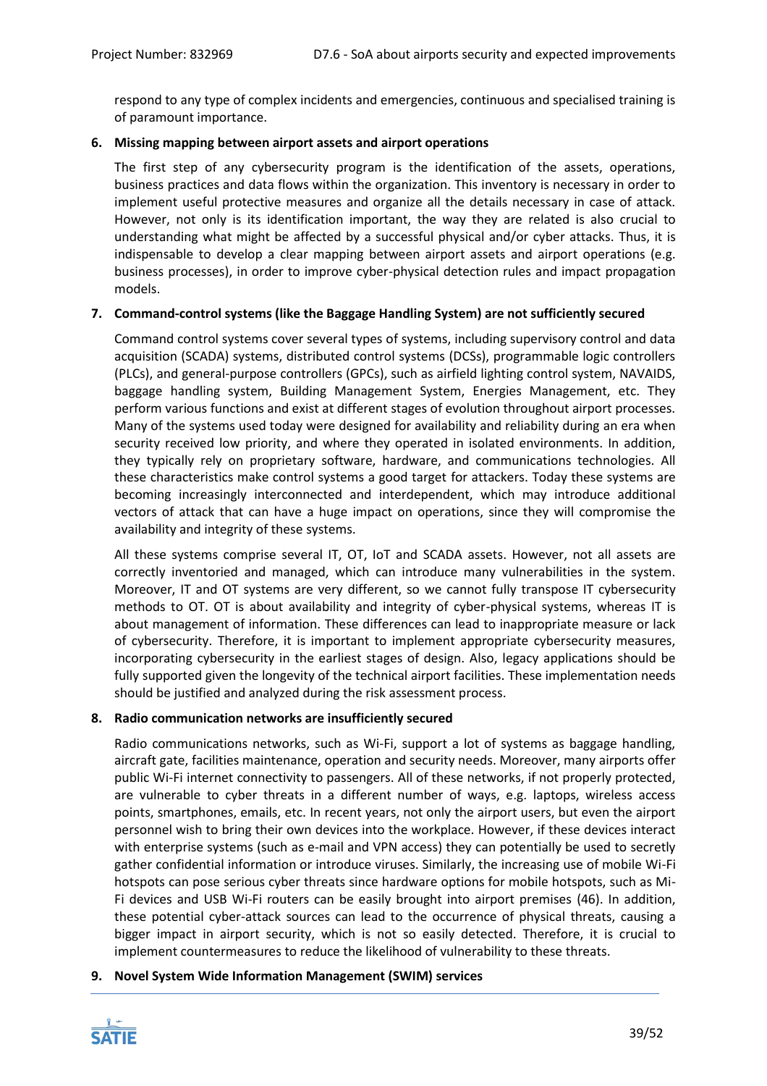respond to any type of complex incidents and emergencies, continuous and specialised training is of paramount importance.

# **6. Missing mapping between airport assets and airport operations**

The first step of any cybersecurity program is the identification of the assets, operations, business practices and data flows within the organization. This inventory is necessary in order to implement useful protective measures and organize all the details necessary in case of attack. However, not only is its identification important, the way they are related is also crucial to understanding what might be affected by a successful physical and/or cyber attacks. Thus, it is indispensable to develop a clear mapping between airport assets and airport operations (e.g. business processes), in order to improve cyber-physical detection rules and impact propagation models.

# **7. Command-control systems (like the Baggage Handling System) are not sufficiently secured**

Command control systems cover several types of systems, including supervisory control and data acquisition (SCADA) systems, distributed control systems (DCSs), programmable logic controllers (PLCs), and general-purpose controllers (GPCs), such as airfield lighting control system, NAVAIDS, baggage handling system, Building Management System, Energies Management, etc. They perform various functions and exist at different stages of evolution throughout airport processes. Many of the systems used today were designed for availability and reliability during an era when security received low priority, and where they operated in isolated environments. In addition, they typically rely on proprietary software, hardware, and communications technologies. All these characteristics make control systems a good target for attackers. Today these systems are becoming increasingly interconnected and interdependent, which may introduce additional vectors of attack that can have a huge impact on operations, since they will compromise the availability and integrity of these systems.

All these systems comprise several IT, OT, IoT and SCADA assets. However, not all assets are correctly inventoried and managed, which can introduce many vulnerabilities in the system. Moreover, IT and OT systems are very different, so we cannot fully transpose IT cybersecurity methods to OT. OT is about availability and integrity of cyber-physical systems, whereas IT is about management of information. These differences can lead to inappropriate measure or lack of cybersecurity. Therefore, it is important to implement appropriate cybersecurity measures, incorporating cybersecurity in the earliest stages of design. Also, legacy applications should be fully supported given the longevity of the technical airport facilities. These implementation needs should be justified and analyzed during the risk assessment process.

# **8. Radio communication networks are insufficiently secured**

Radio communications networks, such as Wi-Fi, support a lot of systems as baggage handling, aircraft gate, facilities maintenance, operation and security needs. Moreover, many airports offer public Wi-Fi internet connectivity to passengers. All of these networks, if not properly protected, are vulnerable to cyber threats in a different number of ways, e.g. laptops, wireless access points, smartphones, emails, etc. In recent years, not only the airport users, but even the airport personnel wish to bring their own devices into the workplace. However, if these devices interact with enterprise systems (such as e-mail and VPN access) they can potentially be used to secretly gather confidential information or introduce viruses. Similarly, the increasing use of mobile Wi-Fi hotspots can pose serious cyber threats since hardware options for mobile hotspots, such as Mi-Fi devices and USB Wi-Fi routers can be easily brought into airport premises (46). In addition, these potential cyber-attack sources can lead to the occurrence of physical threats, causing a bigger impact in airport security, which is not so easily detected. Therefore, it is crucial to implement countermeasures to reduce the likelihood of vulnerability to these threats.

# **9. Novel System Wide Information Management (SWIM) services**

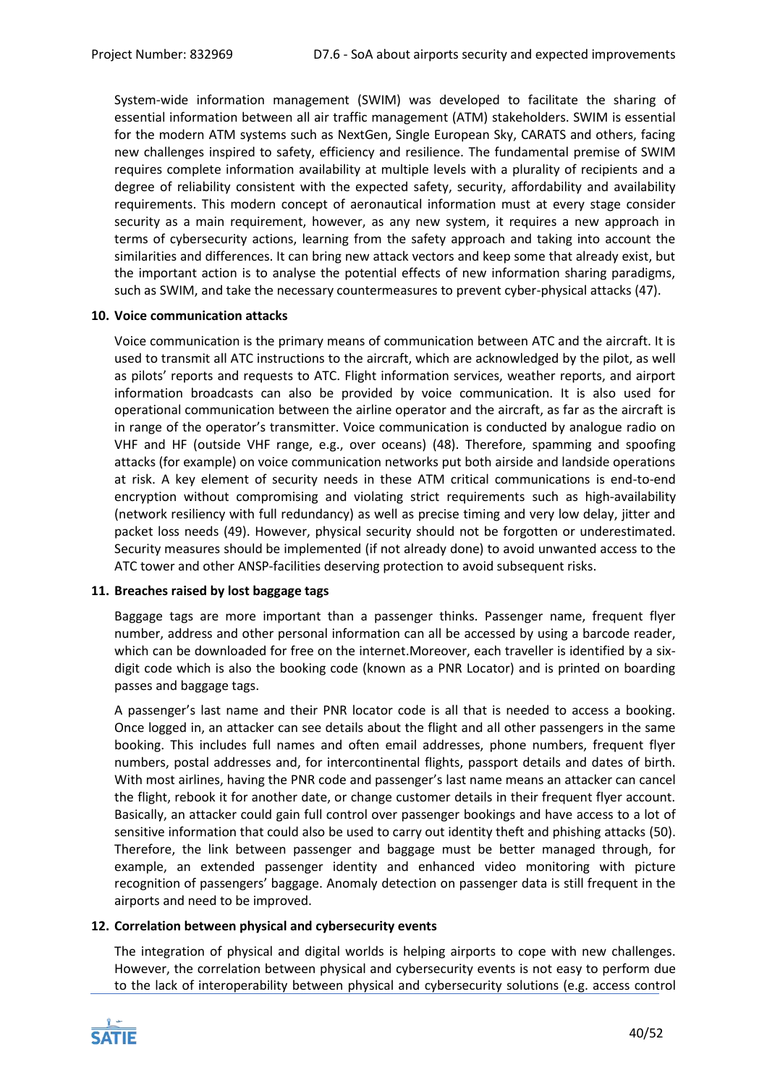System-wide information management (SWIM) was developed to facilitate the sharing of essential information between all air traffic management (ATM) stakeholders. SWIM is essential for the modern ATM systems such as NextGen, Single European Sky, CARATS and others, facing new challenges inspired to safety, efficiency and resilience. The fundamental premise of SWIM requires complete information availability at multiple levels with a plurality of recipients and a degree of reliability consistent with the expected safety, security, affordability and availability requirements. This modern concept of aeronautical information must at every stage consider security as a main requirement, however, as any new system, it requires a new approach in terms of cybersecurity actions, learning from the safety approach and taking into account the similarities and differences. It can bring new attack vectors and keep some that already exist, but the important action is to analyse the potential effects of new information sharing paradigms, such as SWIM, and take the necessary countermeasures to prevent cyber-physical attacks (47).

## **10. Voice communication attacks**

Voice communication is the primary means of communication between ATC and the aircraft. It is used to transmit all ATC instructions to the aircraft, which are acknowledged by the pilot, as well as pilots' reports and requests to ATC. Flight information services, weather reports, and airport information broadcasts can also be provided by voice communication. It is also used for operational communication between the airline operator and the aircraft, as far as the aircraft is in range of the operator's transmitter. Voice communication is conducted by analogue radio on VHF and HF (outside VHF range, e.g., over oceans) (48). Therefore, spamming and spoofing attacks (for example) on voice communication networks put both airside and landside operations at risk. A key element of security needs in these ATM critical communications is end-to-end encryption without compromising and violating strict requirements such as high-availability (network resiliency with full redundancy) as well as precise timing and very low delay, jitter and packet loss needs (49). However, physical security should not be forgotten or underestimated. Security measures should be implemented (if not already done) to avoid unwanted access to the ATC tower and other ANSP-facilities deserving protection to avoid subsequent risks.

# **11. Breaches raised by lost baggage tags**

Baggage tags are more important than a passenger thinks. Passenger name, frequent flyer number, address and other personal information can all be accessed by using a barcode reader, which can be downloaded for free on the internet.Moreover, each traveller is identified by a sixdigit code which is also the booking code (known as a PNR Locator) and is printed on boarding passes and baggage tags.

A passenger's last name and their PNR locator code is all that is needed to access a booking. Once logged in, an attacker can see details about the flight and all other passengers in the same booking. This includes full names and often email addresses, phone numbers, frequent flyer numbers, postal addresses and, for intercontinental flights, passport details and dates of birth. With most airlines, having the PNR code and passenger's last name means an attacker can cancel the flight, rebook it for another date, or change customer details in their frequent flyer account. Basically, an attacker could gain full control over passenger bookings and have access to a lot of sensitive information that could also be used to carry out identity theft and phishing attacks (50). Therefore, the link between passenger and baggage must be better managed through, for example, an extended passenger identity and enhanced video monitoring with picture recognition of passengers' baggage. Anomaly detection on passenger data is still frequent in the airports and need to be improved.

# **12. Correlation between physical and cybersecurity events**

The integration of physical and digital worlds is helping airports to cope with new challenges. However, the correlation between physical and cybersecurity events is not easy to perform due to the lack of interoperability between physical and cybersecurity solutions (e.g. access control

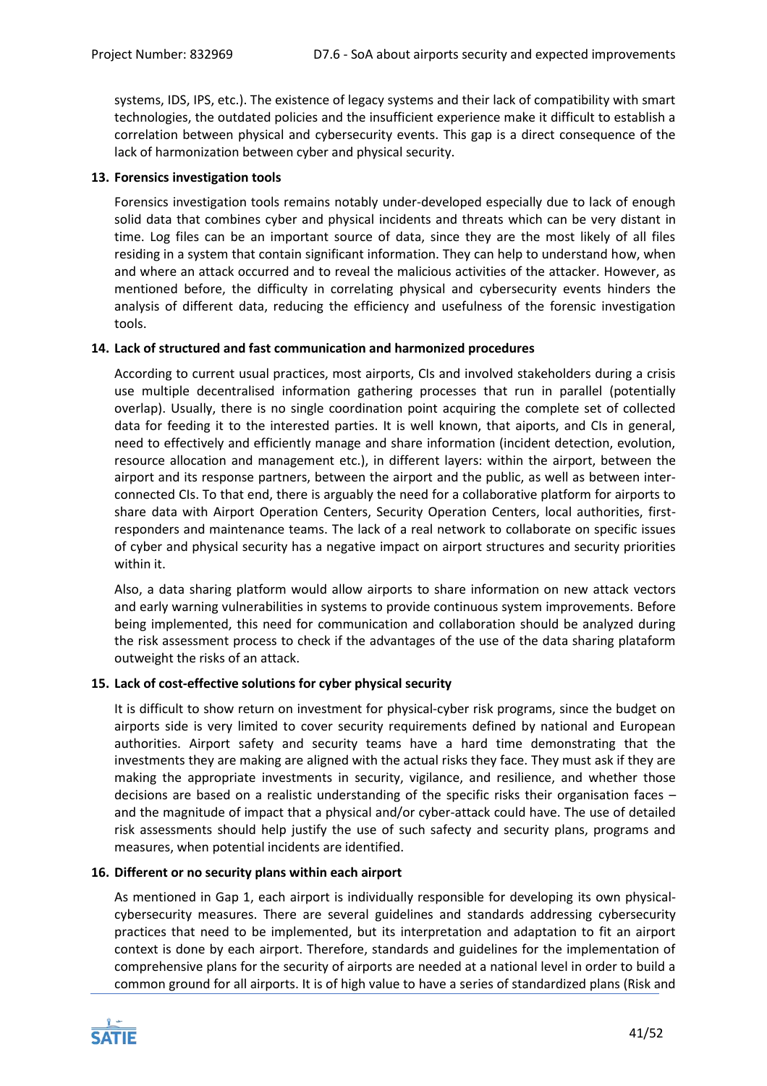systems, IDS, IPS, etc.). The existence of legacy systems and their lack of compatibility with smart technologies, the outdated policies and the insufficient experience make it difficult to establish a correlation between physical and cybersecurity events. This gap is a direct consequence of the lack of harmonization between cyber and physical security.

# **13. Forensics investigation tools**

Forensics investigation tools remains notably under-developed especially due to lack of enough solid data that combines cyber and physical incidents and threats which can be very distant in time. Log files can be an important source of data, since they are the most likely of all files residing in a system that contain significant information. They can help to understand how, when and where an attack occurred and to reveal the malicious activities of the attacker. However, as mentioned before, the difficulty in correlating physical and cybersecurity events hinders the analysis of different data, reducing the efficiency and usefulness of the forensic investigation tools.

# **14. Lack of structured and fast communication and harmonized procedures**

According to current usual practices, most airports, CIs and involved stakeholders during a crisis use multiple decentralised information gathering processes that run in parallel (potentially overlap). Usually, there is no single coordination point acquiring the complete set of collected data for feeding it to the interested parties. It is well known, that aiports, and CIs in general, need to effectively and efficiently manage and share information (incident detection, evolution, resource allocation and management etc.), in different layers: within the airport, between the airport and its response partners, between the airport and the public, as well as between interconnected CIs. To that end, there is arguably the need for a collaborative platform for airports to share data with Airport Operation Centers, Security Operation Centers, local authorities, firstresponders and maintenance teams. The lack of a real network to collaborate on specific issues of cyber and physical security has a negative impact on airport structures and security priorities within it.

Also, a data sharing platform would allow airports to share information on new attack vectors and early warning vulnerabilities in systems to provide continuous system improvements. Before being implemented, this need for communication and collaboration should be analyzed during the risk assessment process to check if the advantages of the use of the data sharing plataform outweight the risks of an attack.

# **15. Lack of cost-effective solutions for cyber physical security**

It is difficult to show return on investment for physical-cyber risk programs, since the budget on airports side is very limited to cover security requirements defined by national and European authorities. Airport safety and security teams have a hard time demonstrating that the investments they are making are aligned with the actual risks they face. They must ask if they are making the appropriate investments in security, vigilance, and resilience, and whether those decisions are based on a realistic understanding of the specific risks their organisation faces – and the magnitude of impact that a physical and/or cyber-attack could have. The use of detailed risk assessments should help justify the use of such safecty and security plans, programs and measures, when potential incidents are identified.

#### **16. Different or no security plans within each airport**

As mentioned in Gap 1, each airport is individually responsible for developing its own physicalcybersecurity measures. There are several guidelines and standards addressing cybersecurity practices that need to be implemented, but its interpretation and adaptation to fit an airport context is done by each airport. Therefore, standards and guidelines for the implementation of comprehensive plans for the security of airports are needed at a national level in order to build a common ground for all airports. It is of high value to have a series of standardized plans (Risk and

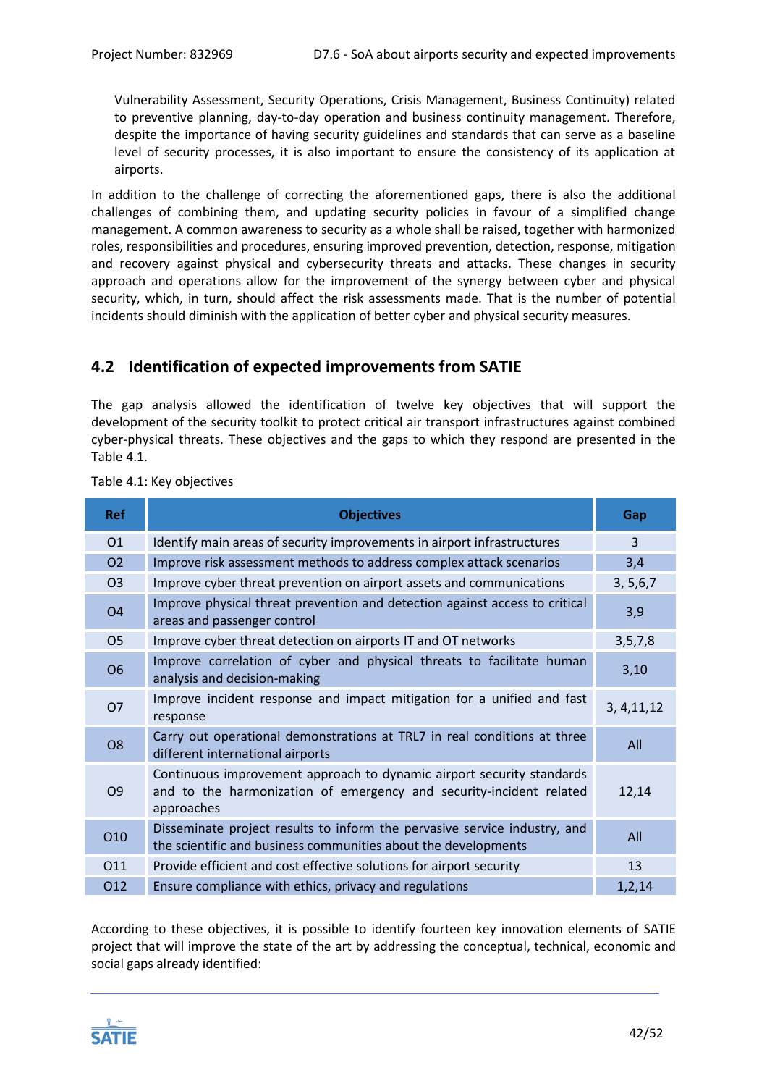Vulnerability Assessment, Security Operations, Crisis Management, Business Continuity) related to preventive planning, day-to-day operation and business continuity management. Therefore, despite the importance of having security guidelines and standards that can serve as a baseline level of security processes, it is also important to ensure the consistency of its application at airports.

In addition to the challenge of correcting the aforementioned gaps, there is also the additional challenges of combining them, and updating security policies in favour of a simplified change management. A common awareness to security as a whole shall be raised, together with harmonized roles, responsibilities and procedures, ensuring improved prevention, detection, response, mitigation and recovery against physical and cybersecurity threats and attacks. These changes in security approach and operations allow for the improvement of the synergy between cyber and physical security, which, in turn, should affect the risk assessments made. That is the number of potential incidents should diminish with the application of better cyber and physical security measures.

# <span id="page-41-0"></span>**4.2 Identification of expected improvements from SATIE**

The gap analysis allowed the identification of twelve key objectives that will support the development of the security toolkit to protect critical air transport infrastructures against combined cyber-physical threats. These objectives and the gaps to which they respond are presented in the [Table 4.1.](#page-41-1)

| <b>Ref</b>     | <b>Objectives</b>                                                                                                                                          | Gap          |
|----------------|------------------------------------------------------------------------------------------------------------------------------------------------------------|--------------|
| 01             | Identify main areas of security improvements in airport infrastructures                                                                                    | 3            |
| <b>O2</b>      | Improve risk assessment methods to address complex attack scenarios                                                                                        | 3,4          |
| O <sub>3</sub> | Improve cyber threat prevention on airport assets and communications                                                                                       | 3, 5, 6, 7   |
| O <sub>4</sub> | Improve physical threat prevention and detection against access to critical<br>areas and passenger control                                                 | 3,9          |
| O <sub>5</sub> | Improve cyber threat detection on airports IT and OT networks                                                                                              | 3, 5, 7, 8   |
| <b>O6</b>      | Improve correlation of cyber and physical threats to facilitate human<br>analysis and decision-making                                                      | 3,10         |
| <b>O7</b>      | Improve incident response and impact mitigation for a unified and fast<br>response                                                                         | 3, 4, 11, 12 |
| O <sub>8</sub> | Carry out operational demonstrations at TRL7 in real conditions at three<br>different international airports                                               | All          |
| O <sub>9</sub> | Continuous improvement approach to dynamic airport security standards<br>and to the harmonization of emergency and security-incident related<br>approaches | 12,14        |
| O10            | Disseminate project results to inform the pervasive service industry, and<br>the scientific and business communities about the developments                | All          |
| 011            | Provide efficient and cost effective solutions for airport security                                                                                        | 13           |
| 012            | Ensure compliance with ethics, privacy and regulations                                                                                                     | 1, 2, 14     |

<span id="page-41-1"></span>Table 4.1: Key objectives

According to these objectives, it is possible to identify fourteen key innovation elements of SATIE project that will improve the state of the art by addressing the conceptual, technical, economic and social gaps already identified:

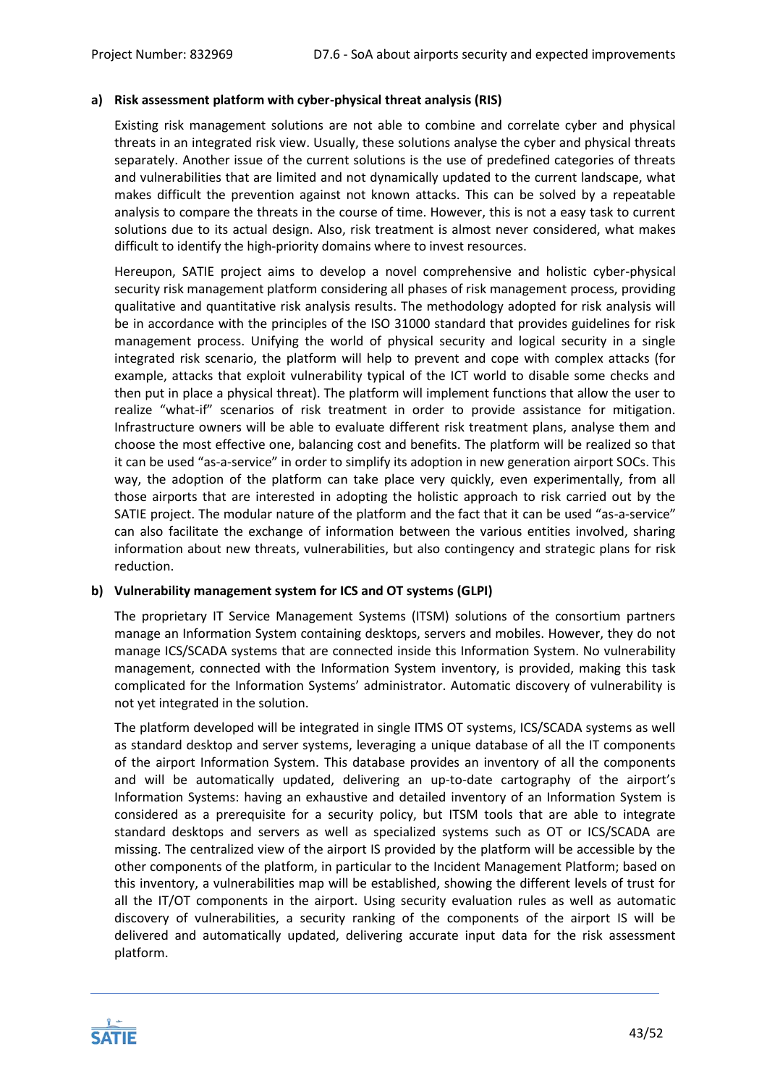# **a) Risk assessment platform with cyber-physical threat analysis (RIS)**

Existing risk management solutions are not able to combine and correlate cyber and physical threats in an integrated risk view. Usually, these solutions analyse the cyber and physical threats separately. Another issue of the current solutions is the use of predefined categories of threats and vulnerabilities that are limited and not dynamically updated to the current landscape, what makes difficult the prevention against not known attacks. This can be solved by a repeatable analysis to compare the threats in the course of time. However, this is not a easy task to current solutions due to its actual design. Also, risk treatment is almost never considered, what makes difficult to identify the high-priority domains where to invest resources.

Hereupon, SATIE project aims to develop a novel comprehensive and holistic cyber-physical security risk management platform considering all phases of risk management process, providing qualitative and quantitative risk analysis results. The methodology adopted for risk analysis will be in accordance with the principles of the ISO 31000 standard that provides guidelines for risk management process. Unifying the world of physical security and logical security in a single integrated risk scenario, the platform will help to prevent and cope with complex attacks (for example, attacks that exploit vulnerability typical of the ICT world to disable some checks and then put in place a physical threat). The platform will implement functions that allow the user to realize "what-if" scenarios of risk treatment in order to provide assistance for mitigation. Infrastructure owners will be able to evaluate different risk treatment plans, analyse them and choose the most effective one, balancing cost and benefits. The platform will be realized so that it can be used "as-a-service" in order to simplify its adoption in new generation airport SOCs. This way, the adoption of the platform can take place very quickly, even experimentally, from all those airports that are interested in adopting the holistic approach to risk carried out by the SATIE project. The modular nature of the platform and the fact that it can be used "as-a-service" can also facilitate the exchange of information between the various entities involved, sharing information about new threats, vulnerabilities, but also contingency and strategic plans for risk reduction.

# **b) Vulnerability management system for ICS and OT systems (GLPI)**

The proprietary IT Service Management Systems (ITSM) solutions of the consortium partners manage an Information System containing desktops, servers and mobiles. However, they do not manage ICS/SCADA systems that are connected inside this Information System. No vulnerability management, connected with the Information System inventory, is provided, making this task complicated for the Information Systems' administrator. Automatic discovery of vulnerability is not yet integrated in the solution.

The platform developed will be integrated in single ITMS OT systems, ICS/SCADA systems as well as standard desktop and server systems, leveraging a unique database of all the IT components of the airport Information System. This database provides an inventory of all the components and will be automatically updated, delivering an up-to-date cartography of the airport's Information Systems: having an exhaustive and detailed inventory of an Information System is considered as a prerequisite for a security policy, but ITSM tools that are able to integrate standard desktops and servers as well as specialized systems such as OT or ICS/SCADA are missing. The centralized view of the airport IS provided by the platform will be accessible by the other components of the platform, in particular to the Incident Management Platform; based on this inventory, a vulnerabilities map will be established, showing the different levels of trust for all the IT/OT components in the airport. Using security evaluation rules as well as automatic discovery of vulnerabilities, a security ranking of the components of the airport IS will be delivered and automatically updated, delivering accurate input data for the risk assessment platform.

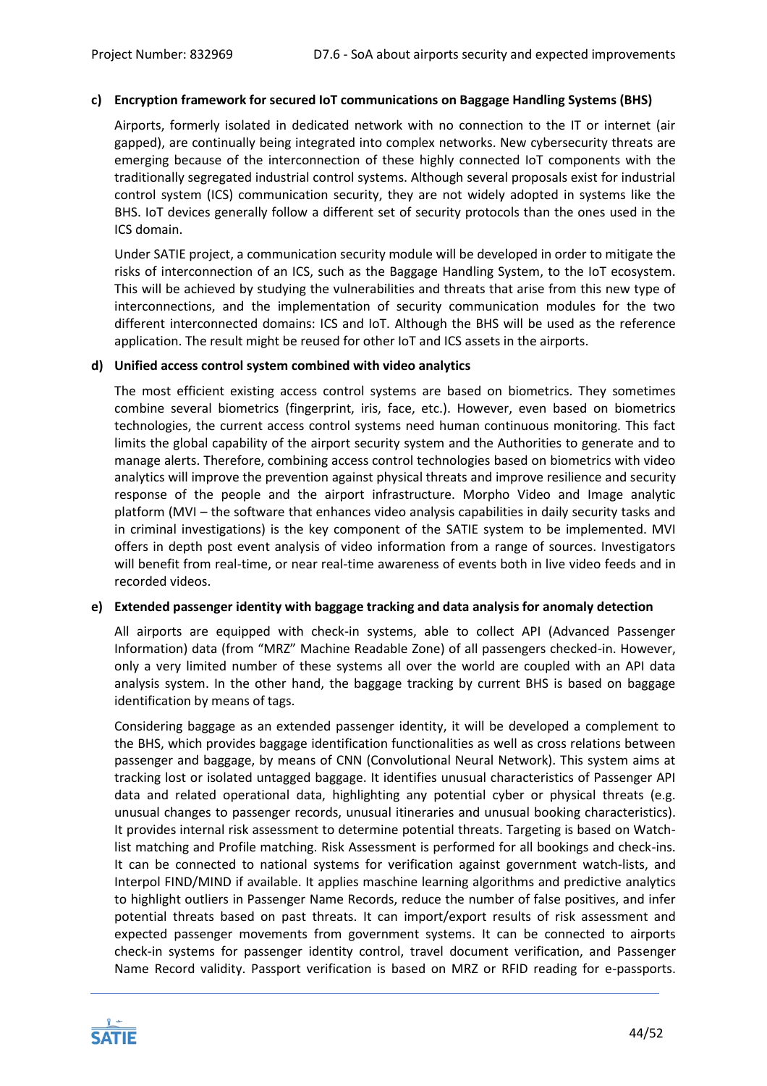### **c) Encryption framework for secured IoT communications on Baggage Handling Systems (BHS)**

Airports, formerly isolated in dedicated network with no connection to the IT or internet (air gapped), are continually being integrated into complex networks. New cybersecurity threats are emerging because of the interconnection of these highly connected IoT components with the traditionally segregated industrial control systems. Although several proposals exist for industrial control system (ICS) communication security, they are not widely adopted in systems like the BHS. IoT devices generally follow a different set of security protocols than the ones used in the ICS domain.

Under SATIE project, a communication security module will be developed in order to mitigate the risks of interconnection of an ICS, such as the Baggage Handling System, to the IoT ecosystem. This will be achieved by studying the vulnerabilities and threats that arise from this new type of interconnections, and the implementation of security communication modules for the two different interconnected domains: ICS and IoT. Although the BHS will be used as the reference application. The result might be reused for other IoT and ICS assets in the airports.

#### **d) Unified access control system combined with video analytics**

The most efficient existing access control systems are based on biometrics. They sometimes combine several biometrics (fingerprint, iris, face, etc.). However, even based on biometrics technologies, the current access control systems need human continuous monitoring. This fact limits the global capability of the airport security system and the Authorities to generate and to manage alerts. Therefore, combining access control technologies based on biometrics with video analytics will improve the prevention against physical threats and improve resilience and security response of the people and the airport infrastructure. Morpho Video and Image analytic platform (MVI – the software that enhances video analysis capabilities in daily security tasks and in criminal investigations) is the key component of the SATIE system to be implemented. MVI offers in depth post event analysis of video information from a range of sources. Investigators will benefit from real-time, or near real-time awareness of events both in live video feeds and in recorded videos.

#### **e) Extended passenger identity with baggage tracking and data analysis for anomaly detection**

All airports are equipped with check-in systems, able to collect API (Advanced Passenger Information) data (from "MRZ" Machine Readable Zone) of all passengers checked-in. However, only a very limited number of these systems all over the world are coupled with an API data analysis system. In the other hand, the baggage tracking by current BHS is based on baggage identification by means of tags.

Considering baggage as an extended passenger identity, it will be developed a complement to the BHS, which provides baggage identification functionalities as well as cross relations between passenger and baggage, by means of CNN (Convolutional Neural Network). This system aims at tracking lost or isolated untagged baggage. It identifies unusual characteristics of Passenger API data and related operational data, highlighting any potential cyber or physical threats (e.g. unusual changes to passenger records, unusual itineraries and unusual booking characteristics). It provides internal risk assessment to determine potential threats. Targeting is based on Watchlist matching and Profile matching. Risk Assessment is performed for all bookings and check-ins. It can be connected to national systems for verification against government watch-lists, and Interpol FIND/MIND if available. It applies maschine learning algorithms and predictive analytics to highlight outliers in Passenger Name Records, reduce the number of false positives, and infer potential threats based on past threats. It can import/export results of risk assessment and expected passenger movements from government systems. It can be connected to airports check-in systems for passenger identity control, travel document verification, and Passenger Name Record validity. Passport verification is based on MRZ or RFID reading for e-passports.

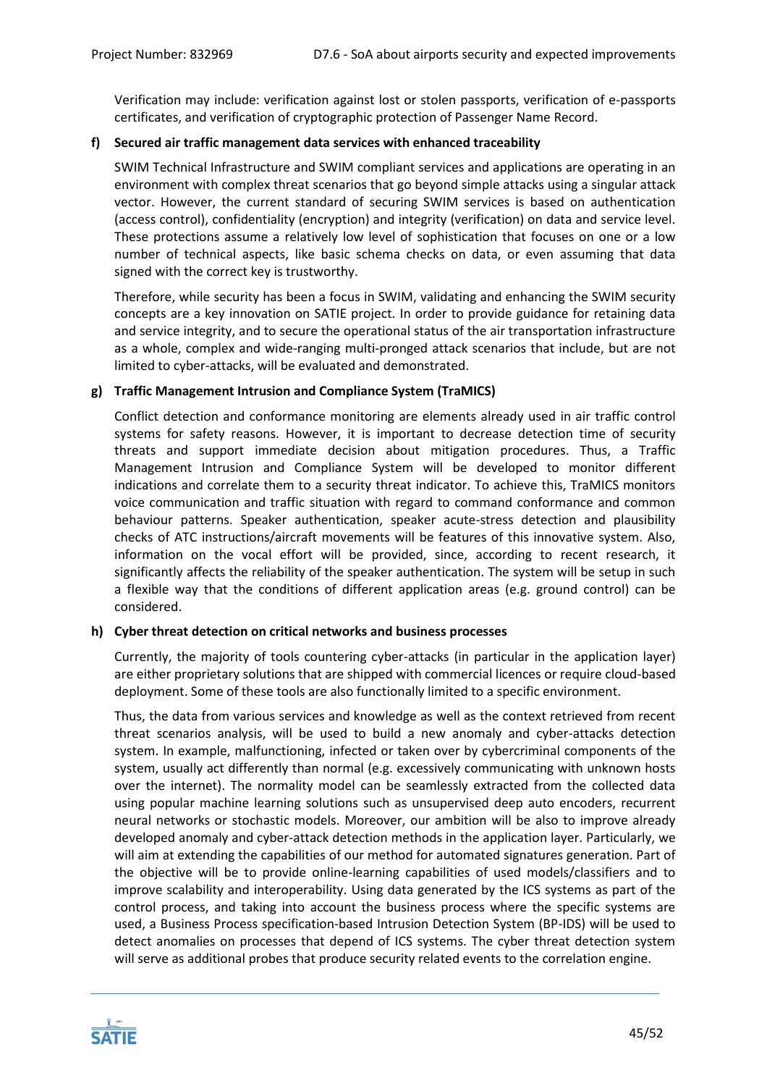Verification may include: verification against lost or stolen passports, verification of e-passports certificates, and verification of cryptographic protection of Passenger Name Record.

# **f) Secured air traffic management data services with enhanced traceability**

SWIM Technical Infrastructure and SWIM compliant services and applications are operating in an environment with complex threat scenarios that go beyond simple attacks using a singular attack vector. However, the current standard of securing SWIM services is based on authentication (access control), confidentiality (encryption) and integrity (verification) on data and service level. These protections assume a relatively low level of sophistication that focuses on one or a low number of technical aspects, like basic schema checks on data, or even assuming that data signed with the correct key is trustworthy.

Therefore, while security has been a focus in SWIM, validating and enhancing the SWIM security concepts are a key innovation on SATIE project. In order to provide guidance for retaining data and service integrity, and to secure the operational status of the air transportation infrastructure as a whole, complex and wide-ranging multi-pronged attack scenarios that include, but are not limited to cyber-attacks, will be evaluated and demonstrated.

## **g) Traffic Management Intrusion and Compliance System (TraMICS)**

Conflict detection and conformance monitoring are elements already used in air traffic control systems for safety reasons. However, it is important to decrease detection time of security threats and support immediate decision about mitigation procedures. Thus, a Traffic Management Intrusion and Compliance System will be developed to monitor different indications and correlate them to a security threat indicator. To achieve this, TraMICS monitors voice communication and traffic situation with regard to command conformance and common behaviour patterns. Speaker authentication, speaker acute-stress detection and plausibility checks of ATC instructions/aircraft movements will be features of this innovative system. Also, information on the vocal effort will be provided, since, according to recent research, it significantly affects the reliability of the speaker authentication. The system will be setup in such a flexible way that the conditions of different application areas (e.g. ground control) can be considered.

#### **h) Cyber threat detection on critical networks and business processes**

Currently, the majority of tools countering cyber-attacks (in particular in the application layer) are either proprietary solutions that are shipped with commercial licences or require cloud-based deployment. Some of these tools are also functionally limited to a specific environment.

Thus, the data from various services and knowledge as well as the context retrieved from recent threat scenarios analysis, will be used to build a new anomaly and cyber-attacks detection system. In example, malfunctioning, infected or taken over by cybercriminal components of the system, usually act differently than normal (e.g. excessively communicating with unknown hosts over the internet). The normality model can be seamlessly extracted from the collected data using popular machine learning solutions such as unsupervised deep auto encoders, recurrent neural networks or stochastic models. Moreover, our ambition will be also to improve already developed anomaly and cyber-attack detection methods in the application layer. Particularly, we will aim at extending the capabilities of our method for automated signatures generation. Part of the objective will be to provide online-learning capabilities of used models/classifiers and to improve scalability and interoperability. Using data generated by the ICS systems as part of the control process, and taking into account the business process where the specific systems are used, a Business Process specification-based Intrusion Detection System (BP-IDS) will be used to detect anomalies on processes that depend of ICS systems. The cyber threat detection system will serve as additional probes that produce security related events to the correlation engine.

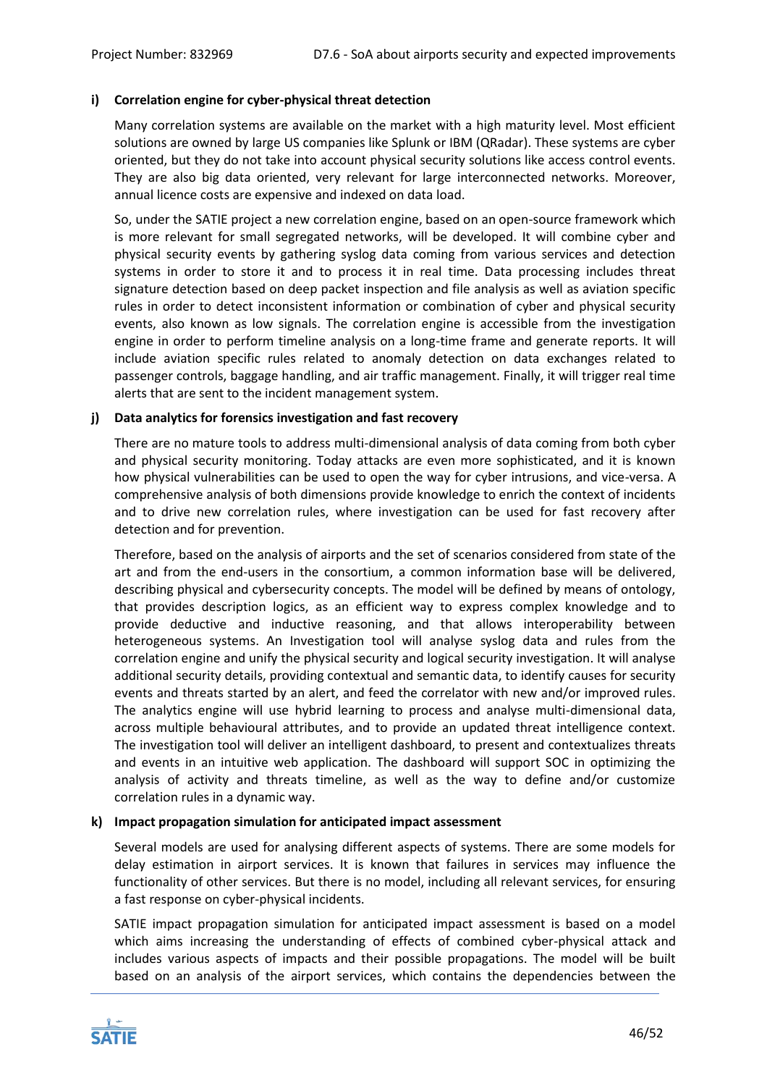# **i) Correlation engine for cyber-physical threat detection**

Many correlation systems are available on the market with a high maturity level. Most efficient solutions are owned by large US companies like Splunk or IBM (QRadar). These systems are cyber oriented, but they do not take into account physical security solutions like access control events. They are also big data oriented, very relevant for large interconnected networks. Moreover, annual licence costs are expensive and indexed on data load.

So, under the SATIE project a new correlation engine, based on an open-source framework which is more relevant for small segregated networks, will be developed. It will combine cyber and physical security events by gathering syslog data coming from various services and detection systems in order to store it and to process it in real time. Data processing includes threat signature detection based on deep packet inspection and file analysis as well as aviation specific rules in order to detect inconsistent information or combination of cyber and physical security events, also known as low signals. The correlation engine is accessible from the investigation engine in order to perform timeline analysis on a long-time frame and generate reports. It will include aviation specific rules related to anomaly detection on data exchanges related to passenger controls, baggage handling, and air traffic management. Finally, it will trigger real time alerts that are sent to the incident management system.

## **j) Data analytics for forensics investigation and fast recovery**

There are no mature tools to address multi-dimensional analysis of data coming from both cyber and physical security monitoring. Today attacks are even more sophisticated, and it is known how physical vulnerabilities can be used to open the way for cyber intrusions, and vice-versa. A comprehensive analysis of both dimensions provide knowledge to enrich the context of incidents and to drive new correlation rules, where investigation can be used for fast recovery after detection and for prevention.

Therefore, based on the analysis of airports and the set of scenarios considered from state of the art and from the end-users in the consortium, a common information base will be delivered, describing physical and cybersecurity concepts. The model will be defined by means of ontology, that provides description logics, as an efficient way to express complex knowledge and to provide deductive and inductive reasoning, and that allows interoperability between heterogeneous systems. An Investigation tool will analyse syslog data and rules from the correlation engine and unify the physical security and logical security investigation. It will analyse additional security details, providing contextual and semantic data, to identify causes for security events and threats started by an alert, and feed the correlator with new and/or improved rules. The analytics engine will use hybrid learning to process and analyse multi-dimensional data, across multiple behavioural attributes, and to provide an updated threat intelligence context. The investigation tool will deliver an intelligent dashboard, to present and contextualizes threats and events in an intuitive web application. The dashboard will support SOC in optimizing the analysis of activity and threats timeline, as well as the way to define and/or customize correlation rules in a dynamic way.

#### **k) Impact propagation simulation for anticipated impact assessment**

Several models are used for analysing different aspects of systems. There are some models for delay estimation in airport services. It is known that failures in services may influence the functionality of other services. But there is no model, including all relevant services, for ensuring a fast response on cyber-physical incidents.

SATIE impact propagation simulation for anticipated impact assessment is based on a model which aims increasing the understanding of effects of combined cyber-physical attack and includes various aspects of impacts and their possible propagations. The model will be built based on an analysis of the airport services, which contains the dependencies between the

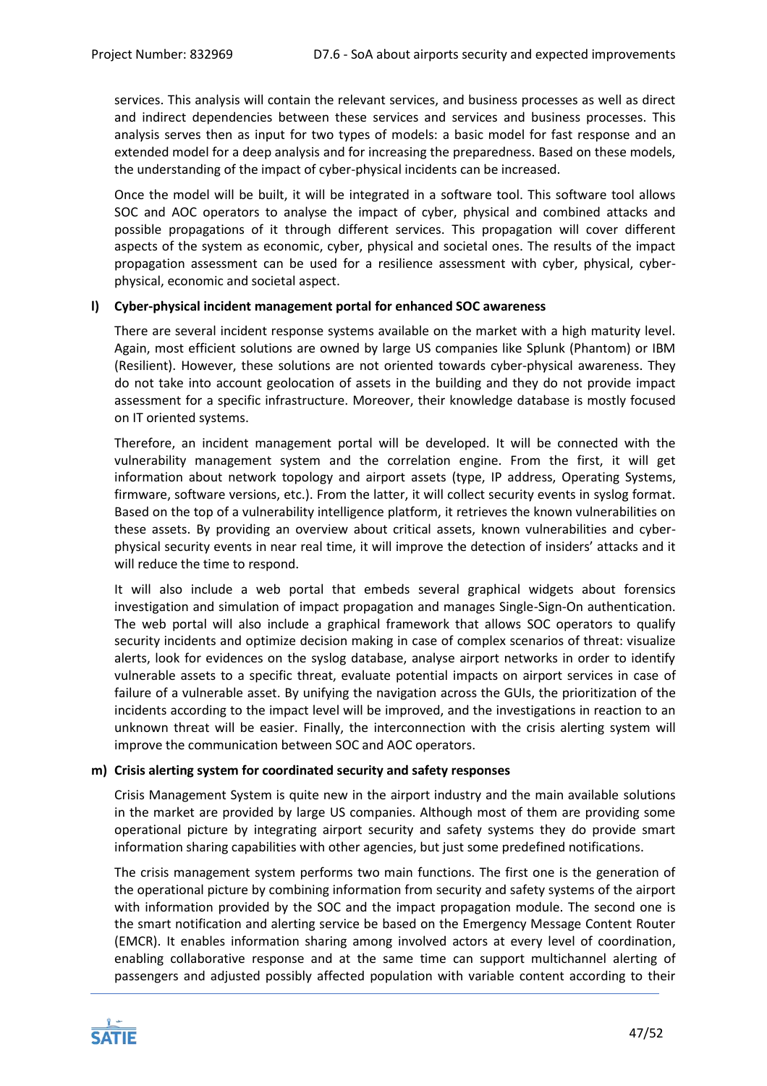services. This analysis will contain the relevant services, and business processes as well as direct and indirect dependencies between these services and services and business processes. This analysis serves then as input for two types of models: a basic model for fast response and an extended model for a deep analysis and for increasing the preparedness. Based on these models, the understanding of the impact of cyber-physical incidents can be increased.

Once the model will be built, it will be integrated in a software tool. This software tool allows SOC and AOC operators to analyse the impact of cyber, physical and combined attacks and possible propagations of it through different services. This propagation will cover different aspects of the system as economic, cyber, physical and societal ones. The results of the impact propagation assessment can be used for a resilience assessment with cyber, physical, cyberphysical, economic and societal aspect.

# **l) Cyber-physical incident management portal for enhanced SOC awareness**

There are several incident response systems available on the market with a high maturity level. Again, most efficient solutions are owned by large US companies like Splunk (Phantom) or IBM (Resilient). However, these solutions are not oriented towards cyber-physical awareness. They do not take into account geolocation of assets in the building and they do not provide impact assessment for a specific infrastructure. Moreover, their knowledge database is mostly focused on IT oriented systems.

Therefore, an incident management portal will be developed. It will be connected with the vulnerability management system and the correlation engine. From the first, it will get information about network topology and airport assets (type, IP address, Operating Systems, firmware, software versions, etc.). From the latter, it will collect security events in syslog format. Based on the top of a vulnerability intelligence platform, it retrieves the known vulnerabilities on these assets. By providing an overview about critical assets, known vulnerabilities and cyberphysical security events in near real time, it will improve the detection of insiders' attacks and it will reduce the time to respond.

It will also include a web portal that embeds several graphical widgets about forensics investigation and simulation of impact propagation and manages Single-Sign-On authentication. The web portal will also include a graphical framework that allows SOC operators to qualify security incidents and optimize decision making in case of complex scenarios of threat: visualize alerts, look for evidences on the syslog database, analyse airport networks in order to identify vulnerable assets to a specific threat, evaluate potential impacts on airport services in case of failure of a vulnerable asset. By unifying the navigation across the GUIs, the prioritization of the incidents according to the impact level will be improved, and the investigations in reaction to an unknown threat will be easier. Finally, the interconnection with the crisis alerting system will improve the communication between SOC and AOC operators.

#### **m) Crisis alerting system for coordinated security and safety responses**

Crisis Management System is quite new in the airport industry and the main available solutions in the market are provided by large US companies. Although most of them are providing some operational picture by integrating airport security and safety systems they do provide smart information sharing capabilities with other agencies, but just some predefined notifications.

The crisis management system performs two main functions. The first one is the generation of the operational picture by combining information from security and safety systems of the airport with information provided by the SOC and the impact propagation module. The second one is the smart notification and alerting service be based on the Emergency Message Content Router (EMCR). It enables information sharing among involved actors at every level of coordination, enabling collaborative response and at the same time can support multichannel alerting of passengers and adjusted possibly affected population with variable content according to their

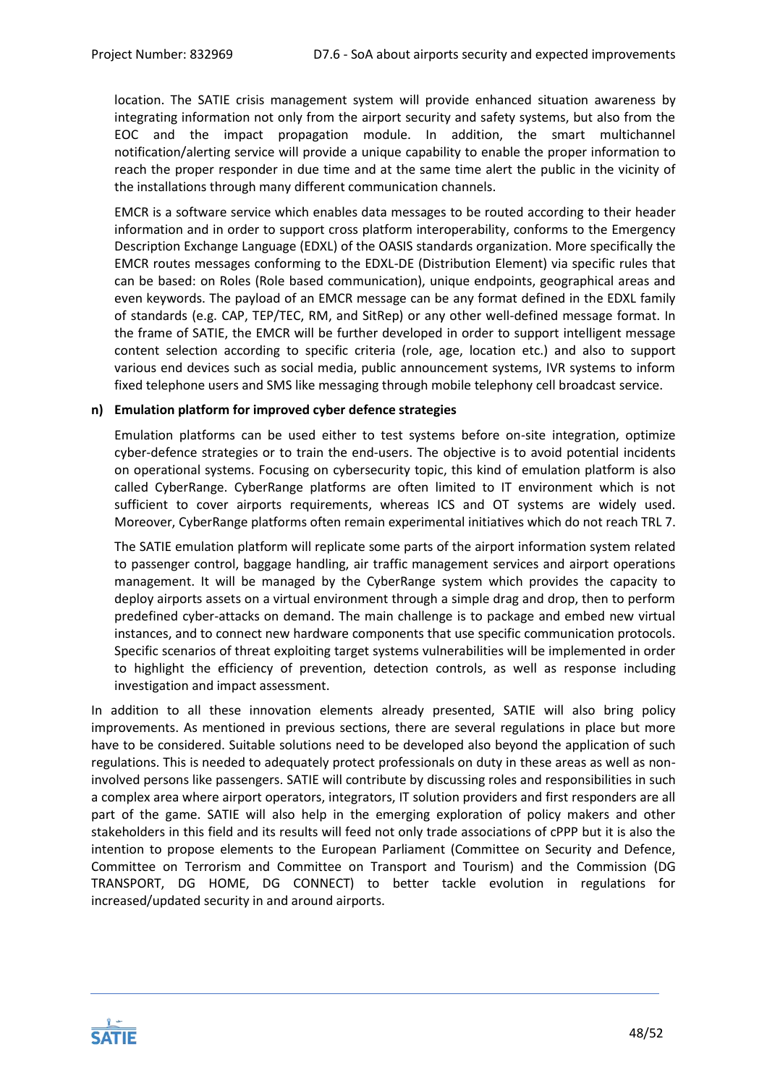location. The SATIE crisis management system will provide enhanced situation awareness by integrating information not only from the airport security and safety systems, but also from the EOC and the impact propagation module. In addition, the smart multichannel notification/alerting service will provide a unique capability to enable the proper information to reach the proper responder in due time and at the same time alert the public in the vicinity of the installations through many different communication channels.

EMCR is a software service which enables data messages to be routed according to their header information and in order to support cross platform interoperability, conforms to the Emergency Description Exchange Language (EDXL) of the OASIS standards organization. More specifically the EMCR routes messages conforming to the EDXL-DE (Distribution Element) via specific rules that can be based: on Roles (Role based communication), unique endpoints, geographical areas and even keywords. The payload of an EMCR message can be any format defined in the EDXL family of standards (e.g. CAP, TEP/TEC, RM, and SitRep) or any other well-defined message format. In the frame of SATIE, the EMCR will be further developed in order to support intelligent message content selection according to specific criteria (role, age, location etc.) and also to support various end devices such as social media, public announcement systems, IVR systems to inform fixed telephone users and SMS like messaging through mobile telephony cell broadcast service.

## **n) Emulation platform for improved cyber defence strategies**

Emulation platforms can be used either to test systems before on-site integration, optimize cyber-defence strategies or to train the end-users. The objective is to avoid potential incidents on operational systems. Focusing on cybersecurity topic, this kind of emulation platform is also called CyberRange. CyberRange platforms are often limited to IT environment which is not sufficient to cover airports requirements, whereas ICS and OT systems are widely used. Moreover, CyberRange platforms often remain experimental initiatives which do not reach TRL 7.

The SATIE emulation platform will replicate some parts of the airport information system related to passenger control, baggage handling, air traffic management services and airport operations management. It will be managed by the CyberRange system which provides the capacity to deploy airports assets on a virtual environment through a simple drag and drop, then to perform predefined cyber-attacks on demand. The main challenge is to package and embed new virtual instances, and to connect new hardware components that use specific communication protocols. Specific scenarios of threat exploiting target systems vulnerabilities will be implemented in order to highlight the efficiency of prevention, detection controls, as well as response including investigation and impact assessment.

In addition to all these innovation elements already presented, SATIE will also bring policy improvements. As mentioned in previous sections, there are several regulations in place but more have to be considered. Suitable solutions need to be developed also beyond the application of such regulations. This is needed to adequately protect professionals on duty in these areas as well as noninvolved persons like passengers. SATIE will contribute by discussing roles and responsibilities in such a complex area where airport operators, integrators, IT solution providers and first responders are all part of the game. SATIE will also help in the emerging exploration of policy makers and other stakeholders in this field and its results will feed not only trade associations of cPPP but it is also the intention to propose elements to the European Parliament (Committee on Security and Defence, Committee on Terrorism and Committee on Transport and Tourism) and the Commission (DG TRANSPORT, DG HOME, DG CONNECT) to better tackle evolution in regulations for increased/updated security in and around airports.

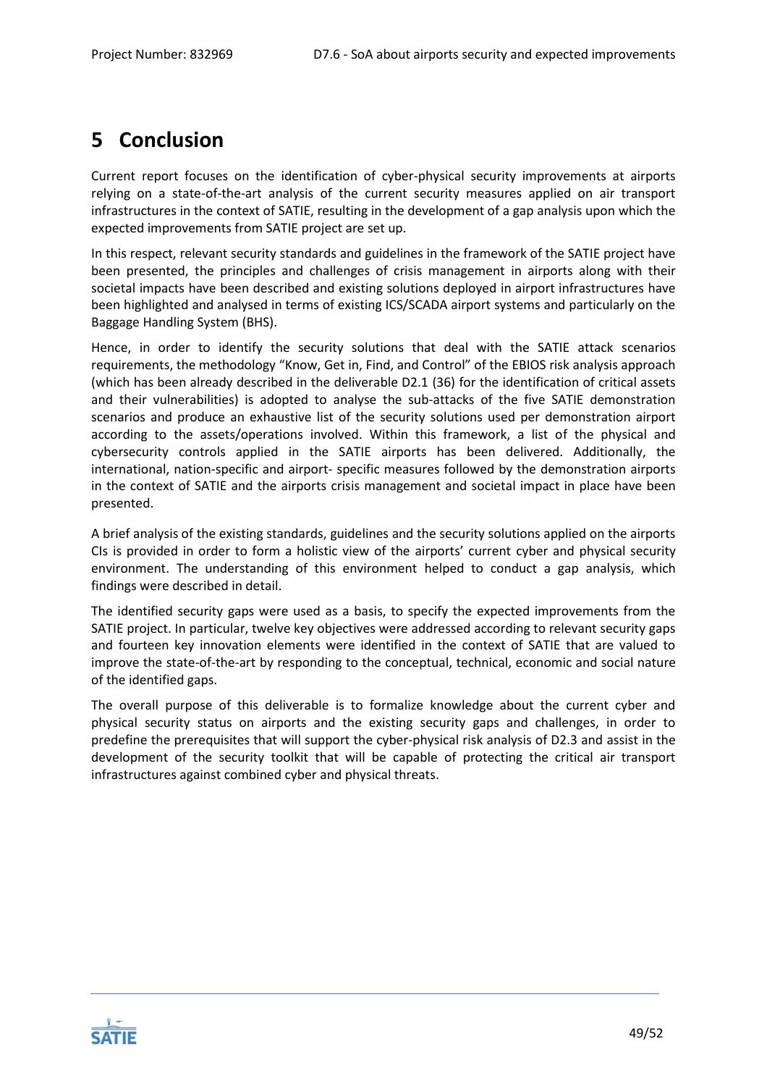# <span id="page-48-0"></span>**5 Conclusion**

Current report focuses on the identification of cyber-physical security improvements at airports relying on a state-of-the-art analysis of the current security measures applied on air transport infrastructures in the context of SATIE, resulting in the development of a gap analysis upon which the expected improvements from SATIE project are set up.

In this respect, relevant security standards and guidelines in the framework of the SATIE project have been presented, the principles and challenges of crisis management in airports along with their societal impacts have been described and existing solutions deployed in airport infrastructures have been highlighted and analysed in terms of existing ICS/SCADA airport systems and particularly on the Baggage Handling System (BHS).

Hence, in order to identify the security solutions that deal with the SATIE attack scenarios requirements, the methodology "Know, Get in, Find, and Control" of the EBIOS risk analysis approach (which has been already described in the deliverable D2.1 (36) for the identification of critical assets and their vulnerabilities) is adopted to analyse the sub-attacks of the five SATIE demonstration scenarios and produce an exhaustive list of the security solutions used per demonstration airport according to the assets/operations involved. Within this framework, a list of the physical and cybersecurity controls applied in the SATIE airports has been delivered. Additionally, the international, nation-specific and airport- specific measures followed by the demonstration airports in the context of SATIE and the airports crisis management and societal impact in place have been presented.

A brief analysis of the existing standards, guidelines and the security solutions applied on the airports CIs is provided in order to form a holistic view of the airports' current cyber and physical security environment. The understanding of this environment helped to conduct a gap analysis, which findings were described in detail.

The identified security gaps were used as a basis, to specify the expected improvements from the SATIE project. In particular, twelve key objectives were addressed according to relevant security gaps and fourteen key innovation elements were identified in the context of SATIE that are valued to improve the state-of-the-art by responding to the conceptual, technical, economic and social nature of the identified gaps.

The overall purpose of this deliverable is to formalize knowledge about the current cyber and physical security status on airports and the existing security gaps and challenges, in order to predefine the prerequisites that will support the cyber-physical risk analysis of D2.3 and assist in the development of the security toolkit that will be capable of protecting the critical air transport infrastructures against combined cyber and physical threats.

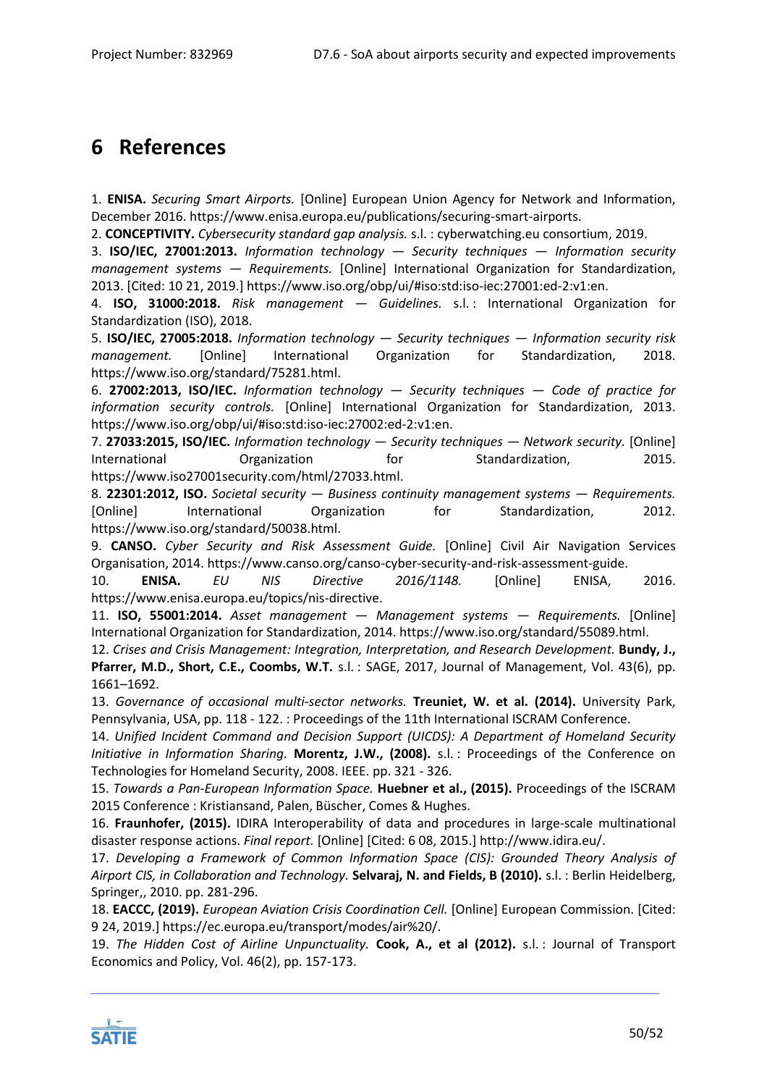# <span id="page-49-0"></span>**6 References**

1. **ENISA.** *Securing Smart Airports.* [Online] European Union Agency for Network and Information, December 2016. https://www.enisa.europa.eu/publications/securing-smart-airports.

2. **CONCEPTIVITY.** *Cybersecurity standard gap analysis.* s.l. : cyberwatching.eu consortium, 2019.

3. **ISO/IEC, 27001:2013.** *Information technology — Security techniques — Information security management systems — Requirements.* [Online] International Organization for Standardization, 2013. [Cited: 10 21, 2019.] https://www.iso.org/obp/ui/#iso:std:iso-iec:27001:ed-2:v1:en.

4. **ISO, 31000:2018.** *Risk management — Guidelines.* s.l. : International Organization for Standardization (ISO), 2018.

5. **ISO/IEC, 27005:2018.** *Information technology — Security techniques — Information security risk management.* [Online] International Organization for Standardization, 2018. https://www.iso.org/standard/75281.html.

6. **27002:2013, ISO/IEC.** *Information technology — Security techniques — Code of practice for information security controls.* [Online] International Organization for Standardization, 2013. https://www.iso.org/obp/ui/#iso:std:iso-iec:27002:ed-2:v1:en.

7. **27033:2015, ISO/IEC.** *Information technology — Security techniques — Network security.* [Online] International **Organization** for Standardization, 2015. https://www.iso27001security.com/html/27033.html.

8. **22301:2012, ISO.** *Societal security — Business continuity management systems — Requirements.*  [Online] International Organization for Standardization, 2012. https://www.iso.org/standard/50038.html.

9. **CANSO.** *Cyber Security and Risk Assessment Guide.* [Online] Civil Air Navigation Services Organisation, 2014. https://www.canso.org/canso-cyber-security-and-risk-assessment-guide.

10. **ENISA.** *EU NIS Directive 2016/1148.* [Online] ENISA, 2016. https://www.enisa.europa.eu/topics/nis-directive.

11. **ISO, 55001:2014.** *Asset management — Management systems — Requirements.* [Online] International Organization for Standardization, 2014. https://www.iso.org/standard/55089.html.

12. *Crises and Crisis Management: Integration, Interpretation, and Research Development.* **Bundy, J., Pfarrer, M.D., Short, C.E., Coombs, W.T.** s.l. : SAGE, 2017, Journal of Management, Vol. 43(6), pp. 1661–1692.

13. *Governance of occasional multi-sector networks.* **Treuniet, W. et al. (2014).** University Park, Pennsylvania, USA, pp. 118 - 122. : Proceedings of the 11th International ISCRAM Conference.

14. *Unified Incident Command and Decision Support (UICDS): A Department of Homeland Security Initiative in Information Sharing.* **Morentz, J.W., (2008).** s.l. : Proceedings of the Conference on Technologies for Homeland Security, 2008. IEEE. pp. 321 - 326.

15. *Towards a Pan-European Information Space.* **Huebner et al., (2015).** Proceedings of the ISCRAM 2015 Conference : Kristiansand, Palen, Büscher, Comes & Hughes.

16. **Fraunhofer, (2015).** IDIRA Interoperability of data and procedures in large-scale multinational disaster response actions. *Final report.* [Online] [Cited: 6 08, 2015.] http://www.idira.eu/.

17. *Developing a Framework of Common Information Space (CIS): Grounded Theory Analysis of Airport CIS, in Collaboration and Technology.* **Selvaraj, N. and Fields, B (2010).** s.l. : Berlin Heidelberg, Springer,, 2010. pp. 281-296.

18. **EACCC, (2019).** *European Aviation Crisis Coordination Cell.* [Online] European Commission. [Cited: 9 24, 2019.] https://ec.europa.eu/transport/modes/air%20/.

19. *The Hidden Cost of Airline Unpunctuality.* **Cook, A., et al (2012).** s.l. : Journal of Transport Economics and Policy, Vol. 46(2), pp. 157-173.

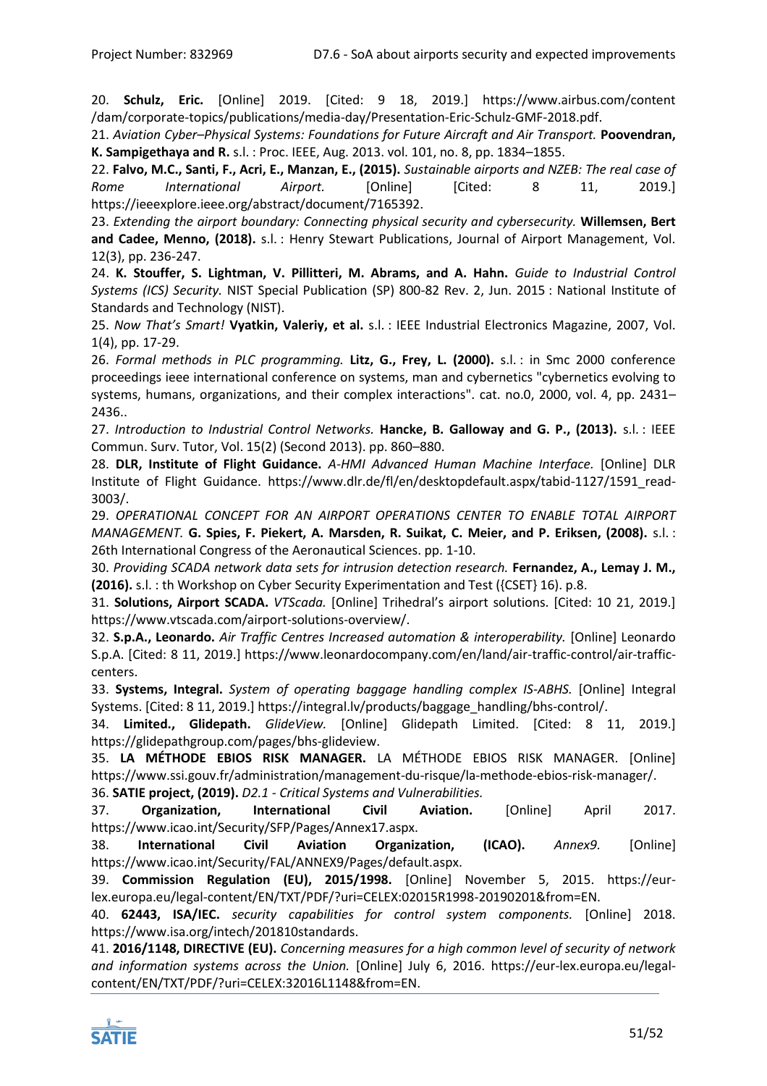20. **Schulz, Eric.** [Online] 2019. [Cited: 9 18, 2019.] https://www.airbus.com/content /dam/corporate-topics/publications/media-day/Presentation-Eric-Schulz-GMF-2018.pdf.

21. *Aviation Cyber–Physical Systems: Foundations for Future Aircraft and Air Transport.* **Poovendran, K. Sampigethaya and R.** s.l. : Proc. IEEE, Aug. 2013. vol. 101, no. 8, pp. 1834–1855.

22. **Falvo, M.C., Santi, F., Acri, E., Manzan, E., (2015).** *Sustainable airports and NZEB: The real case of Rome International Airport.* [Online] [Cited: 8 11, 2019.] https://ieeexplore.ieee.org/abstract/document/7165392.

23. *Extending the airport boundary: Connecting physical security and cybersecurity.* **Willemsen, Bert and Cadee, Menno, (2018).** s.l. : Henry Stewart Publications, Journal of Airport Management, Vol. 12(3), pp. 236-247.

24. **K. Stouffer, S. Lightman, V. Pillitteri, M. Abrams, and A. Hahn.** *Guide to Industrial Control Systems (ICS) Security.* NIST Special Publication (SP) 800-82 Rev. 2, Jun. 2015 : National Institute of Standards and Technology (NIST).

25. *Now That's Smart!* **Vyatkin, Valeriy, et al.** s.l. : IEEE Industrial Electronics Magazine, 2007, Vol. 1(4), pp. 17-29.

26. *Formal methods in PLC programming.* **Litz, G., Frey, L. (2000).** s.l. : in Smc 2000 conference proceedings ieee international conference on systems, man and cybernetics "cybernetics evolving to systems, humans, organizations, and their complex interactions". cat. no.0, 2000, vol. 4, pp. 2431– 2436..

27. *Introduction to Industrial Control Networks.* **Hancke, B. Galloway and G. P., (2013).** s.l. : IEEE Commun. Surv. Tutor, Vol. 15(2) (Second 2013). pp. 860–880.

28. **DLR, Institute of Flight Guidance.** *A-HMI Advanced Human Machine Interface.* [Online] DLR Institute of Flight Guidance. https://www.dlr.de/fl/en/desktopdefault.aspx/tabid-1127/1591\_read-3003/.

29. *OPERATIONAL CONCEPT FOR AN AIRPORT OPERATIONS CENTER TO ENABLE TOTAL AIRPORT MANAGEMENT.* **G. Spies, F. Piekert, A. Marsden, R. Suikat, C. Meier, and P. Eriksen, (2008).** s.l. : 26th International Congress of the Aeronautical Sciences. pp. 1-10.

30. *Providing SCADA network data sets for intrusion detection research.* **Fernandez, A., Lemay J. M., (2016).** s.l. : th Workshop on Cyber Security Experimentation and Test ({CSET} 16). p.8.

31. **Solutions, Airport SCADA.** *VTScada.* [Online] Trihedral's airport solutions. [Cited: 10 21, 2019.] https://www.vtscada.com/airport-solutions-overview/.

32. **S.p.A., Leonardo.** *Air Traffic Centres Increased automation & interoperability.* [Online] Leonardo S.p.A. [Cited: 8 11, 2019.] https://www.leonardocompany.com/en/land/air-traffic-control/air-trafficcenters.

33. **Systems, Integral.** *System of operating baggage handling complex IS-ABHS.* [Online] Integral Systems. [Cited: 8 11, 2019.] https://integral.lv/products/baggage\_handling/bhs-control/.

34. **Limited., Glidepath.** *GlideView.* [Online] Glidepath Limited. [Cited: 8 11, 2019.] https://glidepathgroup.com/pages/bhs-glideview.

35. **LA MÉTHODE EBIOS RISK MANAGER.** LA MÉTHODE EBIOS RISK MANAGER. [Online] https://www.ssi.gouv.fr/administration/management-du-risque/la-methode-ebios-risk-manager/. 36. **SATIE project, (2019).** *D2.1 - Critical Systems and Vulnerabilities.* 

37. **Organization, International Civil Aviation.** [Online] April 2017. https://www.icao.int/Security/SFP/Pages/Annex17.aspx.

38. **International Civil Aviation Organization, (ICAO).** *Annex9.* [Online] https://www.icao.int/Security/FAL/ANNEX9/Pages/default.aspx.

39. **Commission Regulation (EU), 2015/1998.** [Online] November 5, 2015. https://eurlex.europa.eu/legal-content/EN/TXT/PDF/?uri=CELEX:02015R1998-20190201&from=EN.

40. **62443, ISA/IEC.** *security capabilities for control system components.* [Online] 2018. https://www.isa.org/intech/201810standards.

41. **2016/1148, DIRECTIVE (EU).** *Concerning measures for a high common level of security of network and information systems across the Union.* [Online] July 6, 2016. https://eur-lex.europa.eu/legalcontent/EN/TXT/PDF/?uri=CELEX:32016L1148&from=EN.